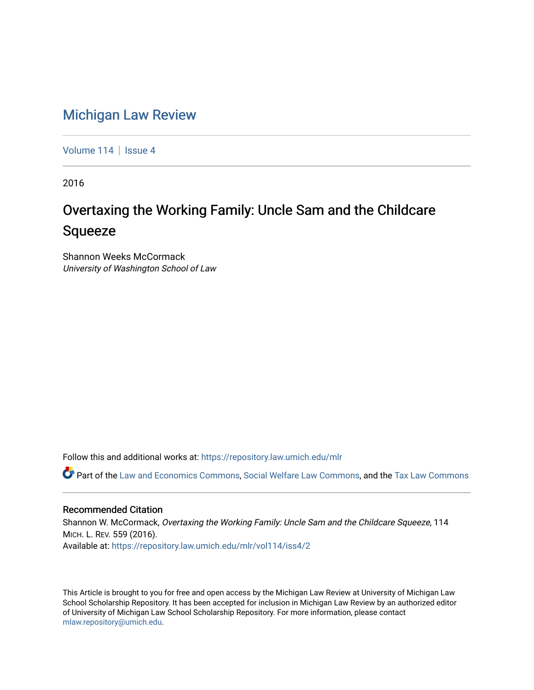# [Michigan Law Review](https://repository.law.umich.edu/mlr)

[Volume 114](https://repository.law.umich.edu/mlr/vol114) | [Issue 4](https://repository.law.umich.edu/mlr/vol114/iss4)

2016

# Overtaxing the Working Family: Uncle Sam and the Childcare Squeeze

Shannon Weeks McCormack University of Washington School of Law

Follow this and additional works at: [https://repository.law.umich.edu/mlr](https://repository.law.umich.edu/mlr?utm_source=repository.law.umich.edu%2Fmlr%2Fvol114%2Fiss4%2F2&utm_medium=PDF&utm_campaign=PDFCoverPages) 

Part of the [Law and Economics Commons](http://network.bepress.com/hgg/discipline/612?utm_source=repository.law.umich.edu%2Fmlr%2Fvol114%2Fiss4%2F2&utm_medium=PDF&utm_campaign=PDFCoverPages), [Social Welfare Law Commons](http://network.bepress.com/hgg/discipline/878?utm_source=repository.law.umich.edu%2Fmlr%2Fvol114%2Fiss4%2F2&utm_medium=PDF&utm_campaign=PDFCoverPages), and the [Tax Law Commons](http://network.bepress.com/hgg/discipline/898?utm_source=repository.law.umich.edu%2Fmlr%2Fvol114%2Fiss4%2F2&utm_medium=PDF&utm_campaign=PDFCoverPages) 

#### Recommended Citation

Shannon W. McCormack, Overtaxing the Working Family: Uncle Sam and the Childcare Squeeze, 114 MICH. L. REV. 559 (2016). Available at: [https://repository.law.umich.edu/mlr/vol114/iss4/2](https://repository.law.umich.edu/mlr/vol114/iss4/2?utm_source=repository.law.umich.edu%2Fmlr%2Fvol114%2Fiss4%2F2&utm_medium=PDF&utm_campaign=PDFCoverPages) 

This Article is brought to you for free and open access by the Michigan Law Review at University of Michigan Law School Scholarship Repository. It has been accepted for inclusion in Michigan Law Review by an authorized editor of University of Michigan Law School Scholarship Repository. For more information, please contact [mlaw.repository@umich.edu.](mailto:mlaw.repository@umich.edu)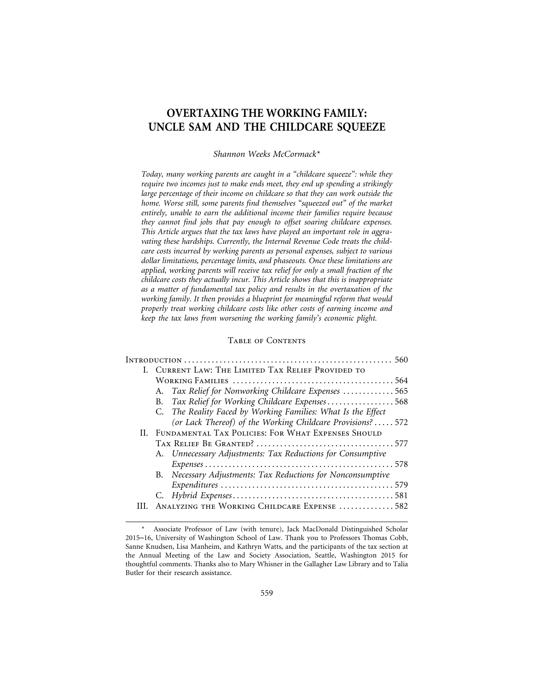## **OVERTAXING THE WORKING FAMILY: UNCLE SAM AND THE CHILDCARE SQUEEZE**

#### *Shannon Weeks McCormack\**

*Today, many working parents are caught in a "childcare squeeze": while they require two incomes just to make ends meet, they end up spending a strikingly large percentage of their income on childcare so that they can work outside the home. Worse still, some parents find themselves "squeezed out" of the market entirely, unable to earn the additional income their families require because they cannot find jobs that pay enough to offset soaring childcare expenses. This Article argues that the tax laws have played an important role in aggravating these hardships. Currently, the Internal Revenue Code treats the childcare costs incurred by working parents as personal expenses, subject to various dollar limitations, percentage limits, and phaseouts. Once these limitations are applied, working parents will receive tax relief for only a small fraction of the childcare costs they actually incur. This Article shows that this is inappropriate as a matter of fundamental tax policy and results in the overtaxation of the working family. It then provides a blueprint for meaningful reform that would properly treat working childcare costs like other costs of earning income and keep the tax laws from worsening the working family's economic plight.*

#### Table of Contents

| I. CURRENT LAW: THE LIMITED TAX RELIEF PROVIDED TO           |  |
|--------------------------------------------------------------|--|
|                                                              |  |
| A. Tax Relief for Nonworking Childcare Expenses  565         |  |
| B. Tax Relief for Working Childcare Expenses568              |  |
| C. The Reality Faced by Working Families: What Is the Effect |  |
| (or Lack Thereof) of the Working Childcare Provisions?  572  |  |
| II. FUNDAMENTAL TAX POLICIES: FOR WHAT EXPENSES SHOULD       |  |
|                                                              |  |
| A. Unnecessary Adjustments: Tax Reductions for Consumptive   |  |
|                                                              |  |
| B. Necessary Adjustments: Tax Reductions for Nonconsumptive  |  |
|                                                              |  |
|                                                              |  |
| ANALYZING THE WORKING CHILDCARE EXPENSE 582                  |  |
|                                                              |  |

Associate Professor of Law (with tenure), Jack MacDonald Distinguished Scholar 2015–16, University of Washington School of Law. Thank you to Professors Thomas Cobb, Sanne Knudsen, Lisa Manheim, and Kathryn Watts, and the participants of the tax section at the Annual Meeting of the Law and Society Association, Seattle, Washington 2015 for thoughtful comments. Thanks also to Mary Whisner in the Gallagher Law Library and to Talia Butler for their research assistance.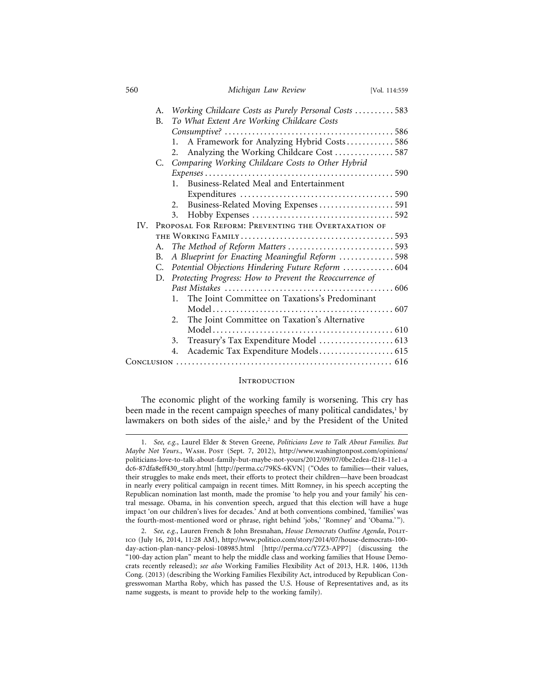| 560 |                                                         | Michigan Law Review                                     | [Vol. 114:559 |  |  |
|-----|---------------------------------------------------------|---------------------------------------------------------|---------------|--|--|
|     | A.                                                      | Working Childcare Costs as Purely Personal Costs  583   |               |  |  |
|     | В.                                                      | To What Extent Are Working Childcare Costs              |               |  |  |
|     |                                                         |                                                         |               |  |  |
|     |                                                         | A Framework for Analyzing Hybrid Costs 586<br>1.        |               |  |  |
|     |                                                         | Analyzing the Working Childcare Cost  587<br>2.         |               |  |  |
|     |                                                         | C. Comparing Working Childcare Costs to Other Hybrid    |               |  |  |
|     |                                                         |                                                         |               |  |  |
|     |                                                         | Business-Related Meal and Entertainment<br>$1_{-}$      |               |  |  |
|     |                                                         |                                                         |               |  |  |
|     |                                                         | 2.                                                      |               |  |  |
|     |                                                         | 3.                                                      |               |  |  |
|     | IV. PROPOSAL FOR REFORM: PREVENTING THE OVERTAXATION OF |                                                         |               |  |  |
|     |                                                         |                                                         |               |  |  |
|     | А.                                                      | The Method of Reform Matters 593                        |               |  |  |
|     | В.                                                      | A Blueprint for Enacting Meaningful Reform 598          |               |  |  |
|     | C.                                                      | Potential Objections Hindering Future Reform  604       |               |  |  |
|     | D.                                                      | Protecting Progress: How to Prevent the Reoccurrence of |               |  |  |
|     |                                                         |                                                         |               |  |  |
|     |                                                         | The Joint Committee on Taxations's Predominant<br>1.    |               |  |  |
|     |                                                         |                                                         |               |  |  |
|     |                                                         | The Joint Committee on Taxation's Alternative<br>2.     |               |  |  |
|     |                                                         |                                                         |               |  |  |
|     |                                                         | 3.                                                      |               |  |  |
|     |                                                         | Academic Tax Expenditure Models 615<br>4.               |               |  |  |
|     |                                                         |                                                         |               |  |  |
|     |                                                         |                                                         |               |  |  |

#### **INTRODUCTION**

The economic plight of the working family is worsening. This cry has been made in the recent campaign speeches of many political candidates, $^1$  by lawmakers on both sides of the aisle,<sup>2</sup> and by the President of the United

<sup>1.</sup> *See, e.g.*, Laurel Elder & Steven Greene, *Politicians Love to Talk About Families. But Maybe Not Yours.*, Wash. Post (Sept. 7, 2012), http://www.washingtonpost.com/opinions/ politicians-love-to-talk-about-family-but-maybe-not-yours/2012/09/07/0be2edea-f218-11e1-a dc6-87dfa8eff430\_story.html [http://perma.cc/79KS-6KVN] ("Odes to families—their values, their struggles to make ends meet, their efforts to protect their children—have been broadcast in nearly every political campaign in recent times. Mitt Romney, in his speech accepting the Republican nomination last month, made the promise 'to help you and your family' his central message. Obama, in his convention speech, argued that this election will have a huge impact 'on our children's lives for decades.' And at both conventions combined, 'families' was the fourth-most-mentioned word or phrase, right behind 'jobs,' 'Romney' and 'Obama.' ").

<sup>2.</sup> *See, e.g.*, Lauren French & John Bresnahan, *House Democrats Outline Agenda*, POLITico (July 16, 2014, 11:28 AM), http://www.politico.com/story/2014/07/house-democrats-100 day-action-plan-nancy-pelosi-108985.html [http://perma.cc/Y7Z3-APP7] (discussing the "100-day action plan" meant to help the middle class and working families that House Democrats recently released); *see also* Working Families Flexibility Act of 2013, H.R. 1406, 113th Cong. (2013) (describing the Working Families Flexibility Act, introduced by Republican Congresswoman Martha Roby, which has passed the U.S. House of Representatives and, as its name suggests, is meant to provide help to the working family).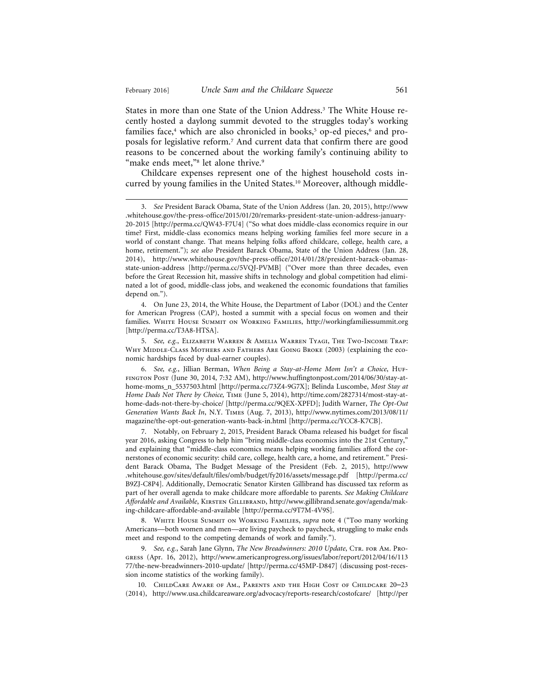States in more than one State of the Union Address.3 The White House recently hosted a daylong summit devoted to the struggles today's working families face,<sup>4</sup> which are also chronicled in books,<sup>5</sup> op-ed pieces,<sup>6</sup> and proposals for legislative reform.7 And current data that confirm there are good reasons to be concerned about the working family's continuing ability to "make ends meet,"8 let alone thrive.9

Childcare expenses represent one of the highest household costs incurred by young families in the United States.10 Moreover, although middle-

4. On June 23, 2014, the White House, the Department of Labor (DOL) and the Center for American Progress (CAP), hosted a summit with a special focus on women and their families. White House Summit on Working Families, http://workingfamiliessummit.org [http://perma.cc/T3A8-HTSA].

5. *See, e.g.*, Elizabeth Warren & Amelia Warren Tyagi, The Two-Income Trap: WHY MIDDLE-CLASS MOTHERS AND FATHERS ARE GOING BROKE (2003) (explaining the economic hardships faced by dual-earner couples).

6. *See, e.g.*, Jillian Berman, *When Being a Stay-at-Home Mom Isn't a Choice*, Huffington Post (June 30, 2014, 7:32 AM), http://www.huffingtonpost.com/2014/06/30/stay-athome-moms\_n\_5537503.html [http://perma.cc/73Z4-9G7X]; Belinda Luscombe, *Most Stay at Home Dads Not There by Choice,* Time (June 5, 2014), http://time.com/2827314/most-stay-athome-dads-not-there-by-choice/ [http://perma.cc/9QEX-XPFD]; Judith Warner, *The Opt-Out Generation Wants Back In*, N.Y. Times (Aug. 7, 2013), http://www.nytimes.com/2013/08/11/ magazine/the-opt-out-generation-wants-back-in.html [http://perma.cc/YCC8-K7CB].

7. Notably, on February 2, 2015, President Barack Obama released his budget for fiscal year 2016, asking Congress to help him "bring middle-class economics into the 21st Century," and explaining that "middle-class economics means helping working families afford the cornerstones of economic security: child care, college, health care, a home, and retirement." President Barack Obama, The Budget Message of the President (Feb. 2, 2015), http://www .whitehouse.gov/sites/default/files/omb/budget/fy2016/assets/message.pdf [http://perma.cc/ B9ZJ-C8P4]. Additionally, Democratic Senator Kirsten Gillibrand has discussed tax reform as part of her overall agenda to make childcare more affordable to parents. *See Making Childcare Affordable and Available*, Kirsten Gillibrand, http://www.gillibrand.senate.gov/agenda/making-childcare-affordable-and-available [http://perma.cc/9T7M-4V9S].

8. White House Summit on Working Families, *supra* note 4 ("Too many working Americans—both women and men—are living paycheck to paycheck, struggling to make ends meet and respond to the competing demands of work and family.").

9. *See, e.g.*, Sarah Jane Glynn, *The New Breadwinners: 2010 Update*, CTR. FOR AM. PROgress (Apr. 16, 2012), http://www.americanprogress.org/issues/labor/report/2012/04/16/113 77/the-new-breadwinners-2010-update/ [http://perma.cc/45MP-D847] (discussing post-recession income statistics of the working family).

10. ChildCare Aware of Am., Parents and the High Cost of Childcare 20–23 (2014), http://www.usa.childcareaware.org/advocacy/reports-research/costofcare/ [http://per

<sup>3.</sup> *See* President Barack Obama, State of the Union Address (Jan. 20, 2015), http://www .whitehouse.gov/the-press-office/2015/01/20/remarks-president-state-union-address-january-20-2015 [http://perma.cc/QW43-F7U4] ("So what does middle-class economics require in our time? First, middle-class economics means helping working families feel more secure in a world of constant change. That means helping folks afford childcare, college, health care, a home, retirement."); *see also* President Barack Obama, State of the Union Address (Jan. 28, 2014), http://www.whitehouse.gov/the-press-office/2014/01/28/president-barack-obamasstate-union-address [http://perma.cc/5VQJ-PVMB] ("Over more than three decades, even before the Great Recession hit, massive shifts in technology and global competition had eliminated a lot of good, middle-class jobs, and weakened the economic foundations that families depend on.").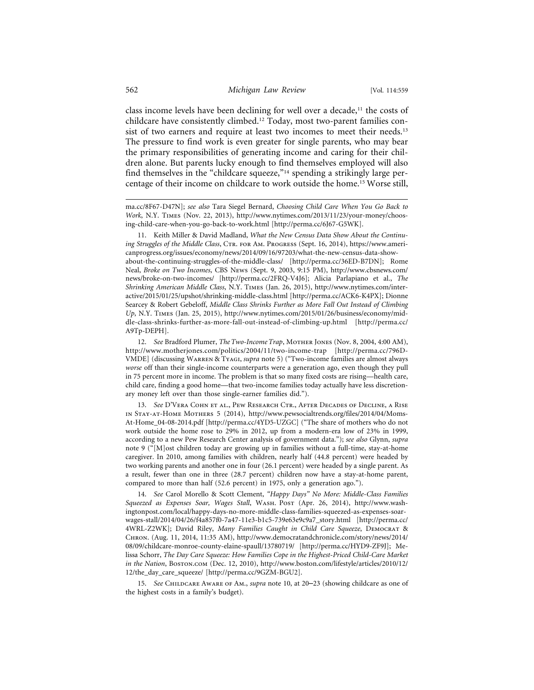class income levels have been declining for well over a decade, $11$  the costs of childcare have consistently climbed.12 Today, most two-parent families consist of two earners and require at least two incomes to meet their needs.<sup>13</sup> The pressure to find work is even greater for single parents, who may bear the primary responsibilities of generating income and caring for their children alone. But parents lucky enough to find themselves employed will also find themselves in the "childcare squeeze,"14 spending a strikingly large percentage of their income on childcare to work outside the home.15 Worse still,

13. *See* D'Vera Cohn et al., Pew Research Ctr., After Decades of Decline, a Rise in Stay-at-Home Mothers 5 (2014), http://www.pewsocialtrends.org/files/2014/04/Moms-At-Home\_04-08-2014.pdf [http://perma.cc/4YD5-UZGC] ("The share of mothers who do not work outside the home rose to 29% in 2012, up from a modern-era low of 23% in 1999, according to a new Pew Research Center analysis of government data."); *see also* Glynn, *supra* note 9 ("[M]ost children today are growing up in families without a full-time, stay-at-home caregiver. In 2010, among families with children, nearly half (44.8 percent) were headed by two working parents and another one in four (26.1 percent) were headed by a single parent. As a result, fewer than one in three (28.7 percent) children now have a stay-at-home parent, compared to more than half (52.6 percent) in 1975, only a generation ago.").

14. *See* Carol Morello & Scott Clement, *"Happy Days" No More: Middle-Class Families Squeezed as Expenses Soar, Wages Stall*, Wash. Post (Apr. 26, 2014), http://www.washingtonpost.com/local/happy-days-no-more-middle-class-families-squeezed-as-expenses-soarwages-stall/2014/04/26/f4a857f0-7a47-11e3-b1c5-739e63e9c9a7\_story.html [http://perma.cc/ 4WRL-Z2WK]; David Riley, *Many Families Caught in Child Care Squeeze*, Democrat & Chron. (Aug. 11, 2014, 11:35 AM), http://www.democratandchronicle.com/story/news/2014/ 08/09/childcare-monroe-county-elaine-spaull/13780719/ [http://perma.cc/HYD9-ZF9J]; Melissa Schorr, *The Day Care Squeeze: How Families Cope in the Highest-Priced Child-Care Market in the Nation*, Boston.com (Dec. 12, 2010), http://www.boston.com/lifestyle/articles/2010/12/ 12/the\_day\_care\_squeeze/ [http://perma.cc/9GZM-BGU2].

15. *See* Childcare Aware of Am., *supra* note 10, at 20–23 (showing childcare as one of the highest costs in a family's budget).

ma.cc/8F67-D47N]; *see also* Tara Siegel Bernard, *Choosing Child Care When You Go Back to Work*, N.Y. Times (Nov. 22, 2013), http://www.nytimes.com/2013/11/23/your-money/choosing-child-care-when-you-go-back-to-work.html [http://perma.cc/6J67-G5WK].

<sup>11.</sup> Keith Miller & David Madland, *What the New Census Data Show About the Continuing Struggles of the Middle Class*, CTR. FOR AM. PROGRESS (Sept. 16, 2014), https://www.americanprogress.org/issues/economy/news/2014/09/16/97203/what-the-new-census-data-showabout-the-continuing-struggles-of-the-middle-class/ [http://perma.cc/36ED-B7DN]; Rome Neal, *Broke on Two Incomes*, CBS News (Sept. 9, 2003, 9:15 PM), http://www.cbsnews.com/ news/broke-on-two-incomes/ [http://perma.cc/2FRQ-V4J6]; Alicia Parlapiano et al., *The Shrinking American Middle Class*, N.Y. Times (Jan. 26, 2015), http://www.nytimes.com/interactive/2015/01/25/upshot/shrinking-middle-class.html [http://perma.cc/ACK6-K4PX]; Dionne Searcey & Robert Gebeloff, *Middle Class Shrinks Further as More Fall Out Instead of Climbing Up*, N.Y. Times (Jan. 25, 2015), http://www.nytimes.com/2015/01/26/business/economy/middle-class-shrinks-further-as-more-fall-out-instead-of-climbing-up.html [http://perma.cc/ A9Tp-DEPH].

<sup>12.</sup> See Bradford Plumer, *The Two-Income Trap*, Morner Jones (Nov. 8, 2004, 4:00 AM), http://www.motherjones.com/politics/2004/11/two-income-trap [http://perma.cc/796D-VMDE] (discussing Warren & Tyagi, *supra* note 5) ("Two-income families are almost always *worse* off than their single-income counterparts were a generation ago, even though they pull in 75 percent more in income. The problem is that so many fixed costs are rising—health care, child care, finding a good home—that two-income families today actually have less discretionary money left over than those single-earner families did.").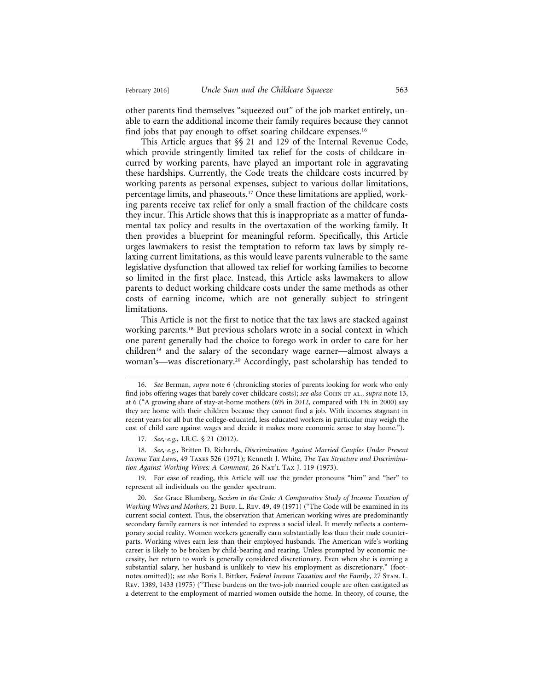other parents find themselves "squeezed out" of the job market entirely, unable to earn the additional income their family requires because they cannot find jobs that pay enough to offset soaring childcare expenses.<sup>16</sup>

This Article argues that §§ 21 and 129 of the Internal Revenue Code, which provide stringently limited tax relief for the costs of childcare incurred by working parents, have played an important role in aggravating these hardships. Currently, the Code treats the childcare costs incurred by working parents as personal expenses, subject to various dollar limitations, percentage limits, and phaseouts.17 Once these limitations are applied, working parents receive tax relief for only a small fraction of the childcare costs they incur. This Article shows that this is inappropriate as a matter of fundamental tax policy and results in the overtaxation of the working family. It then provides a blueprint for meaningful reform. Specifically, this Article urges lawmakers to resist the temptation to reform tax laws by simply relaxing current limitations, as this would leave parents vulnerable to the same legislative dysfunction that allowed tax relief for working families to become so limited in the first place. Instead, this Article asks lawmakers to allow parents to deduct working childcare costs under the same methods as other costs of earning income, which are not generally subject to stringent limitations.

This Article is not the first to notice that the tax laws are stacked against working parents.<sup>18</sup> But previous scholars wrote in a social context in which one parent generally had the choice to forego work in order to care for her children19 and the salary of the secondary wage earner—almost always a woman's—was discretionary.20 Accordingly, past scholarship has tended to

18. *See, e.g.*, Britten D. Richards, *Discrimination Against Married Couples Under Present Income Tax Laws*, 49 Taxes 526 (1971); Kenneth J. White, *The Tax Structure and Discrimination Against Working Wives: A Comment*, 26 Nat'l Tax J. 119 (1973).

19. For ease of reading, this Article will use the gender pronouns "him" and "her" to represent all individuals on the gender spectrum.

<sup>16.</sup> *See* Berman, *supra* note 6 (chronicling stories of parents looking for work who only find jobs offering wages that barely cover childcare costs); *see also* COHN ET AL., *supra* note 13, at 6 ("A growing share of stay-at-home mothers (6% in 2012, compared with 1% in 2000) say they are home with their children because they cannot find a job. With incomes stagnant in recent years for all but the college-educated, less educated workers in particular may weigh the cost of child care against wages and decide it makes more economic sense to stay home.").

<sup>17.</sup> *See, e.g.*, I.R.C. § 21 (2012).

<sup>20.</sup> *See* Grace Blumberg, *Sexism in the Code: A Comparative Study of Income Taxation of Working Wives and Mothers, 21 BuFF. L. REV. 49, 49 (1971)* ("The Code will be examined in its current social context. Thus, the observation that American working wives are predominantly secondary family earners is not intended to express a social ideal. It merely reflects a contemporary social reality. Women workers generally earn substantially less than their male counterparts. Working wives earn less than their employed husbands. The American wife's working career is likely to be broken by child-bearing and rearing. Unless prompted by economic necessity, her return to work is generally considered discretionary. Even when she is earning a substantial salary, her husband is unlikely to view his employment as discretionary." (footnotes omitted)); *see also* Boris I. Bittker, *Federal Income Taxation and the Family*, 27 Stan. L. Rev. 1389, 1433 (1975) ("These burdens on the two-job married couple are often castigated as a deterrent to the employment of married women outside the home. In theory, of course, the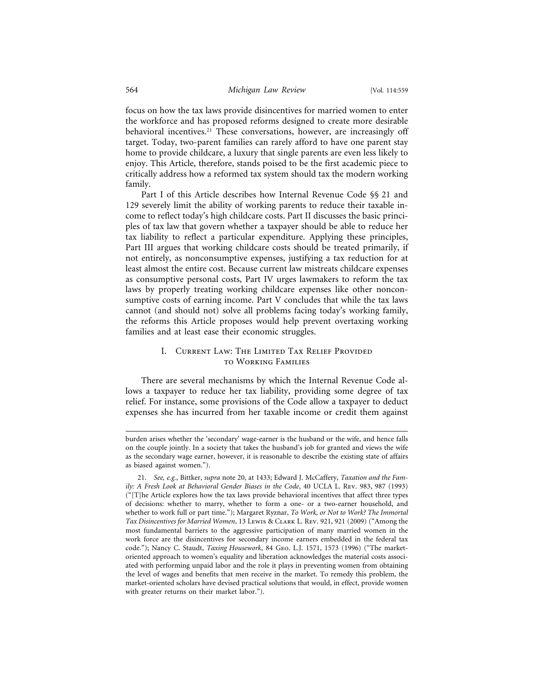focus on how the tax laws provide disincentives for married women to enter the workforce and has proposed reforms designed to create more desirable behavioral incentives.<sup>21</sup> These conversations, however, are increasingly off target. Today, two-parent families can rarely afford to have one parent stay home to provide childcare, a luxury that single parents are even less likely to enjoy. This Article, therefore, stands poised to be the first academic piece to critically address how a reformed tax system should tax the modern working family.

Part I of this Article describes how Internal Revenue Code §§ 21 and 129 severely limit the ability of working parents to reduce their taxable income to reflect today's high childcare costs. Part II discusses the basic principles of tax law that govern whether a taxpayer should be able to reduce her tax liability to reflect a particular expenditure. Applying these principles, Part III argues that working childcare costs should be treated primarily, if not entirely, as nonconsumptive expenses, justifying a tax reduction for at least almost the entire cost. Because current law mistreats childcare expenses as consumptive personal costs, Part IV urges lawmakers to reform the tax laws by properly treating working childcare expenses like other nonconsumptive costs of earning income. Part V concludes that while the tax laws cannot (and should not) solve all problems facing today's working family, the reforms this Article proposes would help prevent overtaxing working families and at least ease their economic struggles.

#### I. Current Law: The Limited Tax Relief Provided to Working Families

There are several mechanisms by which the Internal Revenue Code allows a taxpayer to reduce her tax liability, providing some degree of tax relief. For instance, some provisions of the Code allow a taxpayer to deduct expenses she has incurred from her taxable income or credit them against

burden arises whether the 'secondary' wage-earner is the husband or the wife, and hence falls on the couple jointly. In a society that takes the husband's job for granted and views the wife as the secondary wage earner, however, it is reasonable to describe the existing state of affairs as biased against women.").

<sup>21.</sup> *See, e.g.*, Bittker, *supra* note 20, at 1433; Edward J. McCaffery, *Taxation and the Family: A Fresh Look at Behavioral Gender Biases in the Code*, 40 UCLA L. Rev. 983, 987 (1993) ("[T]he Article explores how the tax laws provide behavioral incentives that affect three types of decisions: whether to marry, whether to form a one- or a two-earner household, and whether to work full or part time."); Margaret Ryznar, *To Work, or Not to Work? The Immortal Tax Disincentives for Married Women*, 13 Lewis & Clark L. Rev. 921, 921 (2009) ("Among the most fundamental barriers to the aggressive participation of many married women in the work force are the disincentives for secondary income earners embedded in the federal tax code."); Nancy C. Staudt, *Taxing Housework*, 84 Geo. L.J. 1571, 1573 (1996) ("The marketoriented approach to women's equality and liberation acknowledges the material costs associated with performing unpaid labor and the role it plays in preventing women from obtaining the level of wages and benefits that men receive in the market. To remedy this problem, the market-oriented scholars have devised practical solutions that would, in effect, provide women with greater returns on their market labor.").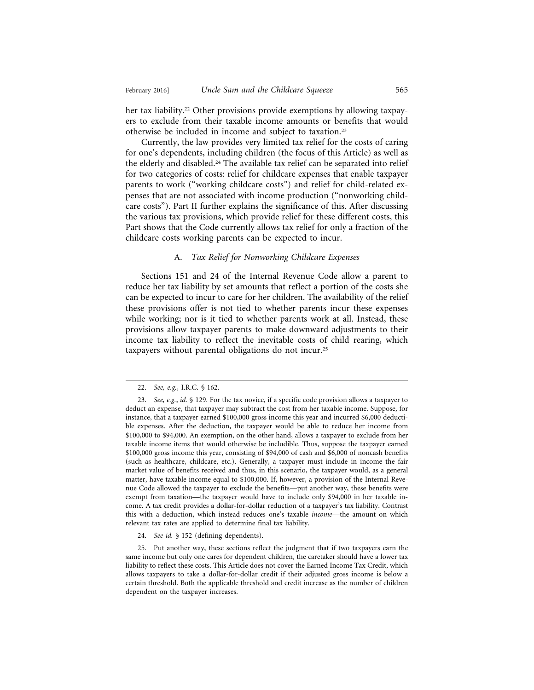her tax liability.<sup>22</sup> Other provisions provide exemptions by allowing taxpayers to exclude from their taxable income amounts or benefits that would otherwise be included in income and subject to taxation.23

Currently, the law provides very limited tax relief for the costs of caring for one's dependents, including children (the focus of this Article) as well as the elderly and disabled.24 The available tax relief can be separated into relief for two categories of costs: relief for childcare expenses that enable taxpayer parents to work ("working childcare costs") and relief for child-related expenses that are not associated with income production ("nonworking childcare costs"). Part II further explains the significance of this. After discussing the various tax provisions, which provide relief for these different costs, this Part shows that the Code currently allows tax relief for only a fraction of the childcare costs working parents can be expected to incur.

#### A. *Tax Relief for Nonworking Childcare Expenses*

Sections 151 and 24 of the Internal Revenue Code allow a parent to reduce her tax liability by set amounts that reflect a portion of the costs she can be expected to incur to care for her children. The availability of the relief these provisions offer is not tied to whether parents incur these expenses while working; nor is it tied to whether parents work at all. Instead, these provisions allow taxpayer parents to make downward adjustments to their income tax liability to reflect the inevitable costs of child rearing, which taxpayers without parental obligations do not incur.25

<sup>22.</sup> *See, e.g.*, I.R.C. § 162.

<sup>23.</sup> *See, e.g.*, *id.* § 129. For the tax novice, if a specific code provision allows a taxpayer to deduct an expense, that taxpayer may subtract the cost from her taxable income. Suppose, for instance, that a taxpayer earned \$100,000 gross income this year and incurred \$6,000 deductible expenses. After the deduction, the taxpayer would be able to reduce her income from \$100,000 to \$94,000. An exemption, on the other hand, allows a taxpayer to exclude from her taxable income items that would otherwise be includible. Thus, suppose the taxpayer earned \$100,000 gross income this year, consisting of \$94,000 of cash and \$6,000 of noncash benefits (such as healthcare, childcare, etc.). Generally, a taxpayer must include in income the fair market value of benefits received and thus, in this scenario, the taxpayer would, as a general matter, have taxable income equal to \$100,000. If, however, a provision of the Internal Revenue Code allowed the taxpayer to exclude the benefits—put another way, these benefits were exempt from taxation—the taxpayer would have to include only \$94,000 in her taxable income. A tax credit provides a dollar-for-dollar reduction of a taxpayer's tax liability. Contrast this with a deduction, which instead reduces one's taxable *income*—the amount on which relevant tax rates are applied to determine final tax liability.

<sup>24.</sup> *See id.* § 152 (defining dependents).

<sup>25.</sup> Put another way, these sections reflect the judgment that if two taxpayers earn the same income but only one cares for dependent children, the caretaker should have a lower tax liability to reflect these costs. This Article does not cover the Earned Income Tax Credit, which allows taxpayers to take a dollar-for-dollar credit if their adjusted gross income is below a certain threshold. Both the applicable threshold and credit increase as the number of children dependent on the taxpayer increases.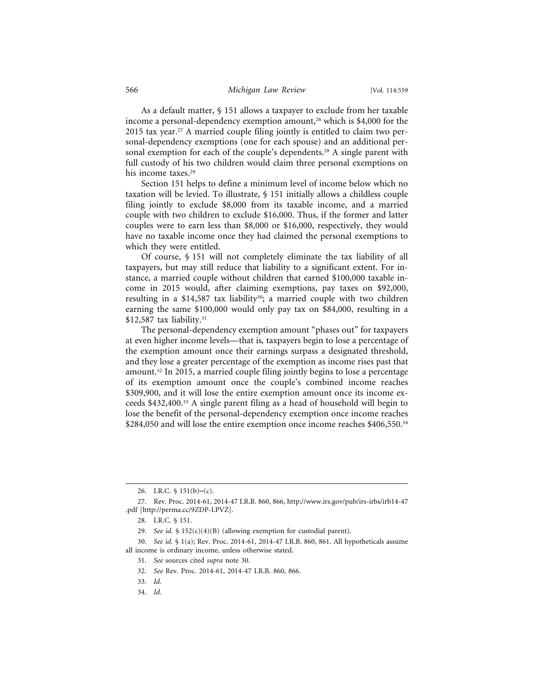As a default matter, § 151 allows a taxpayer to exclude from her taxable income a personal-dependency exemption amount,<sup>26</sup> which is \$4,000 for the 2015 tax year.<sup>27</sup> A married couple filing jointly is entitled to claim two personal-dependency exemptions (one for each spouse) and an additional personal exemption for each of the couple's dependents.<sup>28</sup> A single parent with full custody of his two children would claim three personal exemptions on his income taxes.<sup>29</sup>

Section 151 helps to define a minimum level of income below which no taxation will be levied. To illustrate, § 151 initially allows a childless couple filing jointly to exclude \$8,000 from its taxable income, and a married couple with two children to exclude \$16,000. Thus, if the former and latter couples were to earn less than \$8,000 or \$16,000, respectively, they would have no taxable income once they had claimed the personal exemptions to which they were entitled.

Of course, § 151 will not completely eliminate the tax liability of all taxpayers, but may still reduce that liability to a significant extent. For instance, a married couple without children that earned \$100,000 taxable income in 2015 would, after claiming exemptions, pay taxes on \$92,000, resulting in a \$14,587 tax liability<sup>30</sup>; a married couple with two children earning the same \$100,000 would only pay tax on \$84,000, resulting in a  $$12,587$  tax liability.<sup>31</sup>

The personal-dependency exemption amount "phases out" for taxpayers at even higher income levels—that is*,* taxpayers begin to lose a percentage of the exemption amount once their earnings surpass a designated threshold, and they lose a greater percentage of the exemption as income rises past that amount.32 In 2015, a married couple filing jointly begins to lose a percentage of its exemption amount once the couple's combined income reaches \$309,900, and it will lose the entire exemption amount once its income exceeds \$432,400.33 A single parent filing as a head of household will begin to lose the benefit of the personal-dependency exemption once income reaches \$284,050 and will lose the entire exemption once income reaches \$406,550.<sup>34</sup>

34. *Id.*

<sup>26.</sup> I.R.C. § 151(b)–(c).

<sup>27.</sup> Rev. Proc. 2014-61, 2014-47 I.R.B. 860, 866, http://www.irs.gov/pub/irs-irbs/irb14-47 .pdf [http://perma.cc/9ZDP-LPVZ].

<sup>28.</sup> I.R.C. § 151.

<sup>29.</sup> *See id.* § 152(c)(4)(B) (allowing exemption for custodial parent).

<sup>30.</sup> *See id.* § 1(a); Rev. Proc. 2014-61, 2014-47 I.R.B. 860, 861. All hypotheticals assume all income is ordinary income, unless otherwise stated.

<sup>31.</sup> *See* sources cited *supra* note 30.

<sup>32.</sup> *See* Rev. Proc. 2014-61, 2014-47 I.R.B. 860, 866.

<sup>33.</sup> *Id.*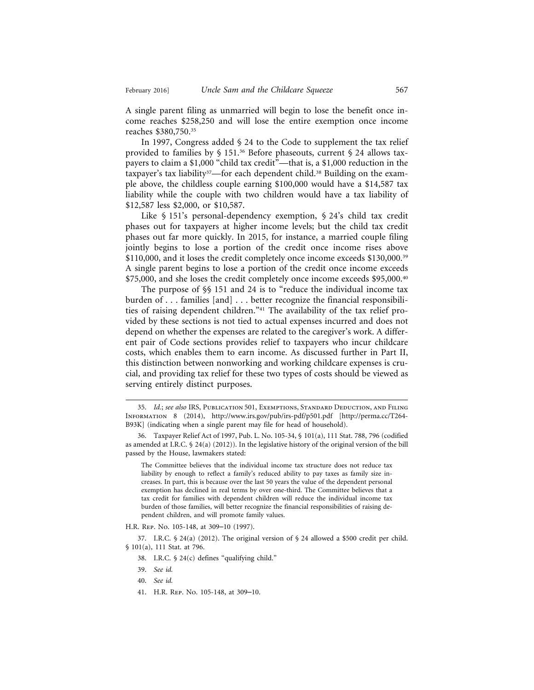A single parent filing as unmarried will begin to lose the benefit once income reaches \$258,250 and will lose the entire exemption once income reaches \$380,750.35

In 1997, Congress added § 24 to the Code to supplement the tax relief provided to families by § 151.36 Before phaseouts, current § 24 allows taxpayers to claim a \$1,000 "child tax credit"—that is, a \$1,000 reduction in the taxpayer's tax liability<sup>37</sup>—for each dependent child.<sup>38</sup> Building on the example above, the childless couple earning \$100,000 would have a \$14,587 tax liability while the couple with two children would have a tax liability of \$12,587 less \$2,000, or \$10,587.

Like § 151's personal-dependency exemption, § 24's child tax credit phases out for taxpayers at higher income levels; but the child tax credit phases out far more quickly. In 2015, for instance, a married couple filing jointly begins to lose a portion of the credit once income rises above \$110,000, and it loses the credit completely once income exceeds \$130,000.<sup>39</sup> A single parent begins to lose a portion of the credit once income exceeds \$75,000, and she loses the credit completely once income exceeds \$95,000.<sup>40</sup>

The purpose of §§ 151 and 24 is to "reduce the individual income tax burden of . . . families [and] . . . better recognize the financial responsibilities of raising dependent children."41 The availability of the tax relief provided by these sections is not tied to actual expenses incurred and does not depend on whether the expenses are related to the caregiver's work. A different pair of Code sections provides relief to taxpayers who incur childcare costs, which enables them to earn income. As discussed further in Part II, this distinction between nonworking and working childcare expenses is crucial, and providing tax relief for these two types of costs should be viewed as serving entirely distinct purposes.

The Committee believes that the individual income tax structure does not reduce tax liability by enough to reflect a family's reduced ability to pay taxes as family size increases. In part, this is because over the last 50 years the value of the dependent personal exemption has declined in real terms by over one-third. The Committee believes that a tax credit for families with dependent children will reduce the individual income tax burden of those families, will better recognize the financial responsibilities of raising dependent children, and will promote family values.

H.R. Rep. No. 105-148, at 309–10 (1997).

37. I.R.C.  $\frac{6}{4}$  (2012). The original version of  $\frac{6}{4}$  24 allowed a \$500 credit per child. § 101(a), 111 Stat. at 796.

38. I.R.C. § 24(c) defines "qualifying child."

<sup>35.</sup> *Id.*; *see also* IRS, Publication 501, Exemptions, Standard Deduction, and Filing Information 8 (2014), http://www.irs.gov/pub/irs-pdf/p501.pdf [http://perma.cc/T264- B93K] (indicating when a single parent may file for head of household).

<sup>36.</sup> Taxpayer Relief Act of 1997, Pub. L. No. 105-34, § 101(a), 111 Stat. 788, 796 (codified as amended at I.R.C. § 24(a) (2012)). In the legislative history of the original version of the bill passed by the House, lawmakers stated:

<sup>39.</sup> *See id.*

<sup>40.</sup> *See id.*

<sup>41.</sup> H.R. Rep. No. 105-148, at 309–10.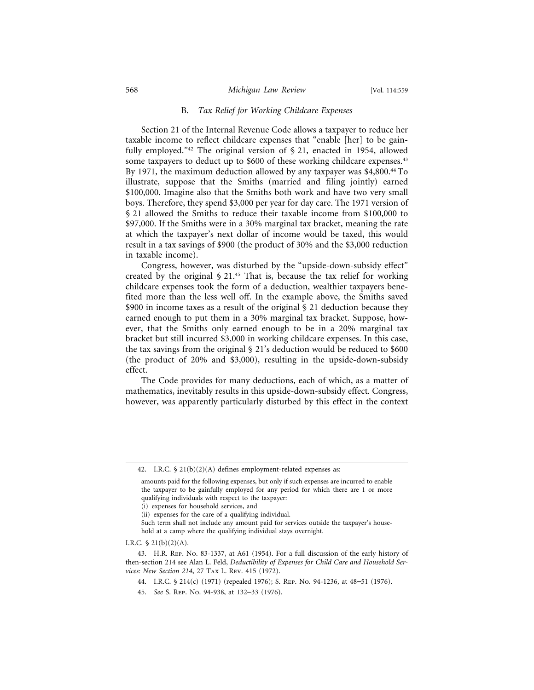#### 568 *Michigan Law Review* [Vol. 114:559

#### B. *Tax Relief for Working Childcare Expenses*

Section 21 of the Internal Revenue Code allows a taxpayer to reduce her taxable income to reflect childcare expenses that "enable [her] to be gainfully employed."<sup>42</sup> The original version of  $\S$  21, enacted in 1954, allowed some taxpayers to deduct up to \$600 of these working childcare expenses.<sup>43</sup> By 1971, the maximum deduction allowed by any taxpayer was \$4,800.44 To illustrate, suppose that the Smiths (married and filing jointly) earned \$100,000. Imagine also that the Smiths both work and have two very small boys. Therefore, they spend \$3,000 per year for day care. The 1971 version of § 21 allowed the Smiths to reduce their taxable income from \$100,000 to \$97,000. If the Smiths were in a 30% marginal tax bracket, meaning the rate at which the taxpayer's next dollar of income would be taxed, this would result in a tax savings of \$900 (the product of 30% and the \$3,000 reduction in taxable income).

Congress, however, was disturbed by the "upside-down-subsidy effect" created by the original  $\S$  21.<sup>45</sup> That is, because the tax relief for working childcare expenses took the form of a deduction, wealthier taxpayers benefited more than the less well off. In the example above, the Smiths saved \$900 in income taxes as a result of the original § 21 deduction because they earned enough to put them in a 30% marginal tax bracket. Suppose, however, that the Smiths only earned enough to be in a 20% marginal tax bracket but still incurred \$3,000 in working childcare expenses. In this case, the tax savings from the original § 21's deduction would be reduced to \$600 (the product of 20% and \$3,000), resulting in the upside-down-subsidy effect.

The Code provides for many deductions, each of which, as a matter of mathematics, inevitably results in this upside-down-subsidy effect. Congress, however, was apparently particularly disturbed by this effect in the context

<sup>42.</sup> I.R.C. § 21(b)(2)(A) defines employment-related expenses as:

amounts paid for the following expenses, but only if such expenses are incurred to enable the taxpayer to be gainfully employed for any period for which there are 1 or more qualifying individuals with respect to the taxpayer:

<sup>(</sup>i) expenses for household services, and

<sup>(</sup>ii) expenses for the care of a qualifying individual.

Such term shall not include any amount paid for services outside the taxpayer's household at a camp where the qualifying individual stays overnight.

I.R.C.  $\frac{21(b)(2)(A)}{A}$ .

<sup>43.</sup> H.R. Rep. No. 83-1337, at A61 (1954). For a full discussion of the early history of then-section 214 see Alan L. Feld, *Deductibility of Expenses for Child Care and Household Services: New Section 214*, 27 Tax L. Rev. 415 (1972).

<sup>44.</sup> I.R.C. § 214(c) (1971) (repealed 1976); S. Rep. No. 94-1236, at 48–51 (1976).

<sup>45.</sup> *See* S. Rep. No. 94-938, at 132–33 (1976).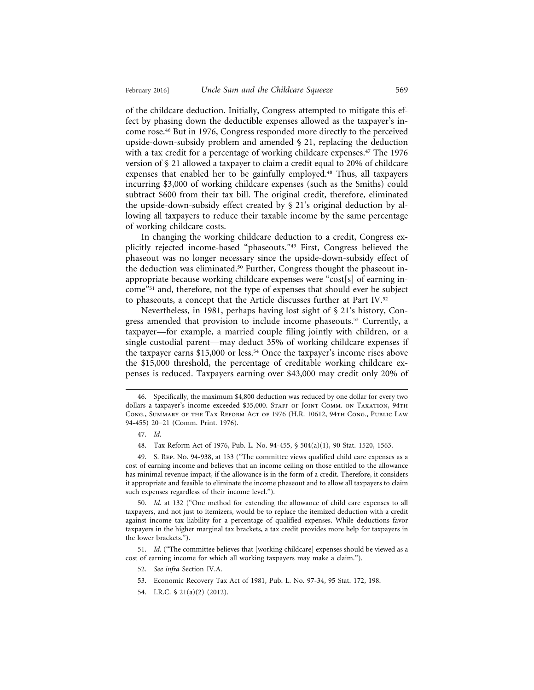of the childcare deduction. Initially, Congress attempted to mitigate this effect by phasing down the deductible expenses allowed as the taxpayer's income rose.46 But in 1976, Congress responded more directly to the perceived upside-down-subsidy problem and amended  $\S$  21, replacing the deduction with a tax credit for a percentage of working childcare expenses.<sup>47</sup> The 1976 version of § 21 allowed a taxpayer to claim a credit equal to 20% of childcare expenses that enabled her to be gainfully employed.48 Thus, all taxpayers incurring \$3,000 of working childcare expenses (such as the Smiths) could subtract \$600 from their tax bill. The original credit, therefore, eliminated the upside-down-subsidy effect created by § 21's original deduction by allowing all taxpayers to reduce their taxable income by the same percentage of working childcare costs.

In changing the working childcare deduction to a credit, Congress explicitly rejected income-based "phaseouts."49 First, Congress believed the phaseout was no longer necessary since the upside-down-subsidy effect of the deduction was eliminated.<sup>50</sup> Further, Congress thought the phaseout inappropriate because working childcare expenses were "cost[s] of earning income"51 and, therefore, not the type of expenses that should ever be subject to phaseouts, a concept that the Article discusses further at Part IV.52

Nevertheless, in 1981, perhaps having lost sight of § 21's history, Congress amended that provision to include income phaseouts.<sup>53</sup> Currently, a taxpayer—for example, a married couple filing jointly with children, or a single custodial parent—may deduct 35% of working childcare expenses if the taxpayer earns \$15,000 or less.<sup>54</sup> Once the taxpayer's income rises above the \$15,000 threshold, the percentage of creditable working childcare expenses is reduced. Taxpayers earning over \$43,000 may credit only 20% of

49. S. Rep. No. 94-938, at 133 ("The committee views qualified child care expenses as a cost of earning income and believes that an income ceiling on those entitled to the allowance has minimal revenue impact, if the allowance is in the form of a credit. Therefore, it considers it appropriate and feasible to eliminate the income phaseout and to allow all taxpayers to claim such expenses regardless of their income level.").

50. *Id.* at 132 ("One method for extending the allowance of child care expenses to all taxpayers, and not just to itemizers, would be to replace the itemized deduction with a credit against income tax liability for a percentage of qualified expenses. While deductions favor taxpayers in the higher marginal tax brackets, a tax credit provides more help for taxpayers in the lower brackets.").

51. *Id.* ("The committee believes that [working childcare] expenses should be viewed as a cost of earning income for which all working taxpayers may make a claim.").

- 52. *See infra* Section IV.A.
- 53. Economic Recovery Tax Act of 1981, Pub. L. No. 97-34, 95 Stat. 172, 198.
- 54. I.R.C. § 21(a)(2) (2012).

<sup>46.</sup> Specifically, the maximum \$4,800 deduction was reduced by one dollar for every two dollars a taxpayer's income exceeded \$35,000. STAFF OF JOINT COMM. ON TAXATION, 94TH Cong., Summary of the Tax Reform Act of 1976 (H.R. 10612, 94th Cong., Public Law 94-455) 20–21 (Comm. Print. 1976).

<sup>47.</sup> *Id.*

<sup>48.</sup> Tax Reform Act of 1976, Pub. L. No. 94-455, § 504(a)(1), 90 Stat. 1520, 1563.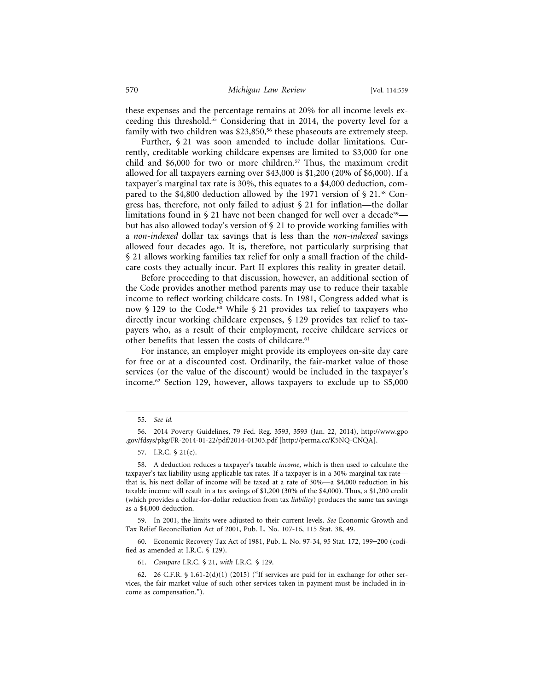these expenses and the percentage remains at 20% for all income levels exceeding this threshold.55 Considering that in 2014, the poverty level for a family with two children was \$23,850,<sup>56</sup> these phaseouts are extremely steep.

Further, § 21 was soon amended to include dollar limitations. Currently, creditable working childcare expenses are limited to \$3,000 for one child and \$6,000 for two or more children.57 Thus, the maximum credit allowed for all taxpayers earning over \$43,000 is \$1,200 (20% of \$6,000). If a taxpayer's marginal tax rate is 30%, this equates to a \$4,000 deduction, compared to the \$4,800 deduction allowed by the 1971 version of  $\S 21$ .<sup>58</sup> Congress has, therefore, not only failed to adjust § 21 for inflation—the dollar limitations found in  $\S 21$  have not been changed for well over a decade<sup>59</sup> but has also allowed today's version of § 21 to provide working families with a *non-indexed* dollar tax savings that is less than the *non-indexed* savings allowed four decades ago. It is, therefore, not particularly surprising that § 21 allows working families tax relief for only a small fraction of the childcare costs they actually incur. Part II explores this reality in greater detail.

Before proceeding to that discussion, however, an additional section of the Code provides another method parents may use to reduce their taxable income to reflect working childcare costs. In 1981, Congress added what is now § 129 to the Code.<sup>60</sup> While § 21 provides tax relief to taxpayers who directly incur working childcare expenses, § 129 provides tax relief to taxpayers who, as a result of their employment, receive childcare services or other benefits that lessen the costs of childcare.<sup>61</sup>

For instance, an employer might provide its employees on-site day care for free or at a discounted cost. Ordinarily, the fair-market value of those services (or the value of the discount) would be included in the taxpayer's income.62 Section 129, however, allows taxpayers to exclude up to \$5,000

<sup>55.</sup> *See id.*

<sup>56. 2014</sup> Poverty Guidelines, 79 Fed. Reg. 3593, 3593 (Jan. 22, 2014), http://www.gpo .gov/fdsys/pkg/FR-2014-01-22/pdf/2014-01303.pdf [http://perma.cc/K5NQ-CNQA].

<sup>57.</sup> I.R.C. § 21(c).

<sup>58.</sup> A deduction reduces a taxpayer's taxable *income*, which is then used to calculate the taxpayer's tax liability using applicable tax rates. If a taxpayer is in a 30% marginal tax rate that is, his next dollar of income will be taxed at a rate of 30%—a \$4,000 reduction in his taxable income will result in a tax savings of \$1,200 (30% of the \$4,000). Thus, a \$1,200 credit (which provides a dollar-for-dollar reduction from tax *liability*) produces the same tax savings as a \$4,000 deduction.

<sup>59.</sup> In 2001, the limits were adjusted to their current levels. *See* Economic Growth and Tax Relief Reconciliation Act of 2001, Pub. L. No. 107-16, 115 Stat. 38, 49.

<sup>60.</sup> Economic Recovery Tax Act of 1981, Pub. L. No. 97-34, 95 Stat. 172, 199–200 (codified as amended at I.R.C. § 129).

<sup>61.</sup> *Compare* I.R.C. § 21, *with* I.R.C. § 129.

<sup>62. 26</sup> C.F.R. § 1.61-2(d)(1) (2015) ("If services are paid for in exchange for other services, the fair market value of such other services taken in payment must be included in income as compensation.").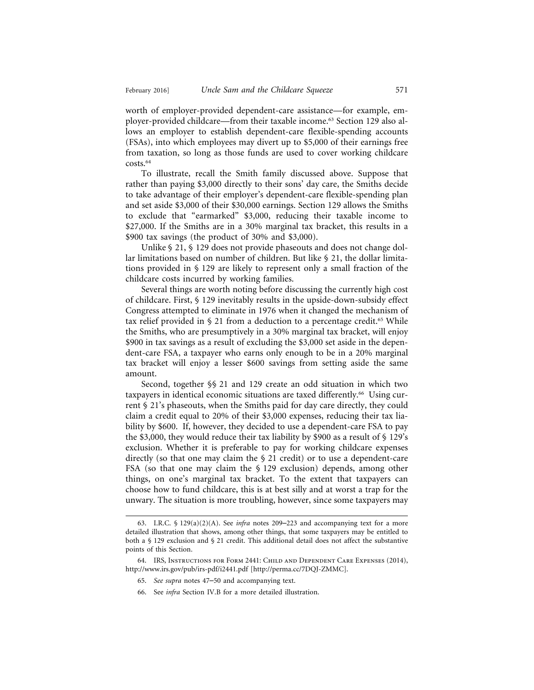worth of employer-provided dependent-care assistance—for example, employer-provided childcare—from their taxable income.63 Section 129 also allows an employer to establish dependent-care flexible-spending accounts (FSAs), into which employees may divert up to \$5,000 of their earnings free from taxation, so long as those funds are used to cover working childcare costs.64

To illustrate, recall the Smith family discussed above. Suppose that rather than paying \$3,000 directly to their sons' day care, the Smiths decide to take advantage of their employer's dependent-care flexible-spending plan and set aside \$3,000 of their \$30,000 earnings. Section 129 allows the Smiths to exclude that "earmarked" \$3,000, reducing their taxable income to \$27,000. If the Smiths are in a 30% marginal tax bracket, this results in a \$900 tax savings (the product of 30% and \$3,000).

Unlike § 21, § 129 does not provide phaseouts and does not change dollar limitations based on number of children. But like § 21, the dollar limitations provided in § 129 are likely to represent only a small fraction of the childcare costs incurred by working families.

Several things are worth noting before discussing the currently high cost of childcare. First, § 129 inevitably results in the upside-down-subsidy effect Congress attempted to eliminate in 1976 when it changed the mechanism of tax relief provided in  $\S$  21 from a deduction to a percentage credit.<sup>65</sup> While the Smiths, who are presumptively in a 30% marginal tax bracket, will enjoy \$900 in tax savings as a result of excluding the \$3,000 set aside in the dependent-care FSA, a taxpayer who earns only enough to be in a 20% marginal tax bracket will enjoy a lesser \$600 savings from setting aside the same amount.

Second, together §§ 21 and 129 create an odd situation in which two taxpayers in identical economic situations are taxed differently.66 Using current § 21's phaseouts, when the Smiths paid for day care directly, they could claim a credit equal to 20% of their \$3,000 expenses, reducing their tax liability by \$600. If, however, they decided to use a dependent-care FSA to pay the \$3,000, they would reduce their tax liability by \$900 as a result of  $\S$  129's exclusion. Whether it is preferable to pay for working childcare expenses directly (so that one may claim the § 21 credit) or to use a dependent-care FSA (so that one may claim the § 129 exclusion) depends, among other things, on one's marginal tax bracket. To the extent that taxpayers can choose how to fund childcare, this is at best silly and at worst a trap for the unwary. The situation is more troubling, however, since some taxpayers may

<sup>63.</sup> I.R.C. § 129(a)(2)(A). See *infra* notes 209–223 and accompanying text for a more detailed illustration that shows, among other things, that some taxpayers may be entitled to both a § 129 exclusion and § 21 credit. This additional detail does not affect the substantive points of this Section.

<sup>64.</sup> IRS, Instructions for Form 2441: Child and Dependent Care Expenses (2014), http://www.irs.gov/pub/irs-pdf/i2441.pdf [http://perma.cc/7DQJ-ZMMC].

<sup>65.</sup> *See supra* notes 47–50 and accompanying text.

<sup>66.</sup> See *infra* Section IV.B for a more detailed illustration.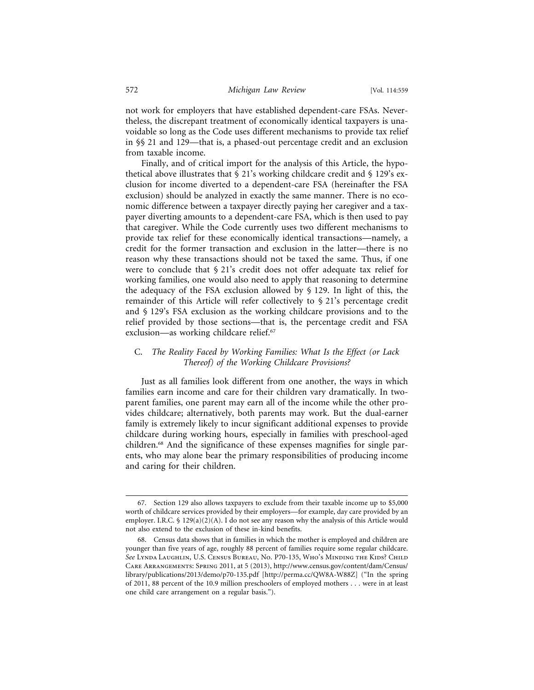not work for employers that have established dependent-care FSAs. Nevertheless, the discrepant treatment of economically identical taxpayers is unavoidable so long as the Code uses different mechanisms to provide tax relief in §§ 21 and 129—that is, a phased-out percentage credit and an exclusion from taxable income.

Finally, and of critical import for the analysis of this Article, the hypothetical above illustrates that  $\S 21$ 's working childcare credit and  $\S 129$ 's exclusion for income diverted to a dependent-care FSA (hereinafter the FSA exclusion) should be analyzed in exactly the same manner. There is no economic difference between a taxpayer directly paying her caregiver and a taxpayer diverting amounts to a dependent-care FSA, which is then used to pay that caregiver. While the Code currently uses two different mechanisms to provide tax relief for these economically identical transactions—namely, a credit for the former transaction and exclusion in the latter—there is no reason why these transactions should not be taxed the same. Thus, if one were to conclude that § 21's credit does not offer adequate tax relief for working families, one would also need to apply that reasoning to determine the adequacy of the FSA exclusion allowed by § 129. In light of this, the remainder of this Article will refer collectively to § 21's percentage credit and § 129's FSA exclusion as the working childcare provisions and to the relief provided by those sections—that is, the percentage credit and FSA exclusion—as working childcare relief.<sup>67</sup>

#### C. *The Reality Faced by Working Families: What Is the Effect (or Lack Thereof) of the Working Childcare Provisions?*

Just as all families look different from one another, the ways in which families earn income and care for their children vary dramatically. In twoparent families, one parent may earn all of the income while the other provides childcare; alternatively, both parents may work. But the dual-earner family is extremely likely to incur significant additional expenses to provide childcare during working hours, especially in families with preschool-aged children.68 And the significance of these expenses magnifies for single parents, who may alone bear the primary responsibilities of producing income and caring for their children.

<sup>67.</sup> Section 129 also allows taxpayers to exclude from their taxable income up to \$5,000 worth of childcare services provided by their employers—for example, day care provided by an employer. I.R.C.  $\S$  129(a)(2)(A). I do not see any reason why the analysis of this Article would not also extend to the exclusion of these in-kind benefits.

<sup>68.</sup> Census data shows that in families in which the mother is employed and children are younger than five years of age, roughly 88 percent of families require some regular childcare. *See* Lynda Laughlin, U.S. Census Bureau, No. P70-135, Who's Minding the Kids? Child Care Arrangements: Spring 2011, at 5 (2013), http://www.census.gov/content/dam/Census/ library/publications/2013/demo/p70-135.pdf [http://perma.cc/QW8A-W88Z] ("In the spring of 2011, 88 percent of the 10.9 million preschoolers of employed mothers . . . were in at least one child care arrangement on a regular basis.").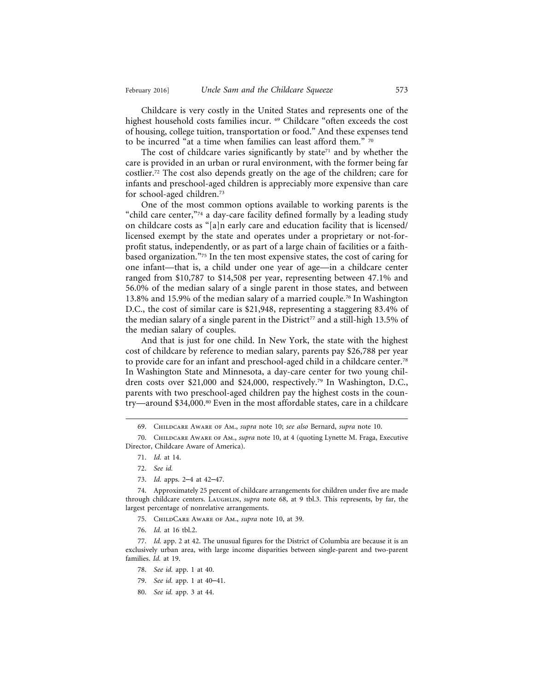Childcare is very costly in the United States and represents one of the highest household costs families incur. 69 Childcare "often exceeds the cost of housing, college tuition, transportation or food." And these expenses tend to be incurred "at a time when families can least afford them." 70

The cost of childcare varies significantly by state<sup> $71$ </sup> and by whether the care is provided in an urban or rural environment, with the former being far costlier.72 The cost also depends greatly on the age of the children; care for infants and preschool-aged children is appreciably more expensive than care for school-aged children.73

One of the most common options available to working parents is the "child care center,"74 a day-care facility defined formally by a leading study on childcare costs as "[a]n early care and education facility that is licensed/ licensed exempt by the state and operates under a proprietary or not-forprofit status, independently, or as part of a large chain of facilities or a faithbased organization."75 In the ten most expensive states, the cost of caring for one infant—that is, a child under one year of age—in a childcare center ranged from \$10,787 to \$14,508 per year, representing between 47.1% and 56.0% of the median salary of a single parent in those states, and between 13.8% and 15.9% of the median salary of a married couple.76 In Washington D.C., the cost of similar care is \$21,948, representing a staggering 83.4% of the median salary of a single parent in the District<sup>77</sup> and a still-high 13.5% of the median salary of couples.

And that is just for one child. In New York, the state with the highest cost of childcare by reference to median salary, parents pay \$26,788 per year to provide care for an infant and preschool-aged child in a childcare center.78 In Washington State and Minnesota, a day-care center for two young children costs over \$21,000 and \$24,000, respectively.79 In Washington, D.C., parents with two preschool-aged children pay the highest costs in the country—around \$34,000.80 Even in the most affordable states, care in a childcare

76. *Id.* at 16 tbl.2.

77. *Id.* app. 2 at 42. The unusual figures for the District of Columbia are because it is an exclusively urban area, with large income disparities between single-parent and two-parent families. *Id.* at 19.

- 78. *See id.* app. 1 at 40.
- 79. *See id.* app. 1 at 40–41.
- 80. *See id.* app. 3 at 44.

<sup>69.</sup> Childcare Aware of Am., *supra* note 10; *see also* Bernard, *supra* note 10.

<sup>70.</sup> Childcare Aware of Am., *supra* note 10, at 4 (quoting Lynette M. Fraga, Executive Director, Childcare Aware of America).

<sup>71.</sup> *Id.* at 14.

<sup>72.</sup> *See id.*

<sup>73.</sup> *Id.* apps. 2–4 at 42–47.

<sup>74.</sup> Approximately 25 percent of childcare arrangements for children under five are made through childcare centers. LAUGHLIN, *supra* note 68, at 9 tbl.3. This represents, by far, the largest percentage of nonrelative arrangements.

<sup>75.</sup> ChildCare Aware of Am., *supra* note 10, at 39.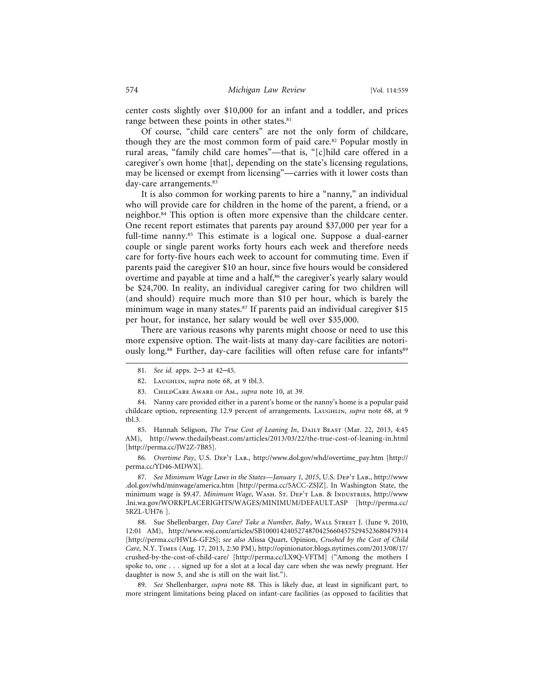center costs slightly over \$10,000 for an infant and a toddler, and prices range between these points in other states.<sup>81</sup>

Of course, "child care centers" are not the only form of childcare, though they are the most common form of paid care.82 Popular mostly in rural areas, "family child care homes"—that is, "[c]hild care offered in a caregiver's own home [that], depending on the state's licensing regulations, may be licensed or exempt from licensing"—carries with it lower costs than day-care arrangements.<sup>83</sup>

It is also common for working parents to hire a "nanny," an individual who will provide care for children in the home of the parent, a friend, or a neighbor.84 This option is often more expensive than the childcare center. One recent report estimates that parents pay around \$37,000 per year for a full-time nanny.<sup>85</sup> This estimate is a logical one. Suppose a dual-earner couple or single parent works forty hours each week and therefore needs care for forty-five hours each week to account for commuting time. Even if parents paid the caregiver \$10 an hour, since five hours would be considered overtime and payable at time and a half,<sup>86</sup> the caregiver's yearly salary would be \$24,700. In reality, an individual caregiver caring for two children will (and should) require much more than \$10 per hour, which is barely the minimum wage in many states.<sup>87</sup> If parents paid an individual caregiver \$15 per hour, for instance, her salary would be well over \$35,000.

There are various reasons why parents might choose or need to use this more expensive option. The wait-lists at many day-care facilities are notoriously long.<sup>88</sup> Further, day-care facilities will often refuse care for infants<sup>89</sup>

83. ChildCare Aware of Am., *supra* note 10, at 39.

85. Hannah Seligson, *The True Cost of Leaning In*, Daily Beast (Mar. 22, 2013, 4:45 AM), http://www.thedailybeast.com/articles/2013/03/22/the-true-cost-of-leaning-in.html [http://perma.cc/JW2Z-7B85].

86. *Overtime Pay*, U.S. Dep't Lab., http://www.dol.gov/whd/overtime\_pay.htm [http:// perma.cc/YD46-MDWX].

87. *See Minimum Wage Laws in the States—January 1, 2015*, U.S. Dep't Lab., http://www .dol.gov/whd/minwage/america.htm [http://perma.cc/5ACC-ZSJZ]. In Washington State, the minimum wage is \$9.47. *Minimum Wage*, Wash. St. Dep't Lab. & Industries, http://www .lni.wa.gov/WORKPLACERIGHTS/WAGES/MINIMUM/DEFAULT.ASP [http://perma.cc/ 5RZL-UH76 ].

88. Sue Shellenbarger, *Day Care? Take a Number, Baby*, Wall Street J. (June 9, 2010, 12:01 AM), http://www.wsj.com/articles/SB10001424052748704256604575294523680479314 [http://perma.cc/HWL6-GF2S]; *see also* Alissa Quart, Opinion, *Crushed by the Cost of Child Care*, N.Y. Times (Aug. 17, 2013, 2:30 PM), http://opinionator.blogs.nytimes.com/2013/08/17/ crushed-by-the-cost-of-child-care/ [http://perma.cc/LX9Q-VFTM] ("Among the mothers I spoke to, one . . . signed up for a slot at a local day care when she was newly pregnant. Her daughter is now 5, and she is still on the wait list.").

89. *See* Shellenbarger, *supra* note 88. This is likely due, at least in significant part, to more stringent limitations being placed on infant-care facilities (as opposed to facilities that

<sup>81.</sup> *See id.* apps. 2–3 at 42–45.

<sup>82.</sup> LAUGHLIN, *supra* note 68, at 9 tbl.3.

<sup>84.</sup> Nanny care provided either in a parent's home or the nanny's home is a popular paid childcare option, representing 12.9 percent of arrangements. LAUGHLIN, *supra* note 68, at 9 tbl.3.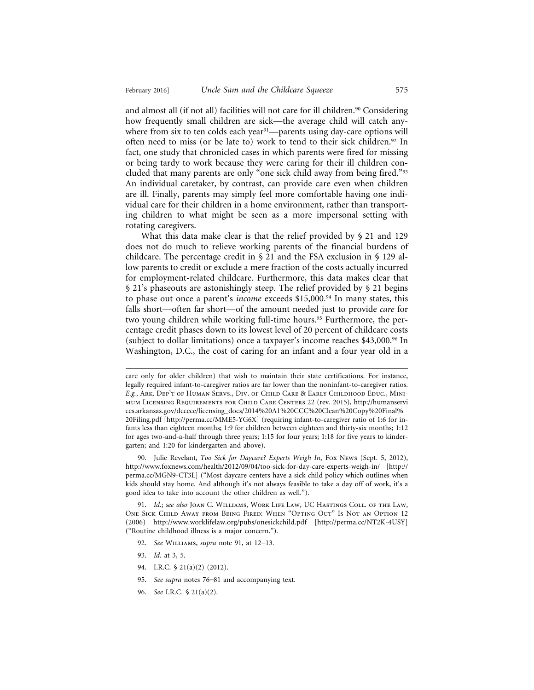and almost all (if not all) facilities will not care for ill children.<sup>90</sup> Considering how frequently small children are sick—the average child will catch anywhere from six to ten colds each year<sup>91</sup>—parents using day-care options will often need to miss (or be late to) work to tend to their sick children.92 In fact, one study that chronicled cases in which parents were fired for missing or being tardy to work because they were caring for their ill children concluded that many parents are only "one sick child away from being fired."93 An individual caretaker, by contrast, can provide care even when children are ill. Finally, parents may simply feel more comfortable having one individual care for their children in a home environment, rather than transporting children to what might be seen as a more impersonal setting with rotating caregivers.

What this data make clear is that the relief provided by § 21 and 129 does not do much to relieve working parents of the financial burdens of childcare. The percentage credit in  $\S$  21 and the FSA exclusion in  $\S$  129 allow parents to credit or exclude a mere fraction of the costs actually incurred for employment-related childcare. Furthermore, this data makes clear that § 21's phaseouts are astonishingly steep. The relief provided by § 21 begins to phase out once a parent's *income* exceeds \$15,000.<sup>94</sup> In many states, this falls short—often far short—of the amount needed just to provide *care* for two young children while working full-time hours.<sup>95</sup> Furthermore, the percentage credit phases down to its lowest level of 20 percent of childcare costs (subject to dollar limitations) once a taxpayer's income reaches \$43,000.96 In Washington, D.C., the cost of caring for an infant and a four year old in a

90. Julie Revelant, *Too Sick for Daycare? Experts Weigh In*, Fox News (Sept. 5, 2012), http://www.foxnews.com/health/2012/09/04/too-sick-for-day-care-experts-weigh-in/ [http:// perma.cc/MGN9-CT3L] ("Most daycare centers have a sick child policy which outlines when kids should stay home. And although it's not always feasible to take a day off of work, it's a good idea to take into account the other children as well.").

91. *Id.*; *see also* Joan C. Williams, Work Life Law, UC Hastings Coll. of the Law, One Sick Child Away from Being Fired: When "Opting Out" Is Not an Option 12 (2006) http://www.worklifelaw.org/pubs/onesickchild.pdf [http://perma.cc/NT2K-4USY] ("Routine childhood illness is a major concern.").

- 92. *See* Williams, *supra* note 91, at 12–13.
- 93. *Id.* at 3, 5.
- 94. I.R.C. § 21(a)(2) (2012).
- 95. *See supra* notes 76–81 and accompanying text.
- 96. *See* I.R.C. § 21(a)(2).

care only for older children) that wish to maintain their state certifications. For instance, legally required infant-to-caregiver ratios are far lower than the noninfant-to-caregiver ratios. *E.g.*, Ark. Dep't of Human Servs., Div. of Child Care & Early Childhood Educ., Minimum Licensing Requirements for Child Care Centers 22 (rev. 2015), http://humanservi ces.arkansas.gov/dccece/licensing\_docs/2014%20A1%20CCC%20Clean%20Copy%20Final% 20Filing.pdf [http://perma.cc/MME5-YG6X] (requiring infant-to-caregiver ratio of 1:6 for infants less than eighteen months; 1:9 for children between eighteen and thirty-six months; 1:12 for ages two-and-a-half through three years; 1:15 for four years; 1:18 for five years to kindergarten; and 1:20 for kindergarten and above).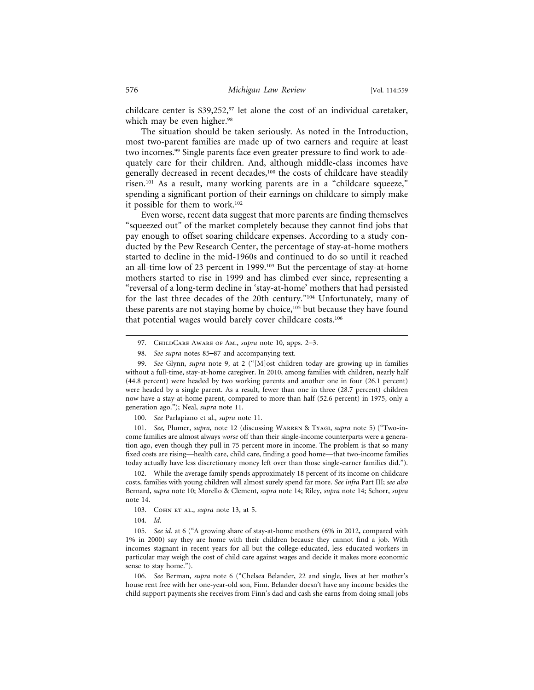childcare center is \$39,252,<sup>97</sup> let alone the cost of an individual caretaker, which may be even higher.<sup>98</sup>

The situation should be taken seriously. As noted in the Introduction, most two-parent families are made up of two earners and require at least two incomes.<sup>99</sup> Single parents face even greater pressure to find work to adequately care for their children. And, although middle-class incomes have generally decreased in recent decades,<sup>100</sup> the costs of childcare have steadily risen.101 As a result, many working parents are in a "childcare squeeze," spending a significant portion of their earnings on childcare to simply make it possible for them to work.102

Even worse, recent data suggest that more parents are finding themselves "squeezed out" of the market completely because they cannot find jobs that pay enough to offset soaring childcare expenses. According to a study conducted by the Pew Research Center, the percentage of stay-at-home mothers started to decline in the mid-1960s and continued to do so until it reached an all-time low of 23 percent in 1999.103 But the percentage of stay-at-home mothers started to rise in 1999 and has climbed ever since, representing a "reversal of a long-term decline in 'stay-at-home' mothers that had persisted for the last three decades of the 20th century."104 Unfortunately, many of these parents are not staying home by choice,<sup>105</sup> but because they have found that potential wages would barely cover childcare costs.106

100. *See* Parlapiano et al., *supra* note 11.

101. *See,* Plumer, *supra*, note 12 (discussing Warren & Tyagi, *supra* note 5) ("Two-income families are almost always *worse* off than their single-income counterparts were a generation ago, even though they pull in 75 percent more in income. The problem is that so many fixed costs are rising—health care, child care, finding a good home—that two-income families today actually have less discretionary money left over than those single-earner families did.").

102. While the average family spends approximately 18 percent of its income on childcare costs, families with young children will almost surely spend far more. *See infra* Part III; *see also* Bernard, *supra* note 10; Morello & Clement, *supra* note 14; Riley, *supra* note 14; Schorr, *supra* note 14.

103. Сонм *ET AL., <i>supra* note 13, at 5.

104. *Id.*

105. *See id.* at 6 ("A growing share of stay-at-home mothers (6% in 2012, compared with 1% in 2000) say they are home with their children because they cannot find a job. With incomes stagnant in recent years for all but the college-educated, less educated workers in particular may weigh the cost of child care against wages and decide it makes more economic sense to stay home.").

106. *See* Berman, *supra* note 6 ("Chelsea Belander, 22 and single, lives at her mother's house rent free with her one-year-old son, Finn. Belander doesn't have any income besides the child support payments she receives from Finn's dad and cash she earns from doing small jobs

<sup>97.</sup> ChildCare Aware of Am., *supra* note 10, apps. 2–3.

<sup>98.</sup> *See supra* notes 85–87 and accompanying text.

<sup>99.</sup> *See* Glynn, *supra* note 9, at 2 ("[M]ost children today are growing up in families without a full-time, stay-at-home caregiver. In 2010, among families with children, nearly half (44.8 percent) were headed by two working parents and another one in four (26.1 percent) were headed by a single parent. As a result, fewer than one in three (28.7 percent) children now have a stay-at-home parent, compared to more than half (52.6 percent) in 1975, only a generation ago."); Neal, *supra* note 11.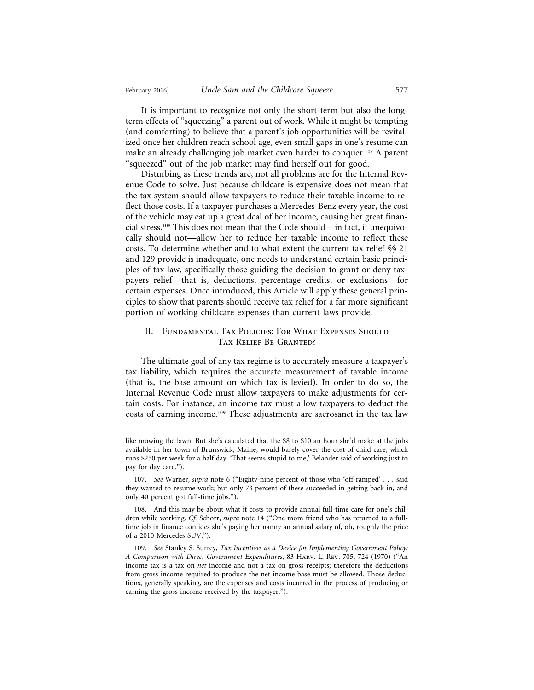It is important to recognize not only the short-term but also the longterm effects of "squeezing" a parent out of work. While it might be tempting (and comforting) to believe that a parent's job opportunities will be revitalized once her children reach school age, even small gaps in one's resume can make an already challenging job market even harder to conquer.107 A parent "squeezed" out of the job market may find herself out for good.

Disturbing as these trends are, not all problems are for the Internal Revenue Code to solve. Just because childcare is expensive does not mean that the tax system should allow taxpayers to reduce their taxable income to reflect those costs. If a taxpayer purchases a Mercedes-Benz every year, the cost of the vehicle may eat up a great deal of her income, causing her great financial stress.108 This does not mean that the Code should—in fact, it unequivocally should not—allow her to reduce her taxable income to reflect these costs. To determine whether and to what extent the current tax relief §§ 21 and 129 provide is inadequate, one needs to understand certain basic principles of tax law, specifically those guiding the decision to grant or deny taxpayers relief—that is, deductions, percentage credits, or exclusions—for certain expenses. Once introduced, this Article will apply these general principles to show that parents should receive tax relief for a far more significant portion of working childcare expenses than current laws provide.

#### II. Fundamental Tax Policies: For What Expenses Should Tax Relief Be Granted?

The ultimate goal of any tax regime is to accurately measure a taxpayer's tax liability, which requires the accurate measurement of taxable income (that is, the base amount on which tax is levied). In order to do so, the Internal Revenue Code must allow taxpayers to make adjustments for certain costs. For instance, an income tax must allow taxpayers to deduct the costs of earning income.109 These adjustments are sacrosanct in the tax law

like mowing the lawn. But she's calculated that the \$8 to \$10 an hour she'd make at the jobs available in her town of Brunswick, Maine, would barely cover the cost of child care, which runs \$250 per week for a half day. 'That seems stupid to me,' Belander said of working just to pay for day care.").

<sup>107.</sup> *See* Warner, *supra* note 6 ("Eighty-nine percent of those who 'off-ramped' . . . said they wanted to resume work; but only 73 percent of these succeeded in getting back in, and only 40 percent got full-time jobs.").

<sup>108.</sup> And this may be about what it costs to provide annual full-time care for one's children while working. *Cf.* Schorr, *supra* note 14 ("One mom friend who has returned to a fulltime job in finance confides she's paying her nanny an annual salary of, oh, roughly the price of a 2010 Mercedes SUV.").

<sup>109.</sup> *See* Stanley S. Surrey, *Tax Incentives as a Device for Implementing Government Policy: A Comparison with Direct Government Expenditures*, 83 Harv. L. Rev. 705, 724 (1970) ("An income tax is a tax on *net* income and not a tax on gross receipts; therefore the deductions from gross income required to produce the net income base must be allowed. Those deductions, generally speaking, are the expenses and costs incurred in the process of producing or earning the gross income received by the taxpayer.").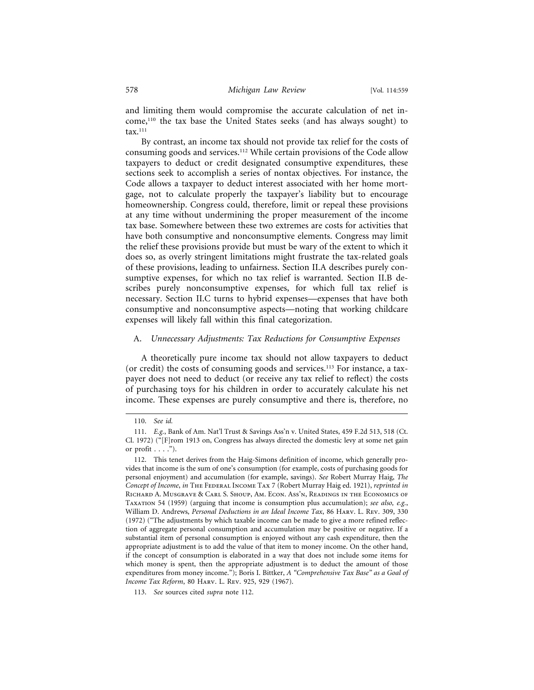and limiting them would compromise the accurate calculation of net income,110 the tax base the United States seeks (and has always sought) to  $\text{tax}.^{111}$ 

By contrast, an income tax should not provide tax relief for the costs of consuming goods and services.112 While certain provisions of the Code allow taxpayers to deduct or credit designated consumptive expenditures, these sections seek to accomplish a series of nontax objectives. For instance, the Code allows a taxpayer to deduct interest associated with her home mortgage, not to calculate properly the taxpayer's liability but to encourage homeownership. Congress could, therefore, limit or repeal these provisions at any time without undermining the proper measurement of the income tax base. Somewhere between these two extremes are costs for activities that have both consumptive and nonconsumptive elements. Congress may limit the relief these provisions provide but must be wary of the extent to which it does so, as overly stringent limitations might frustrate the tax-related goals of these provisions, leading to unfairness. Section II.A describes purely consumptive expenses, for which no tax relief is warranted. Section II.B describes purely nonconsumptive expenses, for which full tax relief is necessary. Section II.C turns to hybrid expenses—expenses that have both consumptive and nonconsumptive aspects—noting that working childcare expenses will likely fall within this final categorization.

#### A. *Unnecessary Adjustments: Tax Reductions for Consumptive Expenses*

A theoretically pure income tax should not allow taxpayers to deduct (or credit) the costs of consuming goods and services.113 For instance, a taxpayer does not need to deduct (or receive any tax relief to reflect) the costs of purchasing toys for his children in order to accurately calculate his net income. These expenses are purely consumptive and there is, therefore, no

<sup>110.</sup> *See id.*

<sup>111.</sup> *E.g.*, Bank of Am. Nat'l Trust & Savings Ass'n v. United States, 459 F.2d 513, 518 (Ct. Cl. 1972) ("[F]rom 1913 on, Congress has always directed the domestic levy at some net gain or profit  $\dots$ .").

<sup>112.</sup> This tenet derives from the Haig-Simons definition of income, which generally provides that income is the sum of one's consumption (for example, costs of purchasing goods for personal enjoyment) and accumulation (for example, savings). *See* Robert Murray Haig, *The Concept of Income*, *in* The Federal Income Tax 7 (Robert Murray Haig ed. 1921), *reprinted in* Richard A. Musgrave & Carl S. Shoup, Am. Econ. Ass'n, Readings in the Economics of Taxation 54 (1959) (arguing that income is consumption plus accumulation); *see also, e.g.*, William D. Andrews, *Personal Deductions in an Ideal Income Tax*, 86 Harv. L. Rev. 309, 330 (1972) ("The adjustments by which taxable income can be made to give a more refined reflection of aggregate personal consumption and accumulation may be positive or negative. If a substantial item of personal consumption is enjoyed without any cash expenditure, then the appropriate adjustment is to add the value of that item to money income. On the other hand, if the concept of consumption is elaborated in a way that does not include some items for which money is spent, then the appropriate adjustment is to deduct the amount of those expenditures from money income."); Boris I. Bittker, *A "Comprehensive Tax Base" as a Goal of Income Tax Reform*, 80 Harv. L. Rev. 925, 929 (1967).

<sup>113.</sup> *See* sources cited *supra* note 112.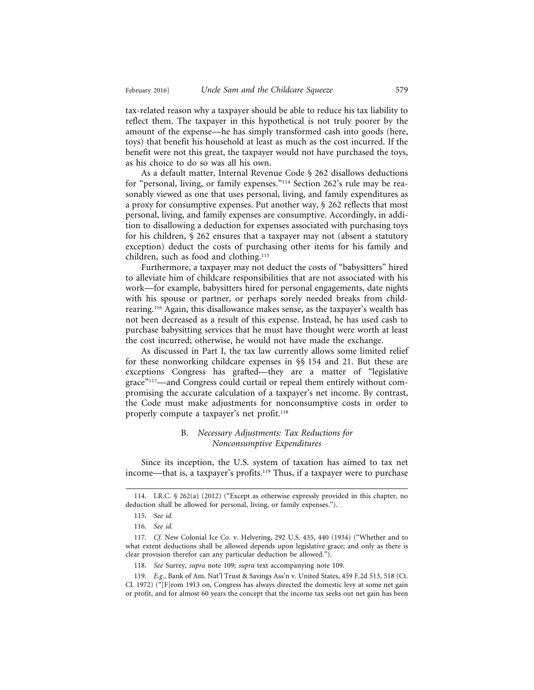tax-related reason why a taxpayer should be able to reduce his tax liability to reflect them. The taxpayer in this hypothetical is not truly poorer by the amount of the expense—he has simply transformed cash into goods (here, toys) that benefit his household at least as much as the cost incurred. If the benefit were not this great, the taxpayer would not have purchased the toys, as his choice to do so was all his own.

As a default matter, Internal Revenue Code § 262 disallows deductions for "personal, living, or family expenses."114 Section 262's rule may be reasonably viewed as one that uses personal, living, and family expenditures as a proxy for consumptive expenses. Put another way, § 262 reflects that most personal, living, and family expenses are consumptive. Accordingly, in addition to disallowing a deduction for expenses associated with purchasing toys for his children, § 262 ensures that a taxpayer may not (absent a statutory exception) deduct the costs of purchasing other items for his family and children, such as food and clothing.115

Furthermore, a taxpayer may not deduct the costs of "babysitters" hired to alleviate him of childcare responsibilities that are not associated with his work—for example, babysitters hired for personal engagements, date nights with his spouse or partner, or perhaps sorely needed breaks from childrearing.116 Again, this disallowance makes sense, as the taxpayer's wealth has not been decreased as a result of this expense. Instead, he has used cash to purchase babysitting services that he must have thought were worth at least the cost incurred; otherwise, he would not have made the exchange.

As discussed in Part I, the tax law currently allows some limited relief for these nonworking childcare expenses in §§ 154 and 21. But these are exceptions Congress has grafted—they are a matter of "legislative grace"117—and Congress could curtail or repeal them entirely without compromising the accurate calculation of a taxpayer's net income. By contrast, the Code must make adjustments for nonconsumptive costs in order to properly compute a taxpayer's net profit.<sup>118</sup>

#### B. *Necessary Adjustments: Tax Reductions for Nonconsumptive Expenditures*

Since its inception, the U.S. system of taxation has aimed to tax net income—that is, a taxpayer's profits.119 Thus, if a taxpayer were to purchase

118. *See* Surrey, *supra* note 109; *supra* text accompanying note 109.

<sup>114.</sup> I.R.C. § 262(a) (2012) ("Except as otherwise expressly provided in this chapter, no deduction shall be allowed for personal, living, or family expenses.").

<sup>115.</sup> *See id.*

<sup>116.</sup> *See id.*

<sup>117.</sup> *Cf.* New Colonial Ice Co. v. Helvering, 292 U.S. 435, 440 (1934) ("Whether and to what extent deductions shall be allowed depends upon legislative grace; and only as there is clear provision therefor can any particular deduction be allowed.").

<sup>119.</sup> *E.g.*, Bank of Am. Nat'l Trust & Savings Ass'n v. United States, 459 F.2d 513, 518 (Ct. Cl. 1972) ("[F]rom 1913 on, Congress has always directed the domestic levy at some net gain or profit, and for almost 60 years the concept that the income tax seeks out net gain has been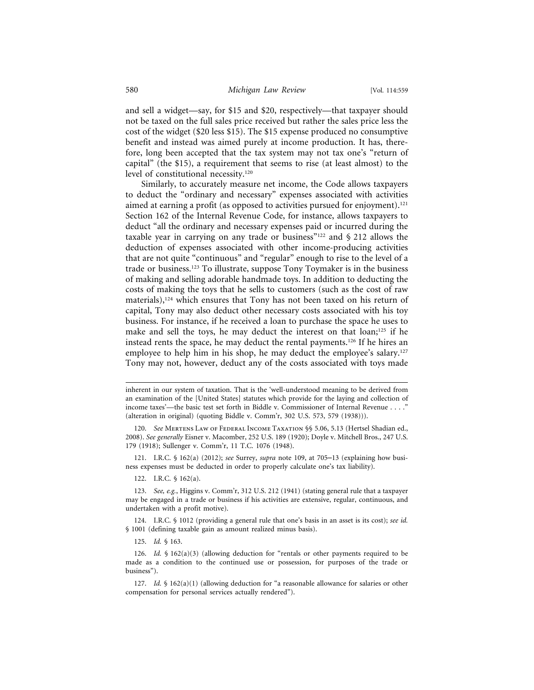and sell a widget—say, for \$15 and \$20, respectively—that taxpayer should not be taxed on the full sales price received but rather the sales price less the cost of the widget (\$20 less \$15). The \$15 expense produced no consumptive benefit and instead was aimed purely at income production. It has, therefore, long been accepted that the tax system may not tax one's "return of capital" (the \$15), a requirement that seems to rise (at least almost) to the level of constitutional necessity.120

Similarly, to accurately measure net income, the Code allows taxpayers to deduct the "ordinary and necessary" expenses associated with activities aimed at earning a profit (as opposed to activities pursued for enjoyment).<sup>121</sup> Section 162 of the Internal Revenue Code, for instance, allows taxpayers to deduct "all the ordinary and necessary expenses paid or incurred during the taxable year in carrying on any trade or business"<sup>122</sup> and  $\S 212$  allows the deduction of expenses associated with other income-producing activities that are not quite "continuous" and "regular" enough to rise to the level of a trade or business.123 To illustrate, suppose Tony Toymaker is in the business of making and selling adorable handmade toys. In addition to deducting the costs of making the toys that he sells to customers (such as the cost of raw materials),<sup>124</sup> which ensures that Tony has not been taxed on his return of capital, Tony may also deduct other necessary costs associated with his toy business. For instance, if he received a loan to purchase the space he uses to make and sell the toys, he may deduct the interest on that loan;<sup>125</sup> if he instead rents the space, he may deduct the rental payments.126 If he hires an employee to help him in his shop, he may deduct the employee's salary.<sup>127</sup> Tony may not, however, deduct any of the costs associated with toys made

121. I.R.C. § 162(a) (2012); *see* Surrey, *supra* note 109, at 705–13 (explaining how business expenses must be deducted in order to properly calculate one's tax liability).

122. I.R.C. § 162(a).

inherent in our system of taxation. That is the 'well-understood meaning to be derived from an examination of the [United States] statutes which provide for the laying and collection of income taxes'—the basic test set forth in Biddle v. Commissioner of Internal Revenue . . . ." (alteration in original) (quoting Biddle v. Comm'r, 302 U.S. 573, 579 (1938))).

<sup>120.</sup> *See* MERTENS LAW OF FEDERAL INCOME TAXATION §§ 5.06, 5.13 (Hertsel Shadian ed., 2008). *See generally* Eisner v. Macomber, 252 U.S. 189 (1920); Doyle v. Mitchell Bros., 247 U.S. 179 (1918); Sullenger v. Comm'r, 11 T.C. 1076 (1948).

<sup>123.</sup> *See, e.g.*, Higgins v. Comm'r, 312 U.S. 212 (1941) (stating general rule that a taxpayer may be engaged in a trade or business if his activities are extensive, regular, continuous, and undertaken with a profit motive).

<sup>124.</sup> I.R.C. § 1012 (providing a general rule that one's basis in an asset is its cost); *see id.* § 1001 (defining taxable gain as amount realized minus basis).

<sup>125.</sup> *Id.* § 163.

<sup>126.</sup> *Id.* § 162(a)(3) (allowing deduction for "rentals or other payments required to be made as a condition to the continued use or possession, for purposes of the trade or business").

<sup>127.</sup> *Id.* § 162(a)(1) (allowing deduction for "a reasonable allowance for salaries or other compensation for personal services actually rendered").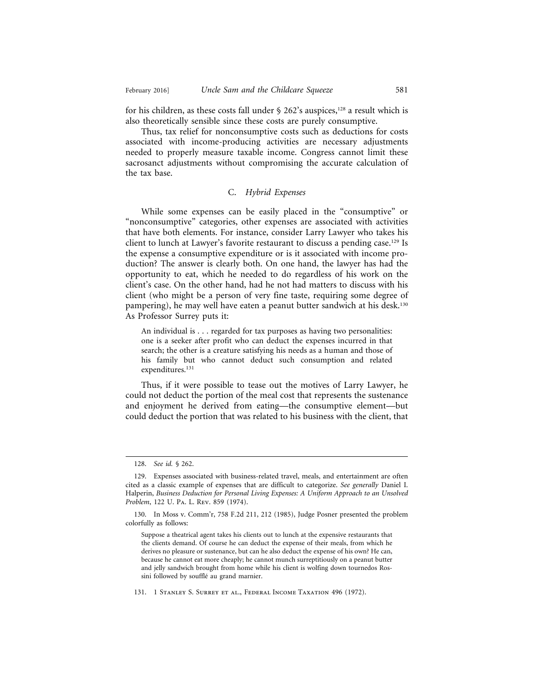for his children, as these costs fall under  $\S$  262's auspices,<sup>128</sup> a result which is also theoretically sensible since these costs are purely consumptive.

Thus, tax relief for nonconsumptive costs such as deductions for costs associated with income-producing activities are necessary adjustments needed to properly measure taxable income. Congress cannot limit these sacrosanct adjustments without compromising the accurate calculation of the tax base.

#### C. *Hybrid Expenses*

While some expenses can be easily placed in the "consumptive" or "nonconsumptive" categories, other expenses are associated with activities that have both elements. For instance, consider Larry Lawyer who takes his client to lunch at Lawyer's favorite restaurant to discuss a pending case.129 Is the expense a consumptive expenditure or is it associated with income production? The answer is clearly both. On one hand, the lawyer has had the opportunity to eat, which he needed to do regardless of his work on the client's case. On the other hand, had he not had matters to discuss with his client (who might be a person of very fine taste, requiring some degree of pampering), he may well have eaten a peanut butter sandwich at his desk.130 As Professor Surrey puts it:

An individual is . . . regarded for tax purposes as having two personalities: one is a seeker after profit who can deduct the expenses incurred in that search; the other is a creature satisfying his needs as a human and those of his family but who cannot deduct such consumption and related expenditures.<sup>131</sup>

Thus, if it were possible to tease out the motives of Larry Lawyer, he could not deduct the portion of the meal cost that represents the sustenance and enjoyment he derived from eating—the consumptive element—but could deduct the portion that was related to his business with the client, that

131. 1 Stanley S. Surrey et al., Federal Income Taxation 496 (1972).

<sup>128.</sup> *See id.* § 262.

<sup>129.</sup> Expenses associated with business-related travel, meals, and entertainment are often cited as a classic example of expenses that are difficult to categorize. *See generally* Daniel I. Halperin, *Business Deduction for Personal Living Expenses: A Uniform Approach to an Unsolved Problem*, 122 U. Pa. L. Rev. 859 (1974).

<sup>130.</sup> In Moss v. Comm'r, 758 F.2d 211, 212 (1985), Judge Posner presented the problem colorfully as follows:

Suppose a theatrical agent takes his clients out to lunch at the expensive restaurants that the clients demand. Of course he can deduct the expense of their meals, from which he derives no pleasure or sustenance, but can he also deduct the expense of his own? He can, because he cannot eat more cheaply; he cannot munch surreptitiously on a peanut butter and jelly sandwich brought from home while his client is wolfing down tournedos Rossini followed by soufflé au grand marnier.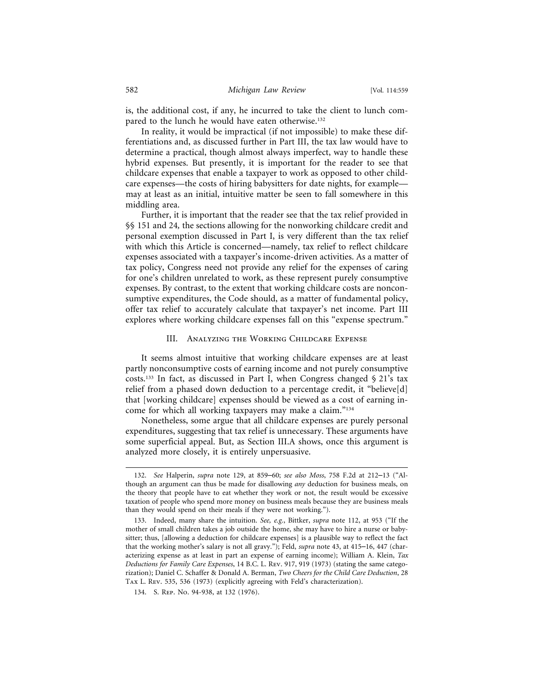is, the additional cost, if any, he incurred to take the client to lunch compared to the lunch he would have eaten otherwise.<sup>132</sup>

In reality, it would be impractical (if not impossible) to make these differentiations and, as discussed further in Part III, the tax law would have to determine a practical, though almost always imperfect, way to handle these hybrid expenses. But presently, it is important for the reader to see that childcare expenses that enable a taxpayer to work as opposed to other childcare expenses—the costs of hiring babysitters for date nights, for example may at least as an initial, intuitive matter be seen to fall somewhere in this middling area.

Further, it is important that the reader see that the tax relief provided in §§ 151 and 24*,* the sections allowing for the nonworking childcare credit and personal exemption discussed in Part I, is very different than the tax relief with which this Article is concerned—namely, tax relief to reflect childcare expenses associated with a taxpayer's income-driven activities. As a matter of tax policy, Congress need not provide any relief for the expenses of caring for one's children unrelated to work, as these represent purely consumptive expenses. By contrast, to the extent that working childcare costs are nonconsumptive expenditures, the Code should, as a matter of fundamental policy, offer tax relief to accurately calculate that taxpayer's net income. Part III explores where working childcare expenses fall on this "expense spectrum."

#### III. Analyzing the Working Childcare Expense

It seems almost intuitive that working childcare expenses are at least partly nonconsumptive costs of earning income and not purely consumptive costs.<sup>133</sup> In fact, as discussed in Part I, when Congress changed  $\S 21$ 's tax relief from a phased down deduction to a percentage credit, it "believe[d] that [working childcare] expenses should be viewed as a cost of earning income for which all working taxpayers may make a claim."134

Nonetheless, some argue that all childcare expenses are purely personal expenditures, suggesting that tax relief is unnecessary. These arguments have some superficial appeal. But, as Section III.A shows, once this argument is analyzed more closely, it is entirely unpersuasive.

<sup>132.</sup> *See* Halperin, *supra* note 129, at 859–60; *see also Moss*, 758 F.2d at 212–13 ("Although an argument can thus be made for disallowing *any* deduction for business meals, on the theory that people have to eat whether they work or not, the result would be excessive taxation of people who spend more money on business meals because they are business meals than they would spend on their meals if they were not working.").

<sup>133.</sup> Indeed, many share the intuition. *See, e.g.*, Bittker, *supra* note 112, at 953 ("If the mother of small children takes a job outside the home, she may have to hire a nurse or babysitter; thus, [allowing a deduction for childcare expenses] is a plausible way to reflect the fact that the working mother's salary is not all gravy."); Feld, *supra* note 43, at 415–16, 447 (characterizing expense as at least in part an expense of earning income); William A. Klein, *Tax Deductions for Family Care Expenses*, 14 B.C. L. Rev. 917, 919 (1973) (stating the same categorization); Daniel C. Schaffer & Donald A. Berman, *Two Cheers for the Child Care Deduction*, 28 Tax L. Rev. 535, 536 (1973) (explicitly agreeing with Feld's characterization).

<sup>134.</sup> S. Rep. No. 94-938, at 132 (1976).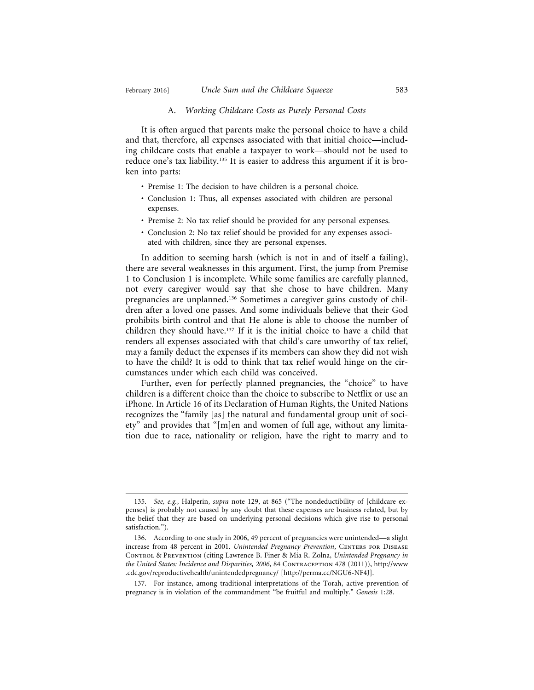#### A. *Working Childcare Costs as Purely Personal Costs*

It is often argued that parents make the personal choice to have a child and that, therefore, all expenses associated with that initial choice—including childcare costs that enable a taxpayer to work—should not be used to reduce one's tax liability.<sup>135</sup> It is easier to address this argument if it is broken into parts:

- Premise 1: The decision to have children is a personal choice.
- Conclusion 1: Thus, all expenses associated with children are personal expenses.
- Premise 2: No tax relief should be provided for any personal expenses.
- Conclusion 2: No tax relief should be provided for any expenses associated with children, since they are personal expenses.

In addition to seeming harsh (which is not in and of itself a failing), there are several weaknesses in this argument. First, the jump from Premise 1 to Conclusion 1 is incomplete. While some families are carefully planned, not every caregiver would say that she chose to have children. Many pregnancies are unplanned.136 Sometimes a caregiver gains custody of children after a loved one passes. And some individuals believe that their God prohibits birth control and that He alone is able to choose the number of children they should have.137 If it is the initial choice to have a child that renders all expenses associated with that child's care unworthy of tax relief, may a family deduct the expenses if its members can show they did not wish to have the child? It is odd to think that tax relief would hinge on the circumstances under which each child was conceived.

Further, even for perfectly planned pregnancies, the "choice" to have children is a different choice than the choice to subscribe to Netflix or use an iPhone. In Article 16 of its Declaration of Human Rights, the United Nations recognizes the "family [as] the natural and fundamental group unit of society" and provides that "[m]en and women of full age, without any limitation due to race, nationality or religion, have the right to marry and to

<sup>135.</sup> *See, e.g.*, Halperin, *supra* note 129, at 865 ("The nondeductibility of [childcare expenses] is probably not caused by any doubt that these expenses are business related, but by the belief that they are based on underlying personal decisions which give rise to personal satisfaction.").

<sup>136.</sup> According to one study in 2006, 49 percent of pregnancies were unintended—a slight increase from 48 percent in 2001. *Unintended Pregnancy Prevention*, CENTERS FOR DISEASE Control & Prevention (citing Lawrence B. Finer & Mia R. Zolna, *Unintended Pregnancy in* the United States: Incidence and Disparities, 2006, 84 CONTRACEPTION 478 (2011)), http://www .cdc.gov/reproductivehealth/unintendedpregnancy/ [http://perma.cc/NGU6-NF4J].

<sup>137.</sup> For instance, among traditional interpretations of the Torah, active prevention of pregnancy is in violation of the commandment "be fruitful and multiply." *Genesis* 1:28.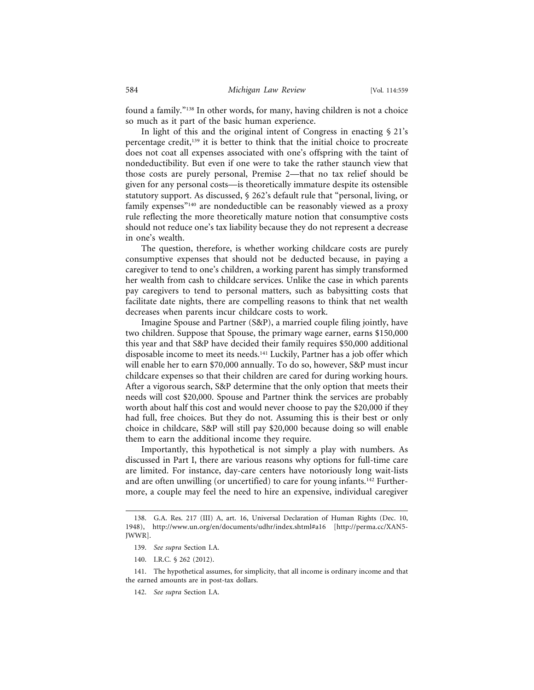found a family."138 In other words, for many, having children is not a choice so much as it part of the basic human experience.

In light of this and the original intent of Congress in enacting  $\S 21's$ percentage credit,<sup>139</sup> it is better to think that the initial choice to procreate does not coat all expenses associated with one's offspring with the taint of nondeductibility. But even if one were to take the rather staunch view that those costs are purely personal, Premise 2—that no tax relief should be given for any personal costs—is theoretically immature despite its ostensible statutory support. As discussed, § 262's default rule that "personal, living, or family expenses"140 are nondeductible can be reasonably viewed as a proxy rule reflecting the more theoretically mature notion that consumptive costs should not reduce one's tax liability because they do not represent a decrease in one's wealth.

The question, therefore, is whether working childcare costs are purely consumptive expenses that should not be deducted because, in paying a caregiver to tend to one's children, a working parent has simply transformed her wealth from cash to childcare services. Unlike the case in which parents pay caregivers to tend to personal matters, such as babysitting costs that facilitate date nights, there are compelling reasons to think that net wealth decreases when parents incur childcare costs to work.

Imagine Spouse and Partner (S&P), a married couple filing jointly, have two children. Suppose that Spouse, the primary wage earner, earns \$150,000 this year and that S&P have decided their family requires \$50,000 additional disposable income to meet its needs.<sup>141</sup> Luckily, Partner has a job offer which will enable her to earn \$70,000 annually. To do so, however, S&P must incur childcare expenses so that their children are cared for during working hours. After a vigorous search, S&P determine that the only option that meets their needs will cost \$20,000. Spouse and Partner think the services are probably worth about half this cost and would never choose to pay the \$20,000 if they had full, free choices. But they do not. Assuming this is their best or only choice in childcare, S&P will still pay \$20,000 because doing so will enable them to earn the additional income they require.

Importantly, this hypothetical is not simply a play with numbers. As discussed in Part I, there are various reasons why options for full-time care are limited. For instance, day-care centers have notoriously long wait-lists and are often unwilling (or uncertified) to care for young infants.142 Furthermore, a couple may feel the need to hire an expensive, individual caregiver

140. I.R.C. § 262 (2012).

142. *See supra* Section I.A.

<sup>138.</sup> G.A. Res. 217 (III) A, art. 16, Universal Declaration of Human Rights (Dec. 10, 1948), http://www.un.org/en/documents/udhr/index.shtml#a16 [http://perma.cc/XAN5- JWWR].

<sup>139.</sup> *See supra* Section I.A.

<sup>141.</sup> The hypothetical assumes, for simplicity, that all income is ordinary income and that the earned amounts are in post-tax dollars.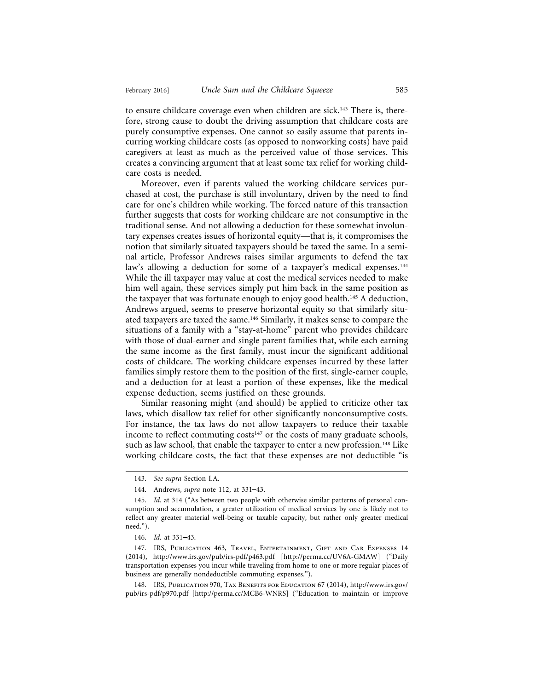to ensure childcare coverage even when children are sick.<sup>143</sup> There is, therefore, strong cause to doubt the driving assumption that childcare costs are purely consumptive expenses. One cannot so easily assume that parents incurring working childcare costs (as opposed to nonworking costs) have paid caregivers at least as much as the perceived value of those services. This creates a convincing argument that at least some tax relief for working childcare costs is needed.

Moreover, even if parents valued the working childcare services purchased at cost, the purchase is still involuntary, driven by the need to find care for one's children while working. The forced nature of this transaction further suggests that costs for working childcare are not consumptive in the traditional sense. And not allowing a deduction for these somewhat involuntary expenses creates issues of horizontal equity—that is, it compromises the notion that similarly situated taxpayers should be taxed the same. In a seminal article, Professor Andrews raises similar arguments to defend the tax law's allowing a deduction for some of a taxpayer's medical expenses.<sup>144</sup> While the ill taxpayer may value at cost the medical services needed to make him well again, these services simply put him back in the same position as the taxpayer that was fortunate enough to enjoy good health.<sup>145</sup> A deduction, Andrews argued, seems to preserve horizontal equity so that similarly situated taxpayers are taxed the same.146 Similarly, it makes sense to compare the situations of a family with a "stay-at-home" parent who provides childcare with those of dual-earner and single parent families that, while each earning the same income as the first family, must incur the significant additional costs of childcare. The working childcare expenses incurred by these latter families simply restore them to the position of the first, single-earner couple, and a deduction for at least a portion of these expenses, like the medical expense deduction, seems justified on these grounds.

Similar reasoning might (and should) be applied to criticize other tax laws, which disallow tax relief for other significantly nonconsumptive costs. For instance, the tax laws do not allow taxpayers to reduce their taxable income to reflect commuting costs<sup>147</sup> or the costs of many graduate schools, such as law school, that enable the taxpayer to enter a new profession.<sup>148</sup> Like working childcare costs, the fact that these expenses are not deductible "is

148. IRS, Publication 970, Tax Benefits for Education 67 (2014), http://www.irs.gov/ pub/irs-pdf/p970.pdf [http://perma.cc/MCB6-WNRS] ("Education to maintain or improve

<sup>143.</sup> *See supra* Section I.A.

<sup>144.</sup> Andrews, *supra* note 112, at 331–43.

<sup>145.</sup> *Id.* at 314 ("As between two people with otherwise similar patterns of personal consumption and accumulation, a greater utilization of medical services by one is likely not to reflect any greater material well-being or taxable capacity, but rather only greater medical need.").

<sup>146.</sup> *Id.* at 331–43.

<sup>147.</sup> IRS, Publication 463, Travel, Entertainment, Gift and Car Expenses 14 (2014), http://www.irs.gov/pub/irs-pdf/p463.pdf [http://perma.cc/UV6A-GMAW] ("Daily transportation expenses you incur while traveling from home to one or more regular places of business are generally nondeductible commuting expenses.").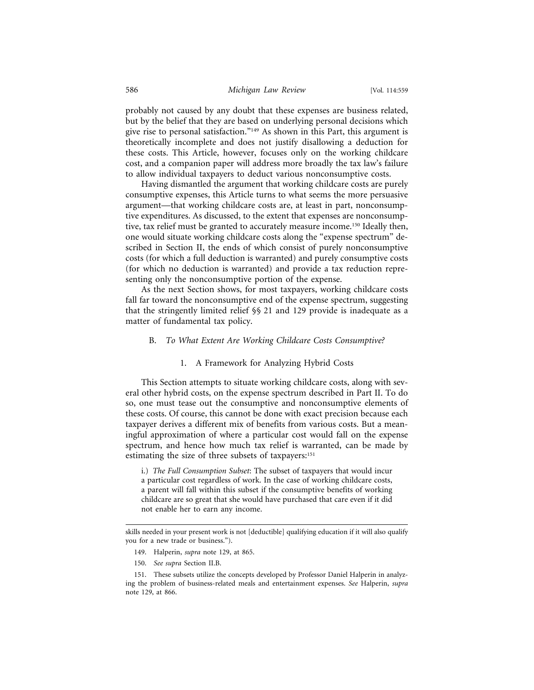probably not caused by any doubt that these expenses are business related, but by the belief that they are based on underlying personal decisions which give rise to personal satisfaction."149 As shown in this Part, this argument is theoretically incomplete and does not justify disallowing a deduction for these costs. This Article, however, focuses only on the working childcare cost, and a companion paper will address more broadly the tax law's failure to allow individual taxpayers to deduct various nonconsumptive costs.

Having dismantled the argument that working childcare costs are purely consumptive expenses, this Article turns to what seems the more persuasive argument—that working childcare costs are, at least in part, nonconsumptive expenditures. As discussed, to the extent that expenses are nonconsumptive, tax relief must be granted to accurately measure income.150 Ideally then, one would situate working childcare costs along the "expense spectrum" described in Section II, the ends of which consist of purely nonconsumptive costs (for which a full deduction is warranted) and purely consumptive costs (for which no deduction is warranted) and provide a tax reduction representing only the nonconsumptive portion of the expense.

As the next Section shows, for most taxpayers, working childcare costs fall far toward the nonconsumptive end of the expense spectrum, suggesting that the stringently limited relief §§ 21 and 129 provide is inadequate as a matter of fundamental tax policy.

#### B. *To What Extent Are Working Childcare Costs Consumptive?*

#### 1. A Framework for Analyzing Hybrid Costs

This Section attempts to situate working childcare costs, along with several other hybrid costs, on the expense spectrum described in Part II. To do so, one must tease out the consumptive and nonconsumptive elements of these costs. Of course, this cannot be done with exact precision because each taxpayer derives a different mix of benefits from various costs. But a meaningful approximation of where a particular cost would fall on the expense spectrum, and hence how much tax relief is warranted, can be made by estimating the size of three subsets of taxpayers:<sup>151</sup>

i.) *The Full Consumption Subset*: The subset of taxpayers that would incur a particular cost regardless of work. In the case of working childcare costs, a parent will fall within this subset if the consumptive benefits of working childcare are so great that she would have purchased that care even if it did not enable her to earn any income.

150. *See supra* Section II.B.

skills needed in your present work is not [deductible] qualifying education if it will also qualify you for a new trade or business.").

<sup>149.</sup> Halperin, *supra* note 129, at 865.

<sup>151.</sup> These subsets utilize the concepts developed by Professor Daniel Halperin in analyzing the problem of business-related meals and entertainment expenses. *See* Halperin, *supra* note 129, at 866.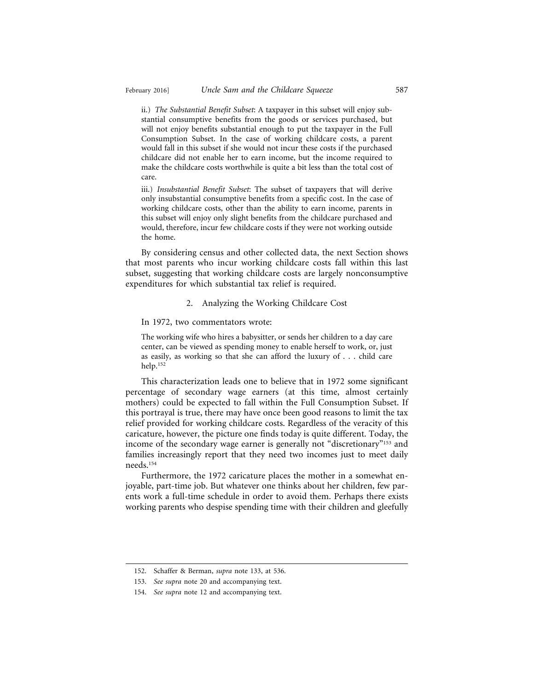ii.) *The Substantial Benefit Subset*: A taxpayer in this subset will enjoy substantial consumptive benefits from the goods or services purchased, but will not enjoy benefits substantial enough to put the taxpayer in the Full Consumption Subset. In the case of working childcare costs, a parent would fall in this subset if she would not incur these costs if the purchased childcare did not enable her to earn income, but the income required to make the childcare costs worthwhile is quite a bit less than the total cost of care.

iii.) *Insubstantial Benefit Subset*: The subset of taxpayers that will derive only insubstantial consumptive benefits from a specific cost. In the case of working childcare costs, other than the ability to earn income, parents in this subset will enjoy only slight benefits from the childcare purchased and would, therefore, incur few childcare costs if they were not working outside the home.

By considering census and other collected data, the next Section shows that most parents who incur working childcare costs fall within this last subset, suggesting that working childcare costs are largely nonconsumptive expenditures for which substantial tax relief is required.

#### 2. Analyzing the Working Childcare Cost

In 1972, two commentators wrote:

The working wife who hires a babysitter, or sends her children to a day care center, can be viewed as spending money to enable herself to work, or, just as easily, as working so that she can afford the luxury of . . . child care help.152

This characterization leads one to believe that in 1972 some significant percentage of secondary wage earners (at this time, almost certainly mothers) could be expected to fall within the Full Consumption Subset. If this portrayal is true, there may have once been good reasons to limit the tax relief provided for working childcare costs. Regardless of the veracity of this caricature, however, the picture one finds today is quite different. Today, the income of the secondary wage earner is generally not "discretionary"153 and families increasingly report that they need two incomes just to meet daily needs.154

Furthermore, the 1972 caricature places the mother in a somewhat enjoyable, part-time job. But whatever one thinks about her children, few parents work a full-time schedule in order to avoid them. Perhaps there exists working parents who despise spending time with their children and gleefully

<sup>152.</sup> Schaffer & Berman, *supra* note 133, at 536.

<sup>153.</sup> *See supra* note 20 and accompanying text.

<sup>154.</sup> *See supra* note 12 and accompanying text.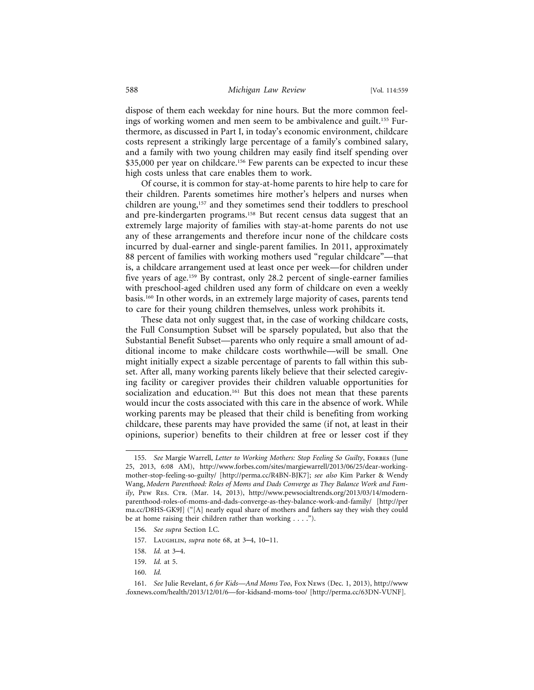dispose of them each weekday for nine hours. But the more common feelings of working women and men seem to be ambivalence and guilt.<sup>155</sup> Furthermore, as discussed in Part I, in today's economic environment, childcare costs represent a strikingly large percentage of a family's combined salary, and a family with two young children may easily find itself spending over \$35,000 per year on childcare.<sup>156</sup> Few parents can be expected to incur these high costs unless that care enables them to work.

Of course, it is common for stay-at-home parents to hire help to care for their children. Parents sometimes hire mother's helpers and nurses when children are young,157 and they sometimes send their toddlers to preschool and pre-kindergarten programs.158 But recent census data suggest that an extremely large majority of families with stay-at-home parents do not use any of these arrangements and therefore incur none of the childcare costs incurred by dual-earner and single-parent families. In 2011, approximately 88 percent of families with working mothers used "regular childcare"—that is, a childcare arrangement used at least once per week—for children under five years of age.159 By contrast, only 28.2 percent of single-earner families with preschool-aged children used any form of childcare on even a weekly basis.160 In other words, in an extremely large majority of cases, parents tend to care for their young children themselves, unless work prohibits it.

These data not only suggest that, in the case of working childcare costs, the Full Consumption Subset will be sparsely populated, but also that the Substantial Benefit Subset—parents who only require a small amount of additional income to make childcare costs worthwhile—will be small. One might initially expect a sizable percentage of parents to fall within this subset. After all, many working parents likely believe that their selected caregiving facility or caregiver provides their children valuable opportunities for socialization and education.<sup>161</sup> But this does not mean that these parents would incur the costs associated with this care in the absence of work. While working parents may be pleased that their child is benefiting from working childcare, these parents may have provided the same (if not, at least in their opinions, superior) benefits to their children at free or lesser cost if they

<sup>155.</sup> *See* Margie Warrell, *Letter to Working Mothers: Stop Feeling So Guilty*, Forbes (June 25, 2013, 6:08 AM), http://www.forbes.com/sites/margiewarrell/2013/06/25/dear-workingmother-stop-feeling-so-guilty/ [http://perma.cc/R4BN-BJK7]; *see also* Kim Parker & Wendy Wang, *Modern Parenthood: Roles of Moms and Dads Converge as They Balance Work and Fam*ily, PEW RES. CTR. (Mar. 14, 2013), http://www.pewsocialtrends.org/2013/03/14/modernparenthood-roles-of-moms-and-dads-converge-as-they-balance-work-and-family/ [http://per ma.cc/D8HS-GK9J] ("[A] nearly equal share of mothers and fathers say they wish they could be at home raising their children rather than working . . . .").

<sup>156.</sup> *See supra* Section I.C.

<sup>157.</sup> Laughlin, *supra* note 68, at 3–4, 10–11.

<sup>158.</sup> *Id.* at 3–4.

<sup>159.</sup> *Id.* at 5.

<sup>160.</sup> *Id.*

<sup>161.</sup> *See* Julie Revelant, *6 for Kids—And Moms Too*, Fox News (Dec. 1, 2013), http://www .foxnews.com/health/2013/12/01/6—for-kidsand-moms-too/ [http://perma.cc/63DN-VUNF].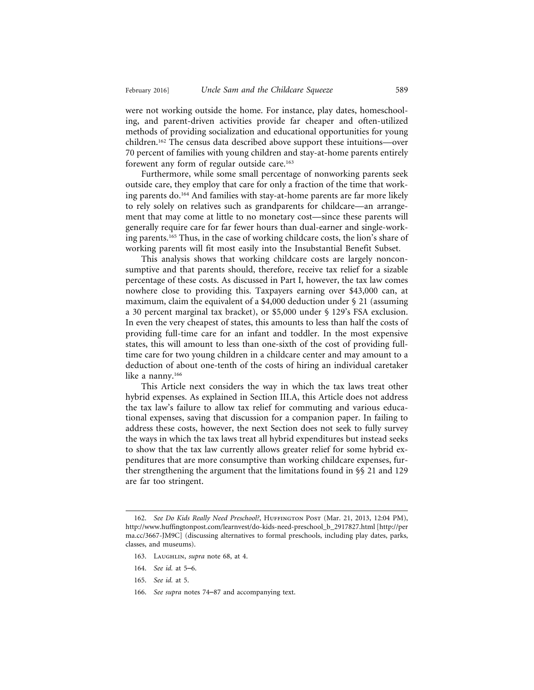were not working outside the home. For instance, play dates, homeschooling, and parent-driven activities provide far cheaper and often-utilized methods of providing socialization and educational opportunities for young children.162 The census data described above support these intuitions—over 70 percent of families with young children and stay-at-home parents entirely forewent any form of regular outside care.<sup>163</sup>

Furthermore, while some small percentage of nonworking parents seek outside care, they employ that care for only a fraction of the time that working parents do.164 And families with stay-at-home parents are far more likely to rely solely on relatives such as grandparents for childcare—an arrangement that may come at little to no monetary cost—since these parents will generally require care for far fewer hours than dual-earner and single-working parents.165 Thus, in the case of working childcare costs, the lion's share of working parents will fit most easily into the Insubstantial Benefit Subset.

This analysis shows that working childcare costs are largely nonconsumptive and that parents should, therefore, receive tax relief for a sizable percentage of these costs. As discussed in Part I, however, the tax law comes nowhere close to providing this. Taxpayers earning over \$43,000 can, at maximum, claim the equivalent of a \$4,000 deduction under § 21 (assuming a 30 percent marginal tax bracket), or \$5,000 under § 129's FSA exclusion. In even the very cheapest of states, this amounts to less than half the costs of providing full-time care for an infant and toddler. In the most expensive states, this will amount to less than one-sixth of the cost of providing fulltime care for two young children in a childcare center and may amount to a deduction of about one-tenth of the costs of hiring an individual caretaker like a nanny.166

This Article next considers the way in which the tax laws treat other hybrid expenses. As explained in Section III.A, this Article does not address the tax law's failure to allow tax relief for commuting and various educational expenses, saving that discussion for a companion paper. In failing to address these costs, however, the next Section does not seek to fully survey the ways in which the tax laws treat all hybrid expenditures but instead seeks to show that the tax law currently allows greater relief for some hybrid expenditures that are more consumptive than working childcare expenses, further strengthening the argument that the limitations found in §§ 21 and 129 are far too stringent.

- 164. *See id.* at 5–6.
- 165. *See id.* at 5.
- 166. *See supra* notes 74–87 and accompanying text.

<sup>162.</sup> *See Do Kids Really Need Preschool*?, HUFFINGTON POST (Mar. 21, 2013, 12:04 PM), http://www.huffingtonpost.com/learnvest/do-kids-need-preschool\_b\_2917827.html [http://per ma.cc/3667-JM9C] (discussing alternatives to formal preschools, including play dates, parks, classes, and museums).

<sup>163.</sup> LAUGHLIN, *supra* note 68, at 4.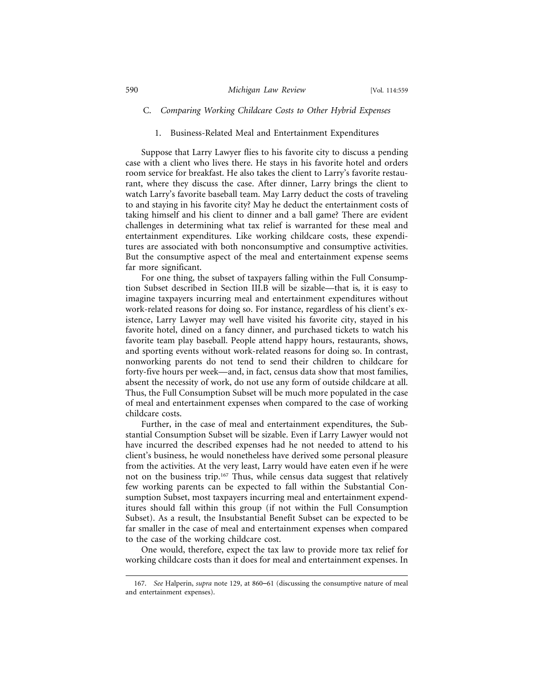### C. *Comparing Working Childcare Costs to Other Hybrid Expenses*

#### 1. Business-Related Meal and Entertainment Expenditures

Suppose that Larry Lawyer flies to his favorite city to discuss a pending case with a client who lives there. He stays in his favorite hotel and orders room service for breakfast. He also takes the client to Larry's favorite restaurant, where they discuss the case. After dinner, Larry brings the client to watch Larry's favorite baseball team. May Larry deduct the costs of traveling to and staying in his favorite city? May he deduct the entertainment costs of taking himself and his client to dinner and a ball game? There are evident challenges in determining what tax relief is warranted for these meal and entertainment expenditures. Like working childcare costs, these expenditures are associated with both nonconsumptive and consumptive activities. But the consumptive aspect of the meal and entertainment expense seems far more significant.

For one thing, the subset of taxpayers falling within the Full Consumption Subset described in Section III.B will be sizable—that is*,* it is easy to imagine taxpayers incurring meal and entertainment expenditures without work-related reasons for doing so. For instance, regardless of his client's existence, Larry Lawyer may well have visited his favorite city, stayed in his favorite hotel, dined on a fancy dinner, and purchased tickets to watch his favorite team play baseball. People attend happy hours, restaurants, shows, and sporting events without work-related reasons for doing so. In contrast, nonworking parents do not tend to send their children to childcare for forty-five hours per week—and, in fact, census data show that most families, absent the necessity of work, do not use any form of outside childcare at all. Thus, the Full Consumption Subset will be much more populated in the case of meal and entertainment expenses when compared to the case of working childcare costs.

Further, in the case of meal and entertainment expenditures, the Substantial Consumption Subset will be sizable. Even if Larry Lawyer would not have incurred the described expenses had he not needed to attend to his client's business, he would nonetheless have derived some personal pleasure from the activities. At the very least, Larry would have eaten even if he were not on the business trip.167 Thus, while census data suggest that relatively few working parents can be expected to fall within the Substantial Consumption Subset, most taxpayers incurring meal and entertainment expenditures should fall within this group (if not within the Full Consumption Subset). As a result, the Insubstantial Benefit Subset can be expected to be far smaller in the case of meal and entertainment expenses when compared to the case of the working childcare cost.

One would, therefore, expect the tax law to provide more tax relief for working childcare costs than it does for meal and entertainment expenses. In

<sup>167.</sup> *See* Halperin, *supra* note 129, at 860–61 (discussing the consumptive nature of meal and entertainment expenses).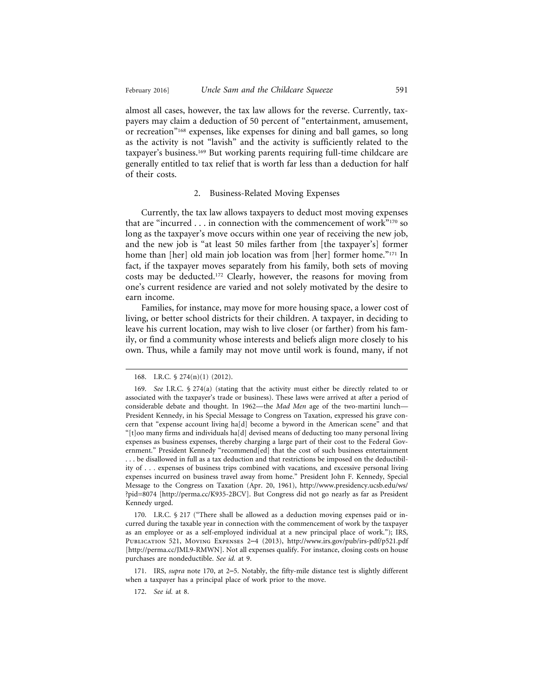almost all cases, however, the tax law allows for the reverse. Currently, taxpayers may claim a deduction of 50 percent of "entertainment, amusement, or recreation"168 expenses, like expenses for dining and ball games, so long as the activity is not "lavish" and the activity is sufficiently related to the taxpayer's business.169 But working parents requiring full-time childcare are generally entitled to tax relief that is worth far less than a deduction for half of their costs.

#### 2. Business-Related Moving Expenses

Currently, the tax law allows taxpayers to deduct most moving expenses that are "incurred  $\dots$  in connection with the commencement of work"<sup>170</sup> so long as the taxpayer's move occurs within one year of receiving the new job, and the new job is "at least 50 miles farther from [the taxpayer's] former home than [her] old main job location was from [her] former home."<sup>171</sup> In fact, if the taxpayer moves separately from his family, both sets of moving costs may be deducted.172 Clearly, however, the reasons for moving from one's current residence are varied and not solely motivated by the desire to earn income.

Families, for instance, may move for more housing space, a lower cost of living, or better school districts for their children. A taxpayer, in deciding to leave his current location, may wish to live closer (or farther) from his family, or find a community whose interests and beliefs align more closely to his own. Thus, while a family may not move until work is found, many, if not

170. I.R.C. § 217 ("There shall be allowed as a deduction moving expenses paid or incurred during the taxable year in connection with the commencement of work by the taxpayer as an employee or as a self-employed individual at a new principal place of work."); IRS, Publication 521, Moving Expenses 2–4 (2013), http://www.irs.gov/pub/irs-pdf/p521.pdf [http://perma.cc/JML9-RMWN]. Not all expenses qualify. For instance, closing costs on house purchases are nondeductible. *See id.* at 9.

171. IRS, *supra* note 170, at 2–5. Notably, the fifty-mile distance test is slightly different when a taxpayer has a principal place of work prior to the move.

172. *See id.* at 8.

<sup>168.</sup> I.R.C. § 274(n)(1) (2012).

<sup>169.</sup> *See* I.R.C. § 274(a) (stating that the activity must either be directly related to or associated with the taxpayer's trade or business). These laws were arrived at after a period of considerable debate and thought. In 1962—the *Mad Men* age of the two-martini lunch— President Kennedy, in his Special Message to Congress on Taxation, expressed his grave concern that "expense account living ha[d] become a byword in the American scene" and that "[t]oo many firms and individuals ha[d] devised means of deducting too many personal living expenses as business expenses, thereby charging a large part of their cost to the Federal Government." President Kennedy "recommend[ed] that the cost of such business entertainment . . . be disallowed in full as a tax deduction and that restrictions be imposed on the deductibility of . . . expenses of business trips combined with vacations, and excessive personal living expenses incurred on business travel away from home." President John F. Kennedy, Special Message to the Congress on Taxation (Apr. 20, 1961), http://www.presidency.ucsb.edu/ws/ ?pid=8074 [http://perma.cc/K935-2BCV]. But Congress did not go nearly as far as President Kennedy urged.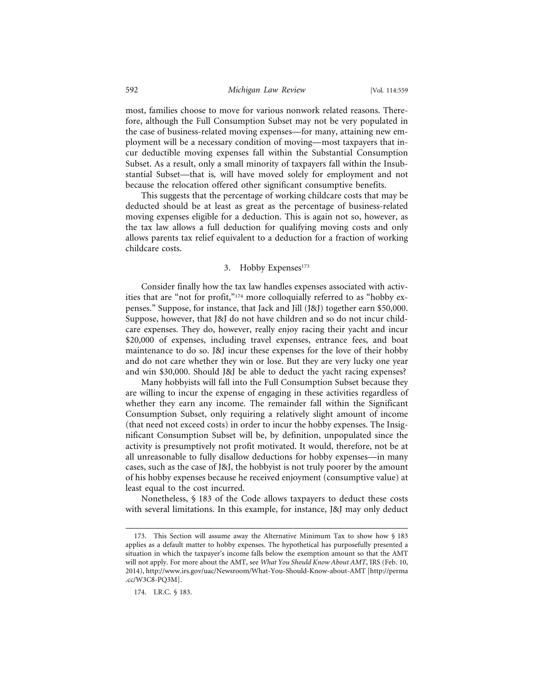most, families choose to move for various nonwork related reasons. Therefore, although the Full Consumption Subset may not be very populated in the case of business-related moving expenses—for many, attaining new employment will be a necessary condition of moving—most taxpayers that incur deductible moving expenses fall within the Substantial Consumption Subset. As a result, only a small minority of taxpayers fall within the Insubstantial Subset—that is*,* will have moved solely for employment and not because the relocation offered other significant consumptive benefits.

This suggests that the percentage of working childcare costs that may be deducted should be at least as great as the percentage of business-related moving expenses eligible for a deduction. This is again not so, however, as the tax law allows a full deduction for qualifying moving costs and only allows parents tax relief equivalent to a deduction for a fraction of working childcare costs.

#### 3. Hobby Expenses<sup>173</sup>

Consider finally how the tax law handles expenses associated with activities that are "not for profit,"<sup>174</sup> more colloquially referred to as "hobby expenses." Suppose, for instance, that Jack and Jill (J&J) together earn \$50,000. Suppose, however, that J&J do not have children and so do not incur childcare expenses. They do, however, really enjoy racing their yacht and incur \$20,000 of expenses, including travel expenses, entrance fees, and boat maintenance to do so. J&J incur these expenses for the love of their hobby and do not care whether they win or lose. But they are very lucky one year and win \$30,000. Should J&J be able to deduct the yacht racing expenses?

Many hobbyists will fall into the Full Consumption Subset because they are willing to incur the expense of engaging in these activities regardless of whether they earn any income. The remainder fall within the Significant Consumption Subset, only requiring a relatively slight amount of income (that need not exceed costs) in order to incur the hobby expenses. The Insignificant Consumption Subset will be, by definition, unpopulated since the activity is presumptively not profit motivated. It would, therefore, not be at all unreasonable to fully disallow deductions for hobby expenses—in many cases, such as the case of J&J, the hobbyist is not truly poorer by the amount of his hobby expenses because he received enjoyment (consumptive value) at least equal to the cost incurred.

Nonetheless, § 183 of the Code allows taxpayers to deduct these costs with several limitations. In this example, for instance, J&J may only deduct

<sup>173.</sup> This Section will assume away the Alternative Minimum Tax to show how § 183 applies as a default matter to hobby expenses. The hypothetical has purposefully presented a situation in which the taxpayer's income falls below the exemption amount so that the AMT will not apply. For more about the AMT, see *What You Should Know About AMT*, IRS (Feb. 10, 2014), http://www.irs.gov/uac/Newsroom/What-You-Should-Know-about-AMT [http://perma .cc/W3C8-PQ3M].

<sup>174.</sup> I.R.C. § 183.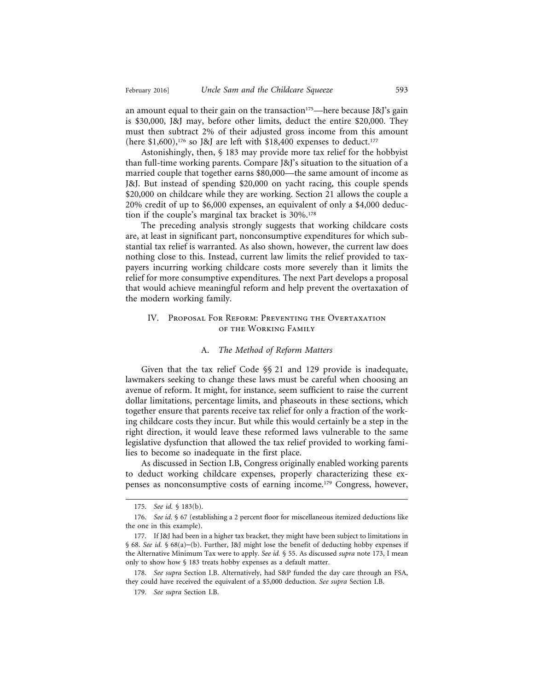an amount equal to their gain on the transaction<sup>175</sup>—here because J&J's gain is \$30,000, J&J may, before other limits, deduct the entire \$20,000. They must then subtract 2% of their adjusted gross income from this amount (here \$1,600),<sup>176</sup> so J&J are left with \$18,400 expenses to deduct.<sup>177</sup>

Astonishingly, then, § 183 may provide more tax relief for the hobbyist than full-time working parents. Compare J&J's situation to the situation of a married couple that together earns \$80,000—the same amount of income as J&J. But instead of spending \$20,000 on yacht racing, this couple spends \$20,000 on childcare while they are working. Section 21 allows the couple a 20% credit of up to \$6,000 expenses, an equivalent of only a \$4,000 deduction if the couple's marginal tax bracket is  $30\%$ .<sup>178</sup>

The preceding analysis strongly suggests that working childcare costs are, at least in significant part, nonconsumptive expenditures for which substantial tax relief is warranted. As also shown, however, the current law does nothing close to this. Instead, current law limits the relief provided to taxpayers incurring working childcare costs more severely than it limits the relief for more consumptive expenditures. The next Part develops a proposal that would achieve meaningful reform and help prevent the overtaxation of the modern working family.

#### IV. Proposal For Reform: Preventing the Overtaxation of the Working Family

#### A. *The Method of Reform Matters*

Given that the tax relief Code §§ 21 and 129 provide is inadequate, lawmakers seeking to change these laws must be careful when choosing an avenue of reform. It might, for instance, seem sufficient to raise the current dollar limitations, percentage limits, and phaseouts in these sections, which together ensure that parents receive tax relief for only a fraction of the working childcare costs they incur. But while this would certainly be a step in the right direction, it would leave these reformed laws vulnerable to the same legislative dysfunction that allowed the tax relief provided to working families to become so inadequate in the first place.

As discussed in Section I.B, Congress originally enabled working parents to deduct working childcare expenses, properly characterizing these expenses as nonconsumptive costs of earning income.179 Congress, however,

<sup>175.</sup> *See id.* § 183(b).

<sup>176.</sup> *See id.* § 67 (establishing a 2 percent floor for miscellaneous itemized deductions like the one in this example).

<sup>177.</sup> If J&J had been in a higher tax bracket, they might have been subject to limitations in § 68. *See id.* § 68(a)–(b). Further, J&J might lose the benefit of deducting hobby expenses if the Alternative Minimum Tax were to apply. *See id.* § 55. As discussed *supra* note 173, I mean only to show how § 183 treats hobby expenses as a default matter.

<sup>178.</sup> *See supra* Section I.B. Alternatively, had S&P funded the day care through an FSA, they could have received the equivalent of a \$5,000 deduction. *See supra* Section I.B.

<sup>179.</sup> *See supra* Section I.B.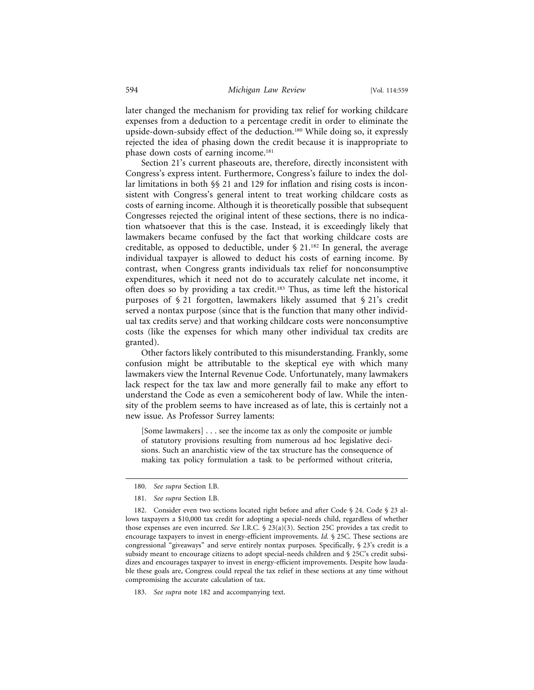later changed the mechanism for providing tax relief for working childcare expenses from a deduction to a percentage credit in order to eliminate the upside-down-subsidy effect of the deduction.180 While doing so, it expressly rejected the idea of phasing down the credit because it is inappropriate to phase down costs of earning income.<sup>181</sup>

Section 21's current phaseouts are, therefore, directly inconsistent with Congress's express intent. Furthermore, Congress's failure to index the dollar limitations in both §§ 21 and 129 for inflation and rising costs is inconsistent with Congress's general intent to treat working childcare costs as costs of earning income. Although it is theoretically possible that subsequent Congresses rejected the original intent of these sections, there is no indication whatsoever that this is the case. Instead, it is exceedingly likely that lawmakers became confused by the fact that working childcare costs are creditable, as opposed to deductible, under  $\S$  21.<sup>182</sup> In general, the average individual taxpayer is allowed to deduct his costs of earning income. By contrast, when Congress grants individuals tax relief for nonconsumptive expenditures, which it need not do to accurately calculate net income, it often does so by providing a tax credit.183 Thus, as time left the historical purposes of § 21 forgotten, lawmakers likely assumed that § 21's credit served a nontax purpose (since that is the function that many other individual tax credits serve) and that working childcare costs were nonconsumptive costs (like the expenses for which many other individual tax credits are granted).

Other factors likely contributed to this misunderstanding. Frankly, some confusion might be attributable to the skeptical eye with which many lawmakers view the Internal Revenue Code. Unfortunately, many lawmakers lack respect for the tax law and more generally fail to make any effort to understand the Code as even a semicoherent body of law. While the intensity of the problem seems to have increased as of late, this is certainly not a new issue. As Professor Surrey laments:

[Some lawmakers] . . . see the income tax as only the composite or jumble of statutory provisions resulting from numerous ad hoc legislative decisions. Such an anarchistic view of the tax structure has the consequence of making tax policy formulation a task to be performed without criteria,

<sup>180.</sup> *See supra* Section I.B.

<sup>181.</sup> *See supra* Section I.B.

<sup>182.</sup> Consider even two sections located right before and after Code § 24. Code § 23 allows taxpayers a \$10,000 tax credit for adopting a special-needs child, regardless of whether those expenses are even incurred. *See* I.R.C. § 23(a)(3). Section 25C provides a tax credit to encourage taxpayers to invest in energy-efficient improvements. *Id.* § 25C. These sections are congressional "giveaways" and serve entirely nontax purposes. Specifically, § 23's credit is a subsidy meant to encourage citizens to adopt special-needs children and § 25C's credit subsidizes and encourages taxpayer to invest in energy-efficient improvements. Despite how laudable these goals are, Congress could repeal the tax relief in these sections at any time without compromising the accurate calculation of tax.

<sup>183.</sup> *See supra* note 182 and accompanying text.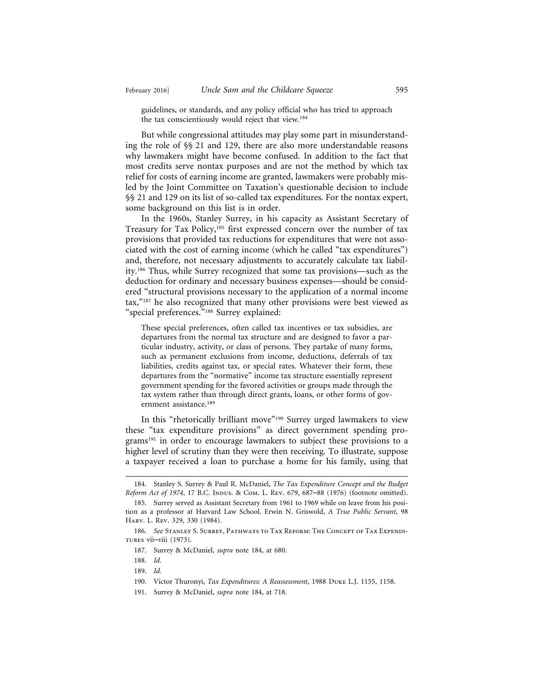guidelines, or standards, and any policy official who has tried to approach the tax conscientiously would reject that view.<sup>184</sup>

But while congressional attitudes may play some part in misunderstanding the role of §§ 21 and 129, there are also more understandable reasons why lawmakers might have become confused. In addition to the fact that most credits serve nontax purposes and are not the method by which tax relief for costs of earning income are granted, lawmakers were probably misled by the Joint Committee on Taxation's questionable decision to include §§ 21 and 129 on its list of so-called tax expenditures. For the nontax expert, some background on this list is in order.

In the 1960s, Stanley Surrey, in his capacity as Assistant Secretary of Treasury for Tax Policy,<sup>185</sup> first expressed concern over the number of tax provisions that provided tax reductions for expenditures that were not associated with the cost of earning income (which he called "tax expenditures") and, therefore, not necessary adjustments to accurately calculate tax liability.186 Thus, while Surrey recognized that some tax provisions—such as the deduction for ordinary and necessary business expenses—should be considered "structural provisions necessary to the application of a normal income tax,"187 he also recognized that many other provisions were best viewed as "special preferences."188 Surrey explained:

These special preferences, often called tax incentives or tax subsidies, are departures from the normal tax structure and are designed to favor a particular industry, activity, or class of persons. They partake of many forms, such as permanent exclusions from income, deductions, deferrals of tax liabilities, credits against tax, or special rates. Whatever their form, these departures from the "normative" income tax structure essentially represent government spending for the favored activities or groups made through the tax system rather than through direct grants, loans, or other forms of government assistance.<sup>189</sup>

In this "rhetorically brilliant move"190 Surrey urged lawmakers to view these "tax expenditure provisions" as direct government spending programs<sup>191</sup> in order to encourage lawmakers to subject these provisions to a higher level of scrutiny than they were then receiving. To illustrate, suppose a taxpayer received a loan to purchase a home for his family, using that

<sup>184.</sup> Stanley S. Surrey & Paul R. McDaniel, *The Tax Expenditure Concept and the Budget Reform Act of 1974*, 17 B.C. Indus. & Com. L. Rev. 679, 687-88 (1976) (footnote omitted).

<sup>185.</sup> Surrey served as Assistant Secretary from 1961 to 1969 while on leave from his position as a professor at Harvard Law School. Erwin N. Griswold, *A True Public Servant*, 98 Harv. L. Rev. 329, 330 (1984).

<sup>186.</sup> *See* Stanley S. Surrey, Pathways to Tax Reform: The Concept of Tax Expenditures vii–viii (1973).

<sup>187.</sup> Surrey & McDaniel, *supra* note 184, at 680.

<sup>188.</sup> *Id.*

<sup>189.</sup> *Id.*

<sup>190.</sup> Victor Thuronyi, *Tax Expenditures: A Reassessment*, 1988 Duke L.J. 1155, 1158.

<sup>191.</sup> Surrey & McDaniel, *supra* note 184, at 718.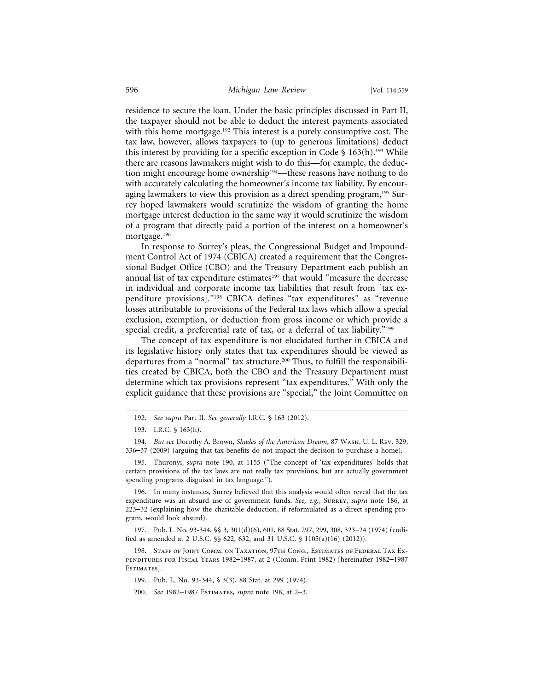residence to secure the loan. Under the basic principles discussed in Part II, the taxpayer should not be able to deduct the interest payments associated with this home mortgage.<sup>192</sup> This interest is a purely consumptive cost. The tax law, however, allows taxpayers to (up to generous limitations) deduct this interest by providing for a specific exception in Code  $\S$  163(h).<sup>193</sup> While there are reasons lawmakers might wish to do this—for example, the deduction might encourage home ownership<sup>194</sup>—these reasons have nothing to do with accurately calculating the homeowner's income tax liability. By encouraging lawmakers to view this provision as a direct spending program,<sup>195</sup> Surrey hoped lawmakers would scrutinize the wisdom of granting the home mortgage interest deduction in the same way it would scrutinize the wisdom of a program that directly paid a portion of the interest on a homeowner's mortgage.196

In response to Surrey's pleas, the Congressional Budget and Impoundment Control Act of 1974 (CBICA) created a requirement that the Congressional Budget Office (CBO) and the Treasury Department each publish an annual list of tax expenditure estimates<sup>197</sup> that would "measure the decrease in individual and corporate income tax liabilities that result from [tax expenditure provisions]."198 CBICA defines "tax expenditures" as "revenue losses attributable to provisions of the Federal tax laws which allow a special exclusion, exemption, or deduction from gross income or which provide a special credit, a preferential rate of tax, or a deferral of tax liability."<sup>199</sup>

The concept of tax expenditure is not elucidated further in CBICA and its legislative history only states that tax expenditures should be viewed as departures from a "normal" tax structure.200 Thus, to fulfill the responsibilities created by CBICA, both the CBO and the Treasury Department must determine which tax provisions represent "tax expenditures." With only the explicit guidance that these provisions are "special," the Joint Committee on

196. In many instances, Surrey believed that this analysis would often reveal that the tax expenditure was an absurd use of government funds. *See, e.g.*, Surrey, *supra* note 186, at 223–32 (explaining how the charitable deduction, if reformulated as a direct spending program, would look absurd).

197. Pub. L. No. 93-344, §§ 3, 301(d)(6), 601, 88 Stat. 297, 299, 308, 323–24 (1974) (codified as amended at 2 U.S.C. §§ 622, 632, and 31 U.S.C. § 1105(a)(16) (2012)).

198. STAFF OF JOINT COMM. ON TAXATION, 97TH CONG., ESTIMATES OF FEDERAL TAX EXpenditures for Fiscal Years 1982–1987, at 2 (Comm. Print 1982) [hereinafter 1982–1987 ESTIMATES].

199. Pub. L. No. 93-344, § 3(3), 88 Stat. at 299 (1974).

<sup>192.</sup> *See supra* Part II. *See generally* I.R.C. § 163 (2012).

<sup>193.</sup> I.R.C. § 163(h).

<sup>194.</sup> *But see* Dorothy A. Brown, *Shades of the American Dream*, 87 Wash. U. L. Rev. 329, 336–37 (2009) (arguing that tax benefits do not impact the decision to purchase a home).

<sup>195.</sup> Thuronyi, *supra* note 190, at 1155 ("The concept of 'tax expenditures' holds that certain provisions of the tax laws are not really tax provisions, but are actually government spending programs disguised in tax language.").

<sup>200.</sup> *See* 1982–1987 Estimates, *supra* note 198, at 2–3.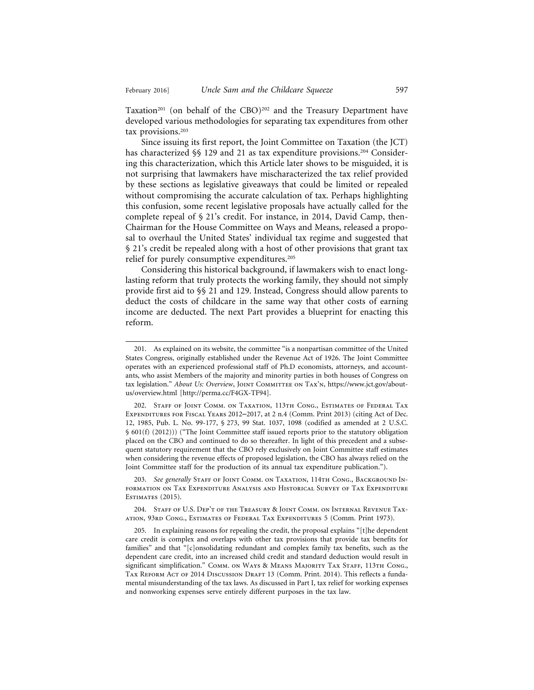Taxation<sup>201</sup> (on behalf of the CBO)<sup>202</sup> and the Treasury Department have developed various methodologies for separating tax expenditures from other tax provisions.<sup>203</sup>

Since issuing its first report, the Joint Committee on Taxation (the JCT) has characterized §§ 129 and 21 as tax expenditure provisions.<sup>204</sup> Considering this characterization, which this Article later shows to be misguided, it is not surprising that lawmakers have mischaracterized the tax relief provided by these sections as legislative giveaways that could be limited or repealed without compromising the accurate calculation of tax. Perhaps highlighting this confusion, some recent legislative proposals have actually called for the complete repeal of § 21's credit. For instance, in 2014, David Camp, then-Chairman for the House Committee on Ways and Means, released a proposal to overhaul the United States' individual tax regime and suggested that § 21's credit be repealed along with a host of other provisions that grant tax relief for purely consumptive expenditures.<sup>205</sup>

Considering this historical background, if lawmakers wish to enact longlasting reform that truly protects the working family, they should not simply provide first aid to §§ 21 and 129. Instead, Congress should allow parents to deduct the costs of childcare in the same way that other costs of earning income are deducted. The next Part provides a blueprint for enacting this reform.

203. See generally STAFF OF JOINT COMM. ON TAXATION, 114TH CONG., BACKGROUND INformation on Tax Expenditure Analysis and Historical Survey of Tax Expenditure ESTIMATES (2015).

204. Staff of U.S. Dep't of the Treasury & Joint Comm. on Internal Revenue Taxation, 93rd Cong., Estimates of Federal Tax Expenditures 5 (Comm. Print 1973).

205. In explaining reasons for repealing the credit, the proposal explains "[t]he dependent care credit is complex and overlaps with other tax provisions that provide tax benefits for families" and that "[c]onsolidating redundant and complex family tax benefits, such as the dependent care credit, into an increased child credit and standard deduction would result in significant simplification." COMM. ON WAYS & MEANS MAJORITY TAX STAFF, 113TH CONG., TAX REFORM ACT OF 2014 DISCUSSION DRAFT 13 (Comm. Print. 2014). This reflects a fundamental misunderstanding of the tax laws. As discussed in Part I, tax relief for working expenses and nonworking expenses serve entirely different purposes in the tax law.

<sup>201.</sup> As explained on its website, the committee "is a nonpartisan committee of the United States Congress, originally established under the Revenue Act of 1926. The Joint Committee operates with an experienced professional staff of Ph.D economists, attorneys, and accountants, who assist Members of the majority and minority parties in both houses of Congress on tax legislation." *About Us: Overview*, JOINT COMMITTEE ON TAX'N, https://www.jct.gov/aboutus/overview.html [http://perma.cc/F4GX-TF94].

<sup>202.</sup> Staff of Joint Comm. on Taxation, 113th Cong., Estimates of Federal Tax Expenditures for Fiscal Years 2012–2017, at 2 n.4 (Comm. Print 2013) (citing Act of Dec. 12, 1985, Pub. L. No. 99-177, § 273, 99 Stat. 1037, 1098 (codified as amended at 2 U.S.C. § 601(f) (2012))) ("The Joint Committee staff issued reports prior to the statutory obligation placed on the CBO and continued to do so thereafter. In light of this precedent and a subsequent statutory requirement that the CBO rely exclusively on Joint Committee staff estimates when considering the revenue effects of proposed legislation, the CBO has always relied on the Joint Committee staff for the production of its annual tax expenditure publication.").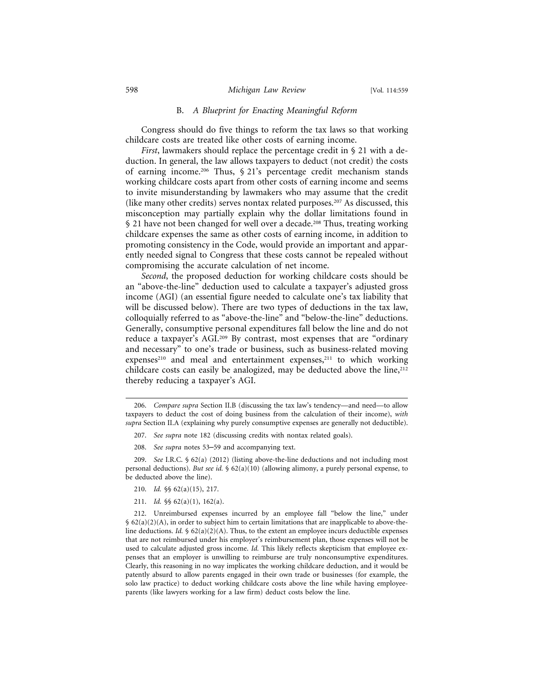#### B. *A Blueprint for Enacting Meaningful Reform*

Congress should do five things to reform the tax laws so that working childcare costs are treated like other costs of earning income.

*First*, lawmakers should replace the percentage credit in § 21 with a deduction. In general, the law allows taxpayers to deduct (not credit) the costs of earning income.206 Thus, § 21's percentage credit mechanism stands working childcare costs apart from other costs of earning income and seems to invite misunderstanding by lawmakers who may assume that the credit (like many other credits) serves nontax related purposes.207 As discussed, this misconception may partially explain why the dollar limitations found in § 21 have not been changed for well over a decade.<sup>208</sup> Thus, treating working childcare expenses the same as other costs of earning income, in addition to promoting consistency in the Code, would provide an important and apparently needed signal to Congress that these costs cannot be repealed without compromising the accurate calculation of net income.

*Second*, the proposed deduction for working childcare costs should be an "above-the-line" deduction used to calculate a taxpayer's adjusted gross income (AGI) (an essential figure needed to calculate one's tax liability that will be discussed below). There are two types of deductions in the tax law, colloquially referred to as "above-the-line" and "below-the-line" deductions. Generally, consumptive personal expenditures fall below the line and do not reduce a taxpayer's AGI.209 By contrast, most expenses that are "ordinary and necessary" to one's trade or business, such as business-related moving expenses<sup>210</sup> and meal and entertainment expenses,<sup>211</sup> to which working childcare costs can easily be analogized, may be deducted above the line,  $2^{12}$ thereby reducing a taxpayer's AGI.

- 210. *Id.* §§ 62(a)(15), 217.
- 211. *Id.* §§ 62(a)(1), 162(a).

212. Unreimbursed expenses incurred by an employee fall "below the line," under § 62(a)(2)(A), in order to subject him to certain limitations that are inapplicable to above-theline deductions. *Id.*  $\oint 62(a)(2)(A)$ . Thus, to the extent an employee incurs deductible expenses that are not reimbursed under his employer's reimbursement plan, those expenses will not be used to calculate adjusted gross income. *Id.* This likely reflects skepticism that employee expenses that an employer is unwilling to reimburse are truly nonconsumptive expenditures. Clearly, this reasoning in no way implicates the working childcare deduction, and it would be patently absurd to allow parents engaged in their own trade or businesses (for example, the solo law practice) to deduct working childcare costs above the line while having employeeparents (like lawyers working for a law firm) deduct costs below the line.

<sup>206.</sup> *Compare supra* Section II.B (discussing the tax law's tendency—and need—to allow taxpayers to deduct the cost of doing business from the calculation of their income), *with supra* Section II.A (explaining why purely consumptive expenses are generally not deductible).

<sup>207.</sup> *See supra* note 182 (discussing credits with nontax related goals).

<sup>208.</sup> *See supra* notes 53–59 and accompanying text.

<sup>209.</sup> *See* I.R.C. § 62(a) (2012) (listing above-the-line deductions and not including most personal deductions). *But see id.* § 62(a)(10) (allowing alimony, a purely personal expense, to be deducted above the line).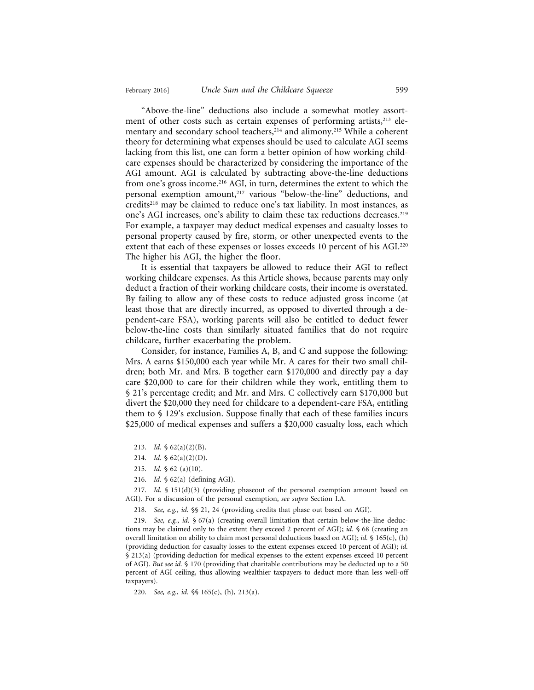"Above-the-line" deductions also include a somewhat motley assortment of other costs such as certain expenses of performing artists,<sup>213</sup> elementary and secondary school teachers,<sup>214</sup> and alimony.<sup>215</sup> While a coherent theory for determining what expenses should be used to calculate AGI seems lacking from this list, one can form a better opinion of how working childcare expenses should be characterized by considering the importance of the AGI amount. AGI is calculated by subtracting above-the-line deductions from one's gross income.216 AGI, in turn, determines the extent to which the personal exemption amount,217 various "below-the-line" deductions, and credits218 may be claimed to reduce one's tax liability. In most instances, as one's AGI increases, one's ability to claim these tax reductions decreases.<sup>219</sup> For example, a taxpayer may deduct medical expenses and casualty losses to personal property caused by fire, storm, or other unexpected events to the extent that each of these expenses or losses exceeds 10 percent of his AGI.<sup>220</sup> The higher his AGI, the higher the floor.

It is essential that taxpayers be allowed to reduce their AGI to reflect working childcare expenses. As this Article shows, because parents may only deduct a fraction of their working childcare costs, their income is overstated. By failing to allow any of these costs to reduce adjusted gross income (at least those that are directly incurred, as opposed to diverted through a dependent-care FSA), working parents will also be entitled to deduct fewer below-the-line costs than similarly situated families that do not require childcare, further exacerbating the problem.

Consider, for instance, Families A, B, and C and suppose the following: Mrs. A earns \$150,000 each year while Mr. A cares for their two small children; both Mr. and Mrs. B together earn \$170,000 and directly pay a day care \$20,000 to care for their children while they work, entitling them to § 21's percentage credit; and Mr. and Mrs. C collectively earn \$170,000 but divert the \$20,000 they need for childcare to a dependent-care FSA, entitling them to § 129's exclusion. Suppose finally that each of these families incurs \$25,000 of medical expenses and suffers a \$20,000 casualty loss, each which

217. *Id.* § 151(d)(3) (providing phaseout of the personal exemption amount based on AGI). For a discussion of the personal exemption, *see supra* Section I.A.

218. *See, e.g.*, *id.* §§ 21, 24 (providing credits that phase out based on AGI).

219. *See, e.g.*, *id.* § 67(a) (creating overall limitation that certain below-the-line deductions may be claimed only to the extent they exceed 2 percent of AGI); *id.* § 68 (creating an overall limitation on ability to claim most personal deductions based on AGI); *id.* § 165(c), (h) (providing deduction for casualty losses to the extent expenses exceed 10 percent of AGI); *id.* § 213(a) (providing deduction for medical expenses to the extent expenses exceed 10 percent of AGI). *But see id.* § 170 (providing that charitable contributions may be deducted up to a 50 percent of AGI ceiling, thus allowing wealthier taxpayers to deduct more than less well-off taxpayers).

220. *See, e.g.*, *id.* §§ 165(c), (h), 213(a).

<sup>213.</sup> *Id.* § 62(a)(2)(B).

<sup>214.</sup> *Id.*  $\oint 62(a)(2)(D)$ .

<sup>215.</sup> *Id.* § 62 (a)(10).

<sup>216.</sup> *Id.* § 62(a) (defining AGI).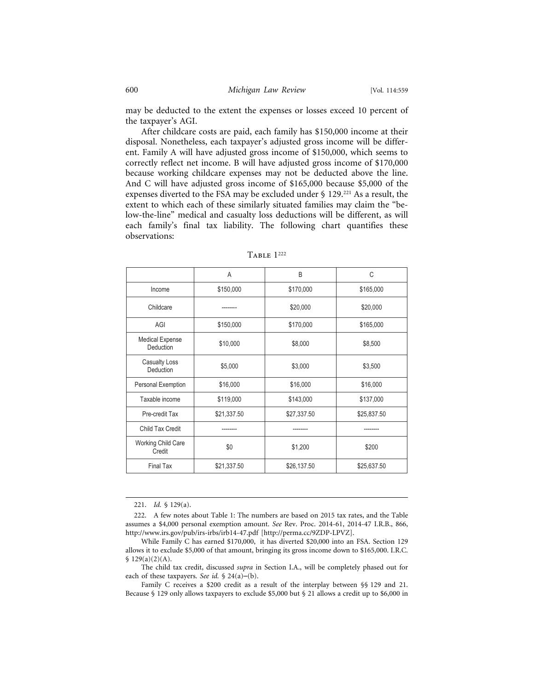may be deducted to the extent the expenses or losses exceed 10 percent of the taxpayer's AGI.

After childcare costs are paid, each family has \$150,000 income at their disposal. Nonetheless, each taxpayer's adjusted gross income will be different. Family A will have adjusted gross income of \$150,000, which seems to correctly reflect net income. B will have adjusted gross income of \$170,000 because working childcare expenses may not be deducted above the line. And C will have adjusted gross income of \$165,000 because \$5,000 of the expenses diverted to the FSA may be excluded under § 129.221 As a result, the extent to which each of these similarly situated families may claim the "below-the-line" medical and casualty loss deductions will be different, as will each family's final tax liability. The following chart quantifies these observations:

|                                     | A           | <sub>B</sub> | C           |
|-------------------------------------|-------------|--------------|-------------|
| Income                              | \$150,000   | \$170,000    | \$165,000   |
| Childcare                           |             | \$20,000     | \$20,000    |
| AGI                                 | \$150,000   | \$170,000    | \$165,000   |
| <b>Medical Expense</b><br>Deduction | \$10,000    | \$8,000      | \$8,500     |
| <b>Casualty Loss</b><br>Deduction   | \$5,000     | \$3,000      | \$3,500     |
| Personal Exemption                  | \$16,000    | \$16,000     | \$16,000    |
| Taxable income                      | \$119,000   | \$143,000    | \$137,000   |
| Pre-credit Tax                      | \$21,337.50 | \$27,337.50  | \$25,837.50 |
| Child Tax Credit                    |             |              |             |
| <b>Working Child Care</b><br>Credit | \$0         | \$1,200      | \$200       |
| <b>Final Tax</b>                    | \$21,337.50 | \$26,137.50  | \$25,637.50 |

Table 1222

<sup>221.</sup> *Id.* § 129(a).

<sup>222.</sup> A few notes about Table 1: The numbers are based on 2015 tax rates, and the Table assumes a \$4,000 personal exemption amount. *See* Rev. Proc. 2014-61, 2014-47 I.R.B., 866, http://www.irs.gov/pub/irs-irbs/irb14-47.pdf [http://perma.cc/9ZDP-LPVZ].

While Family C has earned \$170,000, it has diverted \$20,000 into an FSA. Section 129 allows it to exclude \$5,000 of that amount, bringing its gross income down to \$165,000. I.R.C.  $$ 129(a)(2)(A).$ 

The child tax credit, discussed *supra* in Section I.A., will be completely phased out for each of these taxpayers. *See id.* § 24(a)–(b).

Family C receives a \$200 credit as a result of the interplay between §§ 129 and 21. Because § 129 only allows taxpayers to exclude \$5,000 but § 21 allows a credit up to \$6,000 in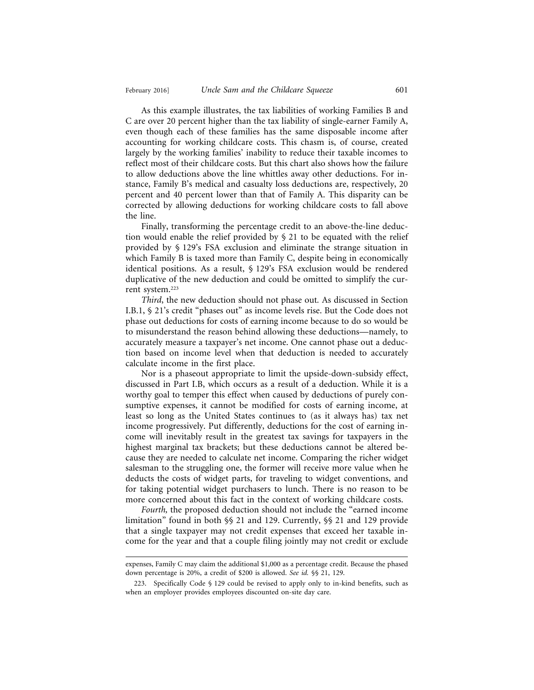As this example illustrates, the tax liabilities of working Families B and C are over 20 percent higher than the tax liability of single-earner Family A, even though each of these families has the same disposable income after accounting for working childcare costs. This chasm is, of course, created largely by the working families' inability to reduce their taxable incomes to reflect most of their childcare costs. But this chart also shows how the failure to allow deductions above the line whittles away other deductions. For instance, Family B's medical and casualty loss deductions are, respectively, 20 percent and 40 percent lower than that of Family A. This disparity can be corrected by allowing deductions for working childcare costs to fall above the line.

Finally, transforming the percentage credit to an above-the-line deduction would enable the relief provided by § 21 to be equated with the relief provided by § 129's FSA exclusion and eliminate the strange situation in which Family B is taxed more than Family C, despite being in economically identical positions. As a result, § 129's FSA exclusion would be rendered duplicative of the new deduction and could be omitted to simplify the current system.223

*Third*, the new deduction should not phase out*.* As discussed in Section I.B.1, § 21's credit "phases out" as income levels rise. But the Code does not phase out deductions for costs of earning income because to do so would be to misunderstand the reason behind allowing these deductions—namely, to accurately measure a taxpayer's net income. One cannot phase out a deduction based on income level when that deduction is needed to accurately calculate income in the first place.

Nor is a phaseout appropriate to limit the upside-down-subsidy effect, discussed in Part I.B, which occurs as a result of a deduction. While it is a worthy goal to temper this effect when caused by deductions of purely consumptive expenses, it cannot be modified for costs of earning income, at least so long as the United States continues to (as it always has) tax net income progressively. Put differently, deductions for the cost of earning income will inevitably result in the greatest tax savings for taxpayers in the highest marginal tax brackets; but these deductions cannot be altered because they are needed to calculate net income. Comparing the richer widget salesman to the struggling one, the former will receive more value when he deducts the costs of widget parts, for traveling to widget conventions, and for taking potential widget purchasers to lunch. There is no reason to be more concerned about this fact in the context of working childcare costs.

*Fourth,* the proposed deduction should not include the "earned income limitation" found in both §§ 21 and 129. Currently, §§ 21 and 129 provide that a single taxpayer may not credit expenses that exceed her taxable income for the year and that a couple filing jointly may not credit or exclude

expenses, Family C may claim the additional \$1,000 as a percentage credit. Because the phased down percentage is 20%, a credit of \$200 is allowed. *See id.* §§ 21, 129.

<sup>223.</sup> Specifically Code § 129 could be revised to apply only to in-kind benefits, such as when an employer provides employees discounted on-site day care.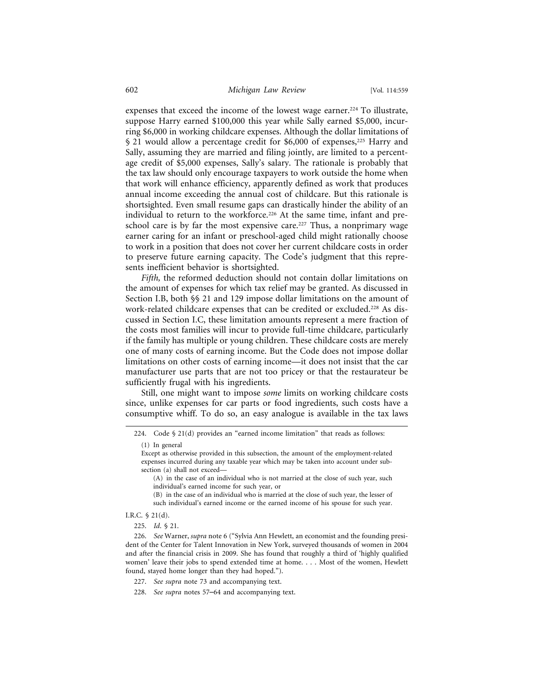expenses that exceed the income of the lowest wage earner.<sup>224</sup> To illustrate, suppose Harry earned \$100,000 this year while Sally earned \$5,000, incurring \$6,000 in working childcare expenses. Although the dollar limitations of § 21 would allow a percentage credit for \$6,000 of expenses,<sup>225</sup> Harry and Sally, assuming they are married and filing jointly, are limited to a percentage credit of \$5,000 expenses, Sally's salary. The rationale is probably that the tax law should only encourage taxpayers to work outside the home when that work will enhance efficiency, apparently defined as work that produces annual income exceeding the annual cost of childcare. But this rationale is shortsighted. Even small resume gaps can drastically hinder the ability of an individual to return to the workforce.<sup>226</sup> At the same time, infant and preschool care is by far the most expensive care.<sup>227</sup> Thus, a nonprimary wage earner caring for an infant or preschool-aged child might rationally choose to work in a position that does not cover her current childcare costs in order to preserve future earning capacity. The Code's judgment that this represents inefficient behavior is shortsighted.

*Fifth,* the reformed deduction should not contain dollar limitations on the amount of expenses for which tax relief may be granted. As discussed in Section I.B, both §§ 21 and 129 impose dollar limitations on the amount of work-related childcare expenses that can be credited or excluded.<sup>228</sup> As discussed in Section I.C, these limitation amounts represent a mere fraction of the costs most families will incur to provide full-time childcare, particularly if the family has multiple or young children. These childcare costs are merely one of many costs of earning income. But the Code does not impose dollar limitations on other costs of earning income—it does not insist that the car manufacturer use parts that are not too pricey or that the restaurateur be sufficiently frugal with his ingredients.

Still, one might want to impose *some* limits on working childcare costs since, unlike expenses for car parts or food ingredients, such costs have a consumptive whiff. To do so, an easy analogue is available in the tax laws

I.R.C. § 21(d).

225. *Id*. § 21.

<sup>224.</sup> Code § 21(d) provides an "earned income limitation" that reads as follows:

<sup>(1)</sup> In general

Except as otherwise provided in this subsection, the amount of the employment-related expenses incurred during any taxable year which may be taken into account under subsection (a) shall not exceed—

<sup>(</sup>A) in the case of an individual who is not married at the close of such year, such individual's earned income for such year, or

<sup>(</sup>B) in the case of an individual who is married at the close of such year, the lesser of such individual's earned income or the earned income of his spouse for such year.

<sup>226.</sup> *See* Warner, *supra* note 6 ("Sylvia Ann Hewlett, an economist and the founding president of the Center for Talent Innovation in New York, surveyed thousands of women in 2004 and after the financial crisis in 2009. She has found that roughly a third of 'highly qualified women' leave their jobs to spend extended time at home. . . . Most of the women, Hewlett found, stayed home longer than they had hoped.").

<sup>227.</sup> *See supra* note 73 and accompanying text.

<sup>228.</sup> *See supra* notes 57–64 and accompanying text.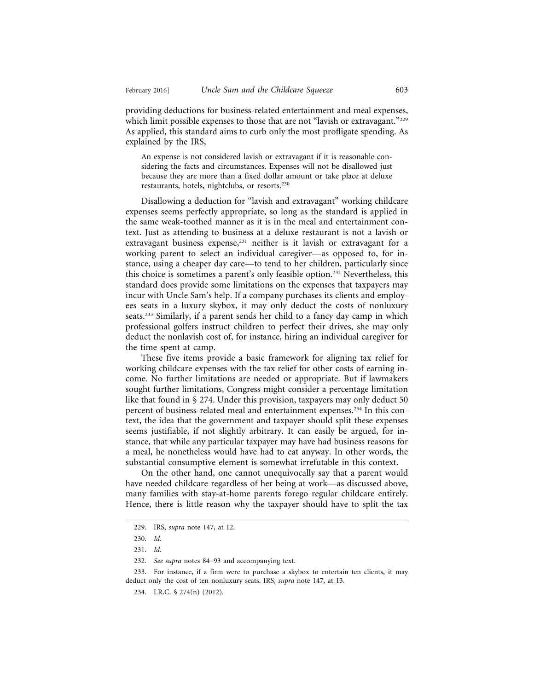providing deductions for business-related entertainment and meal expenses, which limit possible expenses to those that are not "lavish or extravagant."<sup>229</sup> As applied, this standard aims to curb only the most profligate spending. As explained by the IRS,

An expense is not considered lavish or extravagant if it is reasonable considering the facts and circumstances. Expenses will not be disallowed just because they are more than a fixed dollar amount or take place at deluxe restaurants, hotels, nightclubs, or resorts.230

Disallowing a deduction for "lavish and extravagant" working childcare expenses seems perfectly appropriate, so long as the standard is applied in the same weak-toothed manner as it is in the meal and entertainment context. Just as attending to business at a deluxe restaurant is not a lavish or extravagant business expense,<sup>231</sup> neither is it lavish or extravagant for a working parent to select an individual caregiver—as opposed to, for instance, using a cheaper day care—to tend to her children, particularly since this choice is sometimes a parent's only feasible option.232 Nevertheless, this standard does provide some limitations on the expenses that taxpayers may incur with Uncle Sam's help. If a company purchases its clients and employees seats in a luxury skybox, it may only deduct the costs of nonluxury seats.233 Similarly, if a parent sends her child to a fancy day camp in which professional golfers instruct children to perfect their drives, she may only deduct the nonlavish cost of, for instance, hiring an individual caregiver for the time spent at camp.

These five items provide a basic framework for aligning tax relief for working childcare expenses with the tax relief for other costs of earning income. No further limitations are needed or appropriate. But if lawmakers sought further limitations, Congress might consider a percentage limitation like that found in § 274. Under this provision, taxpayers may only deduct 50 percent of business-related meal and entertainment expenses.<sup>234</sup> In this context, the idea that the government and taxpayer should split these expenses seems justifiable, if not slightly arbitrary. It can easily be argued, for instance, that while any particular taxpayer may have had business reasons for a meal, he nonetheless would have had to eat anyway. In other words, the substantial consumptive element is somewhat irrefutable in this context.

On the other hand, one cannot unequivocally say that a parent would have needed childcare regardless of her being at work—as discussed above, many families with stay-at-home parents forego regular childcare entirely. Hence, there is little reason why the taxpayer should have to split the tax

<sup>229.</sup> IRS, *supra* note 147, at 12.

<sup>230.</sup> *Id.*

<sup>231.</sup> *Id.*

<sup>232.</sup> *See supra* notes 84–93 and accompanying text.

<sup>233.</sup> For instance, if a firm were to purchase a skybox to entertain ten clients, it may deduct only the cost of ten nonluxury seats. IRS, *supra* note 147, at 13.

<sup>234.</sup> I.R.C. § 274(n) (2012).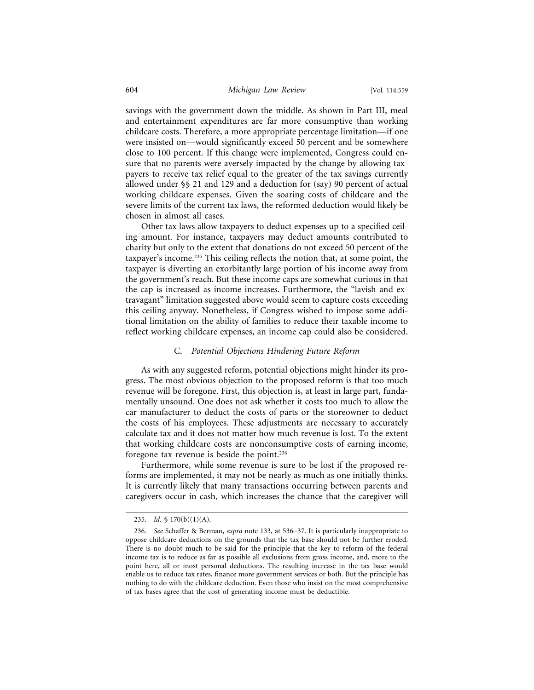savings with the government down the middle. As shown in Part III, meal and entertainment expenditures are far more consumptive than working childcare costs. Therefore, a more appropriate percentage limitation—if one were insisted on—would significantly exceed 50 percent and be somewhere close to 100 percent. If this change were implemented, Congress could ensure that no parents were aversely impacted by the change by allowing taxpayers to receive tax relief equal to the greater of the tax savings currently allowed under §§ 21 and 129 and a deduction for (say) 90 percent of actual working childcare expenses. Given the soaring costs of childcare and the severe limits of the current tax laws, the reformed deduction would likely be chosen in almost all cases.

Other tax laws allow taxpayers to deduct expenses up to a specified ceiling amount. For instance, taxpayers may deduct amounts contributed to charity but only to the extent that donations do not exceed 50 percent of the taxpayer's income.235 This ceiling reflects the notion that, at some point, the taxpayer is diverting an exorbitantly large portion of his income away from the government's reach. But these income caps are somewhat curious in that the cap is increased as income increases. Furthermore, the "lavish and extravagant" limitation suggested above would seem to capture costs exceeding this ceiling anyway. Nonetheless, if Congress wished to impose some additional limitation on the ability of families to reduce their taxable income to reflect working childcare expenses, an income cap could also be considered.

#### C. *Potential Objections Hindering Future Reform*

As with any suggested reform, potential objections might hinder its progress. The most obvious objection to the proposed reform is that too much revenue will be foregone. First, this objection is, at least in large part, fundamentally unsound. One does not ask whether it costs too much to allow the car manufacturer to deduct the costs of parts or the storeowner to deduct the costs of his employees. These adjustments are necessary to accurately calculate tax and it does not matter how much revenue is lost. To the extent that working childcare costs are nonconsumptive costs of earning income, foregone tax revenue is beside the point.236

Furthermore, while some revenue is sure to be lost if the proposed reforms are implemented, it may not be nearly as much as one initially thinks. It is currently likely that many transactions occurring between parents and caregivers occur in cash, which increases the chance that the caregiver will

<sup>235.</sup> *Id.* § 170(b)(1)(A).

<sup>236.</sup> *See* Schaffer & Berman, *supra* note 133, at 536–37. It is particularly inappropriate to oppose childcare deductions on the grounds that the tax base should not be further eroded. There is no doubt much to be said for the principle that the key to reform of the federal income tax is to reduce as far as possible all exclusions from gross income, and, more to the point here, all or most personal deductions. The resulting increase in the tax base would enable us to reduce tax rates, finance more government services or both. But the principle has nothing to do with the childcare deduction. Even those who insist on the most comprehensive of tax bases agree that the cost of generating income must be deductible.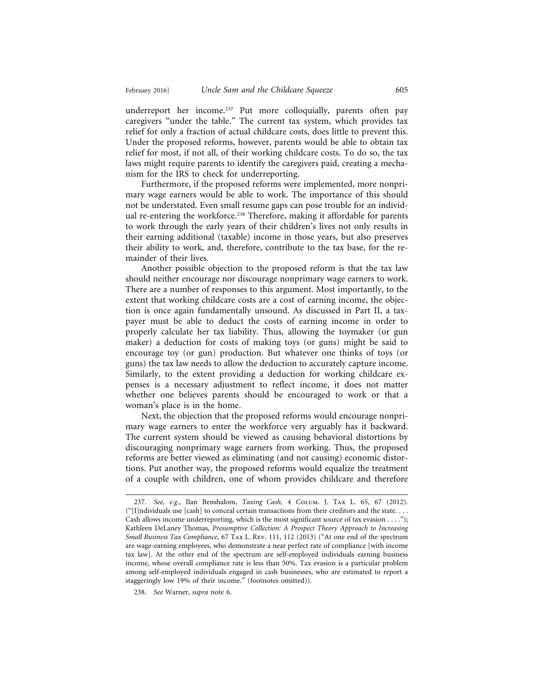underreport her income.<sup>237</sup> Put more colloquially, parents often pay caregivers "under the table." The current tax system, which provides tax relief for only a fraction of actual childcare costs, does little to prevent this. Under the proposed reforms, however, parents would be able to obtain tax relief for most, if not all, of their working childcare costs. To do so, the tax laws might require parents to identify the caregivers paid, creating a mechanism for the IRS to check for underreporting.

Furthermore, if the proposed reforms were implemented, more nonprimary wage earners would be able to work. The importance of this should not be understated. Even small resume gaps can pose trouble for an individual re-entering the workforce.<sup>238</sup> Therefore, making it affordable for parents to work through the early years of their children's lives not only results in their earning additional (taxable) income in those years, but also preserves their ability to work, and, therefore, contribute to the tax base, for the remainder of their lives.

Another possible objection to the proposed reform is that the tax law should neither encourage nor discourage nonprimary wage earners to work. There are a number of responses to this argument. Most importantly, to the extent that working childcare costs are a cost of earning income, the objection is once again fundamentally unsound. As discussed in Part II, a taxpayer must be able to deduct the costs of earning income in order to properly calculate her tax liability. Thus, allowing the toymaker (or gun maker) a deduction for costs of making toys (or guns) might be said to encourage toy (or gun) production. But whatever one thinks of toys (or guns) the tax law needs to allow the deduction to accurately capture income. Similarly, to the extent providing a deduction for working childcare expenses is a necessary adjustment to reflect income, it does not matter whether one believes parents should be encouraged to work or that a woman's place is in the home.

Next, the objection that the proposed reforms would encourage nonprimary wage earners to enter the workforce very arguably has it backward. The current system should be viewed as causing behavioral distortions by discouraging nonprimary wage earners from working. Thus, the proposed reforms are better viewed as eliminating (and not causing) economic distortions. Put another way, the proposed reforms would equalize the treatment of a couple with children, one of whom provides childcare and therefore

238. *See* Warner, *supra* note 6.

<sup>237.</sup> *See, e.g.*, Ilan Benshalom, *Taxing Cash,* 4 Colum. J. Tax L. 65, 67 (2012).  $("[1]$ ndividuals use  $[cash]$  to conceal certain transactions from their creditors and the state. . . . Cash allows income underreporting, which is the most significant source of tax evasion  $\dots$ "); Kathleen DeLaney Thomas, *Presumptive Collection: A Prospect Theory Approach to Increasing Small Business Tax Compliance*, 67 Tax L. Rev. 111, 112 (2013) ("At one end of the spectrum are wage-earning employees, who demonstrate a near perfect rate of compliance [with income tax law]. At the other end of the spectrum are self-employed individuals earning business income, whose overall compliance rate is less than 50%. Tax evasion is a particular problem among self-employed individuals engaged in cash businesses, who are estimated to report a staggeringly low 19% of their income." (footnotes omitted)).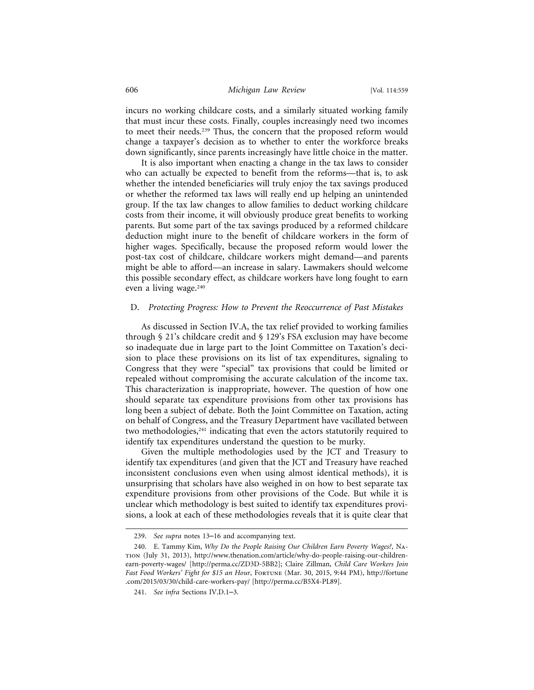incurs no working childcare costs, and a similarly situated working family that must incur these costs. Finally, couples increasingly need two incomes to meet their needs.239 Thus, the concern that the proposed reform would change a taxpayer's decision as to whether to enter the workforce breaks down significantly, since parents increasingly have little choice in the matter.

It is also important when enacting a change in the tax laws to consider who can actually be expected to benefit from the reforms—that is, to ask whether the intended beneficiaries will truly enjoy the tax savings produced or whether the reformed tax laws will really end up helping an unintended group. If the tax law changes to allow families to deduct working childcare costs from their income, it will obviously produce great benefits to working parents. But some part of the tax savings produced by a reformed childcare deduction might inure to the benefit of childcare workers in the form of higher wages. Specifically, because the proposed reform would lower the post-tax cost of childcare, childcare workers might demand—and parents might be able to afford—an increase in salary. Lawmakers should welcome this possible secondary effect, as childcare workers have long fought to earn even a living wage.<sup>240</sup>

#### D. *Protecting Progress: How to Prevent the Reoccurrence of Past Mistakes*

As discussed in Section IV.A, the tax relief provided to working families through § 21's childcare credit and § 129's FSA exclusion may have become so inadequate due in large part to the Joint Committee on Taxation's decision to place these provisions on its list of tax expenditures, signaling to Congress that they were "special" tax provisions that could be limited or repealed without compromising the accurate calculation of the income tax. This characterization is inappropriate, however. The question of how one should separate tax expenditure provisions from other tax provisions has long been a subject of debate. Both the Joint Committee on Taxation, acting on behalf of Congress, and the Treasury Department have vacillated between two methodologies,<sup>241</sup> indicating that even the actors statutorily required to identify tax expenditures understand the question to be murky.

Given the multiple methodologies used by the JCT and Treasury to identify tax expenditures (and given that the JCT and Treasury have reached inconsistent conclusions even when using almost identical methods), it is unsurprising that scholars have also weighed in on how to best separate tax expenditure provisions from other provisions of the Code. But while it is unclear which methodology is best suited to identify tax expenditures provisions, a look at each of these methodologies reveals that it is quite clear that

<sup>239.</sup> *See supra* notes 13–16 and accompanying text.

<sup>240.</sup> E. Tammy Kim, *Why Do the People Raising Our Children Earn Poverty Wages?*, Nation (July 31, 2013), http://www.thenation.com/article/why-do-people-raising-our-childrenearn-poverty-wages/ [http://perma.cc/ZD3D-5BB2]; Claire Zillman, *Child Care Workers Join Fast Food Workers' Fight for \$15 an Hour*, Fortune (Mar. 30, 2015, 9:44 PM), http://fortune .com/2015/03/30/child-care-workers-pay/ [http://perma.cc/B5X4-PL89].

<sup>241.</sup> *See infra* Sections IV.D.1–3.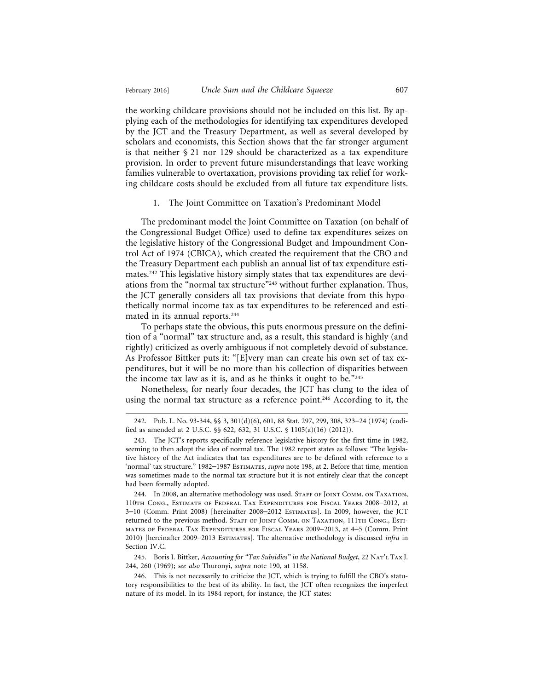the working childcare provisions should not be included on this list. By applying each of the methodologies for identifying tax expenditures developed by the JCT and the Treasury Department, as well as several developed by scholars and economists, this Section shows that the far stronger argument is that neither § 21 nor 129 should be characterized as a tax expenditure provision. In order to prevent future misunderstandings that leave working families vulnerable to overtaxation, provisions providing tax relief for working childcare costs should be excluded from all future tax expenditure lists.

#### 1. The Joint Committee on Taxation's Predominant Model

The predominant model the Joint Committee on Taxation (on behalf of the Congressional Budget Office) used to define tax expenditures seizes on the legislative history of the Congressional Budget and Impoundment Control Act of 1974 (CBICA), which created the requirement that the CBO and the Treasury Department each publish an annual list of tax expenditure estimates.242 This legislative history simply states that tax expenditures are deviations from the "normal tax structure"<sup>243</sup> without further explanation. Thus, the JCT generally considers all tax provisions that deviate from this hypothetically normal income tax as tax expenditures to be referenced and estimated in its annual reports.244

To perhaps state the obvious, this puts enormous pressure on the definition of a "normal" tax structure and, as a result, this standard is highly (and rightly) criticized as overly ambiguous if not completely devoid of substance. As Professor Bittker puts it: "[E]very man can create his own set of tax expenditures, but it will be no more than his collection of disparities between the income tax law as it is, and as he thinks it ought to be." $245$ 

Nonetheless, for nearly four decades, the JCT has clung to the idea of using the normal tax structure as a reference point.<sup>246</sup> According to it, the

245. Boris I. Bittker, *Accounting for "Tax Subsidies" in the National Budget*, 22 Nat'l Tax J. 244, 260 (1969); *see also* Thuronyi, *supra* note 190, at 1158.

<sup>242.</sup> Pub. L. No. 93-344, §§ 3, 301(d)(6), 601, 88 Stat. 297, 299, 308, 323–24 (1974) (codified as amended at 2 U.S.C. §§ 622, 632, 31 U.S.C. § 1105(a)(16) (2012)).

<sup>243.</sup> The JCT's reports specifically reference legislative history for the first time in 1982, seeming to then adopt the idea of normal tax. The 1982 report states as follows: "The legislative history of the Act indicates that tax expenditures are to be defined with reference to a 'normal' tax structure." 1982–1987 Estimates, *supra* note 198, at 2. Before that time, mention was sometimes made to the normal tax structure but it is not entirely clear that the concept had been formally adopted.

<sup>244.</sup> In 2008, an alternative methodology was used. STAFF OF JOINT COMM. ON TAXATION, 110th Cong., Estimate of Federal Tax Expenditures for Fiscal Years 2008–2012, at 3–10 (Comm. Print 2008) [hereinafter 2008–2012 Estimates]. In 2009, however, the JCT returned to the previous method. STAFF OF JOINT COMM. ON TAXATION, 111TH CONG., ESTImates of Federal Tax Expenditures for Fiscal Years 2009–2013, at 4–5 (Comm. Print 2010) [hereinafter 2009–2013 Estimates]. The alternative methodology is discussed *infra* in Section IV.C.

<sup>246.</sup> This is not necessarily to criticize the JCT, which is trying to fulfill the CBO's statutory responsibilities to the best of its ability. In fact, the JCT often recognizes the imperfect nature of its model. In its 1984 report, for instance, the JCT states: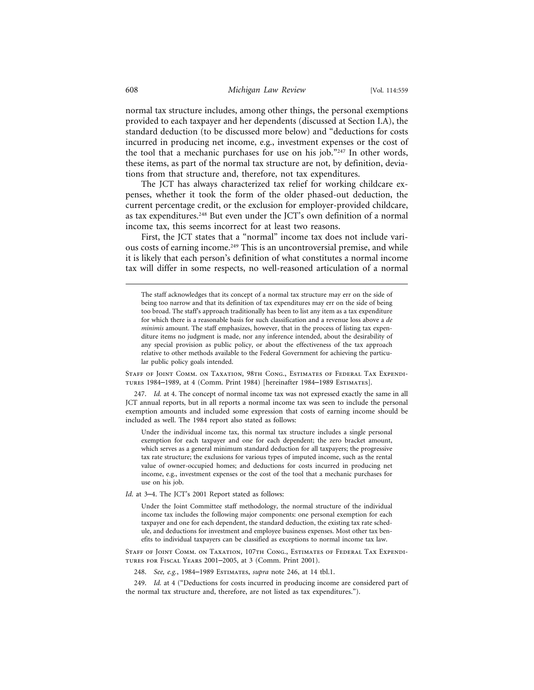normal tax structure includes, among other things, the personal exemptions provided to each taxpayer and her dependents (discussed at Section I.A), the standard deduction (to be discussed more below) and "deductions for costs incurred in producing net income, e.g., investment expenses or the cost of the tool that a mechanic purchases for use on his job."247 In other words, these items, as part of the normal tax structure are not, by definition, deviations from that structure and, therefore, not tax expenditures.

The JCT has always characterized tax relief for working childcare expenses, whether it took the form of the older phased-out deduction, the current percentage credit, or the exclusion for employer-provided childcare, as tax expenditures.<sup>248</sup> But even under the JCT's own definition of a normal income tax, this seems incorrect for at least two reasons.

First, the JCT states that a "normal" income tax does not include various costs of earning income.<sup>249</sup> This is an uncontroversial premise, and while it is likely that each person's definition of what constitutes a normal income tax will differ in some respects, no well-reasoned articulation of a normal

The staff acknowledges that its concept of a normal tax structure may err on the side of being too narrow and that its definition of tax expenditures may err on the side of being too broad. The staff's approach traditionally has been to list any item as a tax expenditure for which there is a reasonable basis for such classification and a revenue loss above a *de minimis* amount. The staff emphasizes, however, that in the process of listing tax expenditure items no judgment is made, nor any inference intended, about the desirability of any special provision as public policy, or about the effectiveness of the tax approach relative to other methods available to the Federal Government for achieving the particular public policy goals intended.

Staff of Joint Comm. on Taxation, 98th Cong., Estimates of Federal Tax Expenditures 1984–1989, at 4 (Comm. Print 1984) [hereinafter 1984–1989 Estimates].

247. *Id.* at 4. The concept of normal income tax was not expressed exactly the same in all JCT annual reports, but in all reports a normal income tax was seen to include the personal exemption amounts and included some expression that costs of earning income should be included as well. The 1984 report also stated as follows:

Under the individual income tax, this normal tax structure includes a single personal exemption for each taxpayer and one for each dependent; the zero bracket amount, which serves as a general minimum standard deduction for all taxpayers; the progressive tax rate structure; the exclusions for various types of imputed income, such as the rental value of owner-occupied homes; and deductions for costs incurred in producing net income, e.g., investment expenses or the cost of the tool that a mechanic purchases for use on his job.

*Id*. at 3–4. The JCT's 2001 Report stated as follows:

Under the Joint Committee staff methodology, the normal structure of the individual income tax includes the following major components: one personal exemption for each taxpayer and one for each dependent, the standard deduction, the existing tax rate schedule, and deductions for investment and employee business expenses. Most other tax benefits to individual taxpayers can be classified as exceptions to normal income tax law.

Staff of Joint Comm. on Taxation, 107th Cong., Estimates of Federal Tax Expenditures for Fiscal Years 2001–2005, at 3 (Comm. Print 2001).

248. *See, e.g.*, 1984–1989 Estimates, *supra* note 246, at 14 tbl.1.

249. *Id.* at 4 ("Deductions for costs incurred in producing income are considered part of the normal tax structure and, therefore, are not listed as tax expenditures.").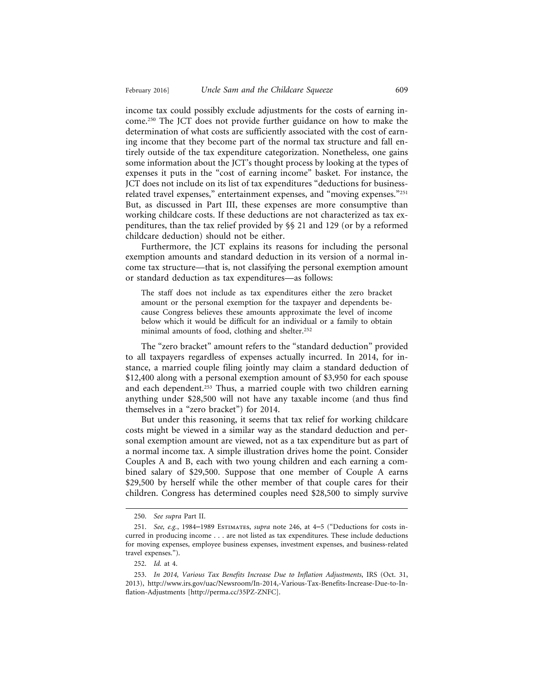income tax could possibly exclude adjustments for the costs of earning income.250 The JCT does not provide further guidance on how to make the determination of what costs are sufficiently associated with the cost of earning income that they become part of the normal tax structure and fall entirely outside of the tax expenditure categorization. Nonetheless, one gains some information about the JCT's thought process by looking at the types of expenses it puts in the "cost of earning income" basket. For instance, the JCT does not include on its list of tax expenditures "deductions for businessrelated travel expenses," entertainment expenses, and "moving expenses."<sup>251</sup> But, as discussed in Part III, these expenses are more consumptive than working childcare costs. If these deductions are not characterized as tax expenditures, than the tax relief provided by §§ 21 and 129 (or by a reformed childcare deduction) should not be either.

Furthermore, the JCT explains its reasons for including the personal exemption amounts and standard deduction in its version of a normal income tax structure—that is, not classifying the personal exemption amount or standard deduction as tax expenditures—as follows:

The staff does not include as tax expenditures either the zero bracket amount or the personal exemption for the taxpayer and dependents because Congress believes these amounts approximate the level of income below which it would be difficult for an individual or a family to obtain minimal amounts of food, clothing and shelter.252

The "zero bracket" amount refers to the "standard deduction" provided to all taxpayers regardless of expenses actually incurred. In 2014, for instance, a married couple filing jointly may claim a standard deduction of \$12,400 along with a personal exemption amount of \$3,950 for each spouse and each dependent.253 Thus, a married couple with two children earning anything under \$28,500 will not have any taxable income (and thus find themselves in a "zero bracket") for 2014.

But under this reasoning, it seems that tax relief for working childcare costs might be viewed in a similar way as the standard deduction and personal exemption amount are viewed, not as a tax expenditure but as part of a normal income tax. A simple illustration drives home the point. Consider Couples A and B, each with two young children and each earning a combined salary of \$29,500. Suppose that one member of Couple A earns \$29,500 by herself while the other member of that couple cares for their children. Congress has determined couples need \$28,500 to simply survive

<sup>250.</sup> *See supra* Part II.

<sup>251.</sup> *See, e.g.*, 1984–1989 Estimates, *supra* note 246, at 4–5 ("Deductions for costs incurred in producing income . . . are not listed as tax expenditures. These include deductions for moving expenses, employee business expenses, investment expenses, and business-related travel expenses.").

<sup>252.</sup> *Id.* at 4.

<sup>253.</sup> *In 2014, Various Tax Benefits Increase Due to Inflation Adjustments*, IRS (Oct. 31, 2013), http://www.irs.gov/uac/Newsroom/In-2014,-Various-Tax-Benefits-Increase-Due-to-Inflation-Adjustments [http://perma.cc/35PZ-ZNFC].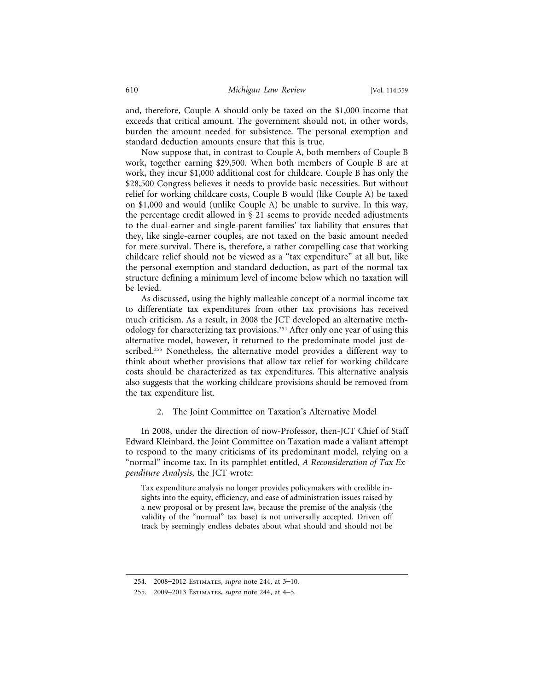and, therefore, Couple A should only be taxed on the \$1,000 income that exceeds that critical amount. The government should not, in other words, burden the amount needed for subsistence. The personal exemption and standard deduction amounts ensure that this is true.

Now suppose that, in contrast to Couple A, both members of Couple B work, together earning \$29,500. When both members of Couple B are at work, they incur \$1,000 additional cost for childcare. Couple B has only the \$28,500 Congress believes it needs to provide basic necessities. But without relief for working childcare costs, Couple B would (like Couple A) be taxed on \$1,000 and would (unlike Couple A) be unable to survive. In this way, the percentage credit allowed in § 21 seems to provide needed adjustments to the dual-earner and single-parent families' tax liability that ensures that they, like single-earner couples, are not taxed on the basic amount needed for mere survival. There is, therefore, a rather compelling case that working childcare relief should not be viewed as a "tax expenditure" at all but, like the personal exemption and standard deduction, as part of the normal tax structure defining a minimum level of income below which no taxation will be levied.

As discussed, using the highly malleable concept of a normal income tax to differentiate tax expenditures from other tax provisions has received much criticism. As a result, in 2008 the JCT developed an alternative methodology for characterizing tax provisions.254 After only one year of using this alternative model, however, it returned to the predominate model just described.<sup>255</sup> Nonetheless, the alternative model provides a different way to think about whether provisions that allow tax relief for working childcare costs should be characterized as tax expenditures. This alternative analysis also suggests that the working childcare provisions should be removed from the tax expenditure list.

#### 2. The Joint Committee on Taxation's Alternative Model

In 2008, under the direction of now-Professor, then-JCT Chief of Staff Edward Kleinbard, the Joint Committee on Taxation made a valiant attempt to respond to the many criticisms of its predominant model, relying on a "normal" income tax. In its pamphlet entitled, *A Reconsideration of Tax Expenditure Analysis*, the JCT wrote:

Tax expenditure analysis no longer provides policymakers with credible insights into the equity, efficiency, and ease of administration issues raised by a new proposal or by present law, because the premise of the analysis (the validity of the "normal" tax base) is not universally accepted. Driven off track by seemingly endless debates about what should and should not be

<sup>254. 2008</sup>–2012 Estimates, *supra* note 244, at 3–10.

<sup>255. 2009</sup>–2013 Estimates, *supra* note 244, at 4–5.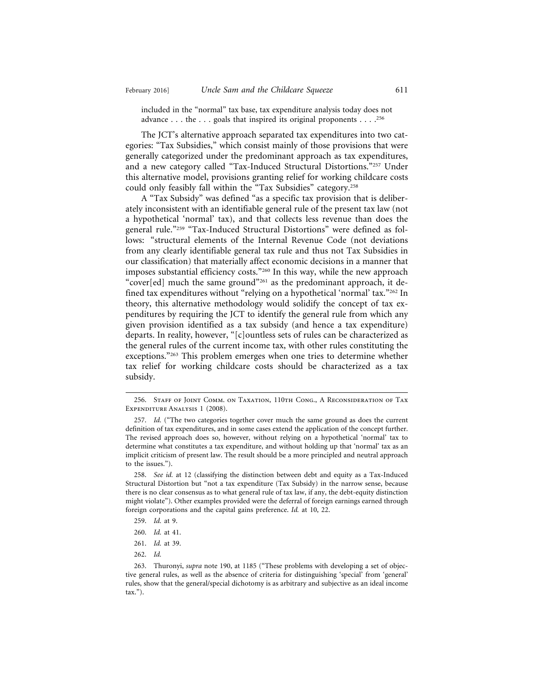included in the "normal" tax base, tax expenditure analysis today does not advance . . . the . . . goals that inspired its original proponents . . . .256

The JCT's alternative approach separated tax expenditures into two categories: "Tax Subsidies," which consist mainly of those provisions that were generally categorized under the predominant approach as tax expenditures, and a new category called "Tax-Induced Structural Distortions."257 Under this alternative model, provisions granting relief for working childcare costs could only feasibly fall within the "Tax Subsidies" category.258

A "Tax Subsidy" was defined "as a specific tax provision that is deliberately inconsistent with an identifiable general rule of the present tax law (not a hypothetical 'normal' tax), and that collects less revenue than does the general rule."259 "Tax-Induced Structural Distortions" were defined as follows: "structural elements of the Internal Revenue Code (not deviations from any clearly identifiable general tax rule and thus not Tax Subsidies in our classification) that materially affect economic decisions in a manner that imposes substantial efficiency costs."260 In this way, while the new approach "cover[ed] much the same ground"261 as the predominant approach, it defined tax expenditures without "relying on a hypothetical 'normal' tax."262 In theory, this alternative methodology would solidify the concept of tax expenditures by requiring the JCT to identify the general rule from which any given provision identified as a tax subsidy (and hence a tax expenditure) departs. In reality, however, "[c]ountless sets of rules can be characterized as the general rules of the current income tax, with other rules constituting the exceptions."263 This problem emerges when one tries to determine whether tax relief for working childcare costs should be characterized as a tax subsidy.

258. *See id.* at 12 (classifying the distinction between debt and equity as a Tax-Induced Structural Distortion but "not a tax expenditure (Tax Subsidy) in the narrow sense, because there is no clear consensus as to what general rule of tax law, if any, the debt-equity distinction might violate"). Other examples provided were the deferral of foreign earnings earned through foreign corporations and the capital gains preference. *Id.* at 10, 22.

- 259. *Id.* at 9.
- 260. *Id.* at 41.
- 261. *Id.* at 39.
- 262. *Id.*

<sup>256.</sup> Staff of Joint Comm. on Taxation, 110th Cong., A Reconsideration of Tax EXPENDITURE ANALYSIS 1 (2008).

<sup>257.</sup> *Id.* ("The two categories together cover much the same ground as does the current definition of tax expenditures, and in some cases extend the application of the concept further. The revised approach does so, however, without relying on a hypothetical 'normal' tax to determine what constitutes a tax expenditure, and without holding up that 'normal' tax as an implicit criticism of present law. The result should be a more principled and neutral approach to the issues.").

<sup>263.</sup> Thuronyi, *supra* note 190, at 1185 ("These problems with developing a set of objective general rules, as well as the absence of criteria for distinguishing 'special' from 'general' rules, show that the general/special dichotomy is as arbitrary and subjective as an ideal income tax.").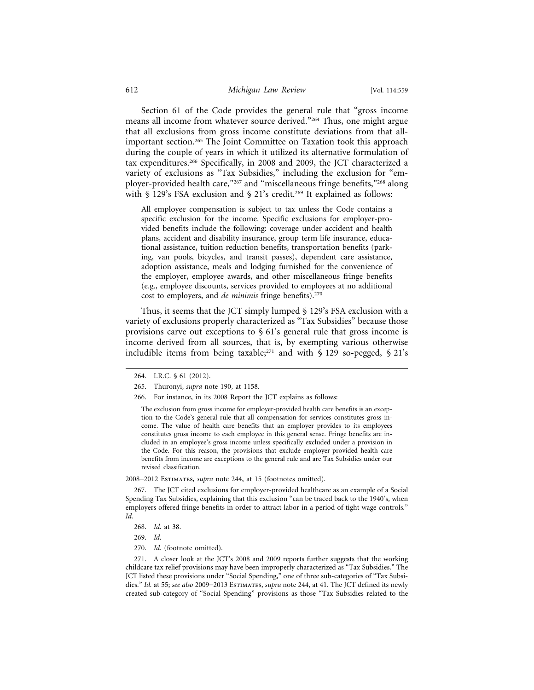Section 61 of the Code provides the general rule that "gross income means all income from whatever source derived."264 Thus, one might argue that all exclusions from gross income constitute deviations from that allimportant section.265 The Joint Committee on Taxation took this approach during the couple of years in which it utilized its alternative formulation of tax expenditures.266 Specifically, in 2008 and 2009, the JCT characterized a variety of exclusions as "Tax Subsidies," including the exclusion for "employer-provided health care,"<sup>267</sup> and "miscellaneous fringe benefits,"<sup>268</sup> along with § 129's FSA exclusion and § 21's credit.<sup>269</sup> It explained as follows:

All employee compensation is subject to tax unless the Code contains a specific exclusion for the income. Specific exclusions for employer-provided benefits include the following: coverage under accident and health plans, accident and disability insurance, group term life insurance, educational assistance, tuition reduction benefits, transportation benefits (parking, van pools, bicycles, and transit passes), dependent care assistance, adoption assistance, meals and lodging furnished for the convenience of the employer, employee awards, and other miscellaneous fringe benefits (e.g., employee discounts, services provided to employees at no additional cost to employers, and *de minimis* fringe benefits).270

Thus, it seems that the JCT simply lumped § 129's FSA exclusion with a variety of exclusions properly characterized as "Tax Subsidies" because those provisions carve out exceptions to § 61's general rule that gross income is income derived from all sources, that is, by exempting various otherwise includible items from being taxable;<sup>271</sup> and with  $\S$  129 so-pegged,  $\S$  21's

The exclusion from gross income for employer-provided health care benefits is an exception to the Code's general rule that all compensation for services constitutes gross income. The value of health care benefits that an employer provides to its employees constitutes gross income to each employee in this general sense. Fringe benefits are included in an employee's gross income unless specifically excluded under a provision in the Code. For this reason, the provisions that exclude employer-provided health care benefits from income are exceptions to the general rule and are Tax Subsidies under our revised classification.

2008–2012 Estimates, *supra* note 244, at 15 (footnotes omitted).

267. The JCT cited exclusions for employer-provided healthcare as an example of a Social Spending Tax Subsidies, explaining that this exclusion "can be traced back to the 1940's, when employers offered fringe benefits in order to attract labor in a period of tight wage controls." *Id.*

- 268. *Id.* at 38.
- 269. *Id.*
- 270. *Id.* (footnote omitted).

271. A closer look at the JCT's 2008 and 2009 reports further suggests that the working childcare tax relief provisions may have been improperly characterized as "Tax Subsidies." The JCT listed these provisions under "Social Spending," one of three sub-categories of "Tax Subsidies." *Id.* at 55; *see also* 2009–2013 Estimates, *supra* note 244, at 41. The JCT defined its newly created sub-category of "Social Spending" provisions as those "Tax Subsidies related to the

<sup>264.</sup> I.R.C. § 61 (2012).

<sup>265.</sup> Thuronyi, *supra* note 190, at 1158.

<sup>266.</sup> For instance, in its 2008 Report the JCT explains as follows: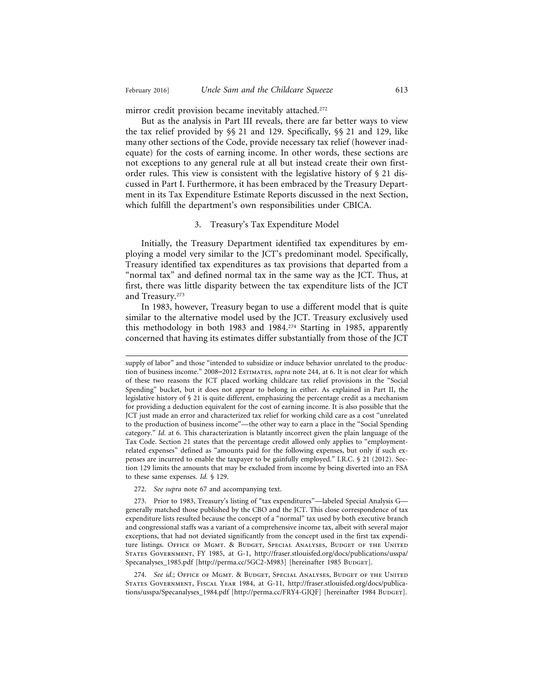mirror credit provision became inevitably attached.<sup>272</sup>

But as the analysis in Part III reveals, there are far better ways to view the tax relief provided by §§ 21 and 129. Specifically, §§ 21 and 129, like many other sections of the Code, provide necessary tax relief (however inadequate) for the costs of earning income. In other words, these sections are not exceptions to any general rule at all but instead create their own firstorder rules. This view is consistent with the legislative history of § 21 discussed in Part I. Furthermore, it has been embraced by the Treasury Department in its Tax Expenditure Estimate Reports discussed in the next Section, which fulfill the department's own responsibilities under CBICA.

#### 3. Treasury's Tax Expenditure Model

Initially, the Treasury Department identified tax expenditures by employing a model very similar to the JCT's predominant model. Specifically, Treasury identified tax expenditures as tax provisions that departed from a "normal tax" and defined normal tax in the same way as the JCT. Thus, at first, there was little disparity between the tax expenditure lists of the JCT and Treasury.273

In 1983, however, Treasury began to use a different model that is quite similar to the alternative model used by the JCT. Treasury exclusively used this methodology in both 1983 and 1984.274 Starting in 1985, apparently concerned that having its estimates differ substantially from those of the JCT

272. *See supra* note 67 and accompanying text.

supply of labor" and those "intended to subsidize or induce behavior unrelated to the production of business income." 2008–2012 ESTIMATES, *supra* note 244, at 6. It is not clear for which of these two reasons the JCT placed working childcare tax relief provisions in the "Social Spending" bucket, but it does not appear to belong in either. As explained in Part II, the legislative history of § 21 is quite different, emphasizing the percentage credit as a mechanism for providing a deduction equivalent for the cost of earning income. It is also possible that the JCT just made an error and characterized tax relief for working child care as a cost "unrelated to the production of business income"—the other way to earn a place in the "Social Spending category." *Id.* at 6. This characterization is blatantly incorrect given the plain language of the Tax Code. Section 21 states that the percentage credit allowed only applies to "employmentrelated expenses" defined as "amounts paid for the following expenses, but only if such expenses are incurred to enable the taxpayer to be gainfully employed." I.R.C. § 21 (2012). Section 129 limits the amounts that may be excluded from income by being diverted into an FSA to these same expenses. *Id.* § 129.

<sup>273.</sup> Prior to 1983, Treasury's listing of "tax expenditures"—labeled Special Analysis G generally matched those published by the CBO and the JCT. This close correspondence of tax expenditure lists resulted because the concept of a "normal" tax used by both executive branch and congressional staffs was a variant of a comprehensive income tax, albeit with several major exceptions, that had not deviated significantly from the concept used in the first tax expenditure listings. Office of Mgmt. & Budget, Special Analyses, Budget of the United States Government, FY 1985, at G-1, http://fraser.stlouisfed.org/docs/publications/usspa/ Specanalyses\_1985.pdf [http://perma.cc/5GC2-M983] [hereinafter 1985 BuDGET].

<sup>274.</sup> *See id.*; Office of Mgmt. & Budget, Special Analyses, Budget of the United States Government, Fiscal Year 1984, at G-11, http://fraser.stlouisfed.org/docs/publications/usspa/Specanalyses\_1984.pdf [http://perma.cc/FRY4-GJQF] [hereinafter 1984 Budget].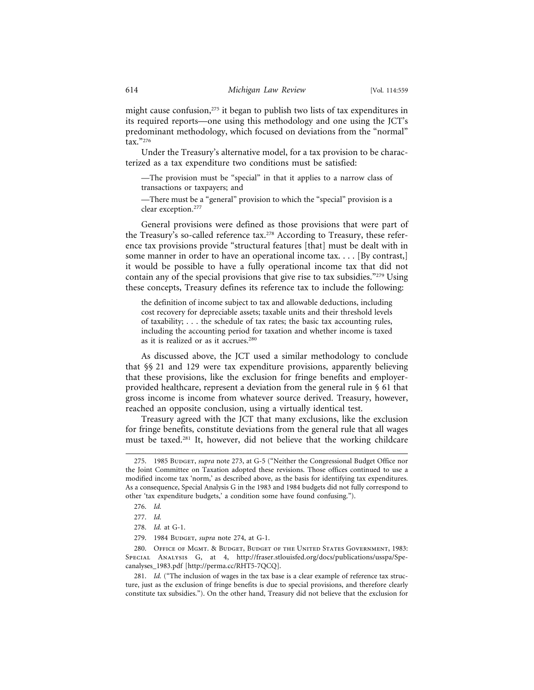might cause confusion,<sup>275</sup> it began to publish two lists of tax expenditures in its required reports—one using this methodology and one using the JCT's predominant methodology, which focused on deviations from the "normal" tax."276

Under the Treasury's alternative model, for a tax provision to be characterized as a tax expenditure two conditions must be satisfied:

—The provision must be "special" in that it applies to a narrow class of transactions or taxpayers; and

—There must be a "general" provision to which the "special" provision is a clear exception.277

General provisions were defined as those provisions that were part of the Treasury's so-called reference tax.<sup>278</sup> According to Treasury, these reference tax provisions provide "structural features [that] must be dealt with in some manner in order to have an operational income tax. . . . [By contrast,] it would be possible to have a fully operational income tax that did not contain any of the special provisions that give rise to tax subsidies."279 Using these concepts, Treasury defines its reference tax to include the following:

the definition of income subject to tax and allowable deductions, including cost recovery for depreciable assets; taxable units and their threshold levels of taxability; . . . the schedule of tax rates; the basic tax accounting rules, including the accounting period for taxation and whether income is taxed as it is realized or as it accrues.280

As discussed above, the JCT used a similar methodology to conclude that §§ 21 and 129 were tax expenditure provisions, apparently believing that these provisions, like the exclusion for fringe benefits and employerprovided healthcare, represent a deviation from the general rule in § 61 that gross income is income from whatever source derived. Treasury, however, reached an opposite conclusion, using a virtually identical test.

Treasury agreed with the JCT that many exclusions, like the exclusion for fringe benefits, constitute deviations from the general rule that all wages must be taxed.281 It, however, did not believe that the working childcare

<sup>275. 1985</sup> Budget, *supra* note 273, at G-5 ("Neither the Congressional Budget Office nor the Joint Committee on Taxation adopted these revisions. Those offices continued to use a modified income tax 'norm,' as described above, as the basis for identifying tax expenditures. As a consequence, Special Analysis G in the 1983 and 1984 budgets did not fully correspond to other 'tax expenditure budgets,' a condition some have found confusing.").

<sup>276.</sup> *Id.*

<sup>277.</sup> *Id.*

<sup>278.</sup> *Id.* at G-1.

<sup>279. 1984</sup> BUDGET, *supra* note 274, at G-1.

<sup>280.</sup> Office of Mgmt. & Budget, Budget of the United States Government, 1983: Special Analysis G, at 4, http://fraser.stlouisfed.org/docs/publications/usspa/Specanalyses\_1983.pdf [http://perma.cc/RHT5-7QCQ].

<sup>281.</sup> *Id.* ("The inclusion of wages in the tax base is a clear example of reference tax structure, just as the exclusion of fringe benefits is due to special provisions, and therefore clearly constitute tax subsidies."). On the other hand, Treasury did not believe that the exclusion for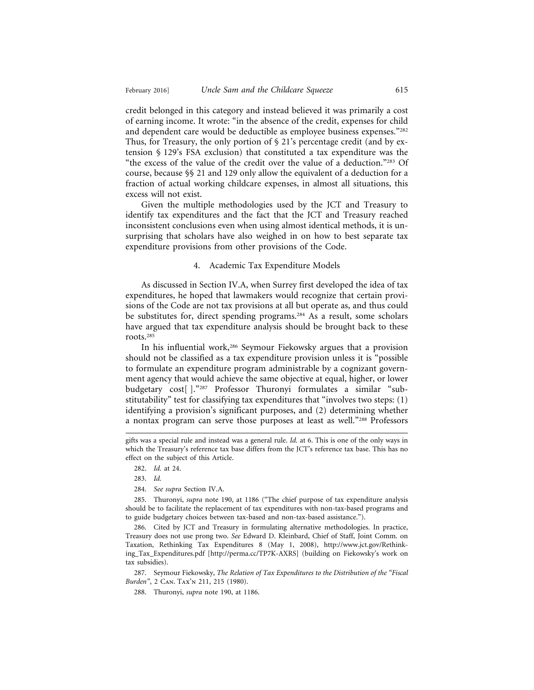credit belonged in this category and instead believed it was primarily a cost of earning income. It wrote: "in the absence of the credit, expenses for child and dependent care would be deductible as employee business expenses."<sup>282</sup> Thus, for Treasury, the only portion of  $\S 21$ 's percentage credit (and by extension § 129's FSA exclusion) that constituted a tax expenditure was the "the excess of the value of the credit over the value of a deduction."283 Of course, because §§ 21 and 129 only allow the equivalent of a deduction for a fraction of actual working childcare expenses, in almost all situations, this excess will not exist.

Given the multiple methodologies used by the JCT and Treasury to identify tax expenditures and the fact that the JCT and Treasury reached inconsistent conclusions even when using almost identical methods, it is unsurprising that scholars have also weighed in on how to best separate tax expenditure provisions from other provisions of the Code.

#### 4. Academic Tax Expenditure Models

As discussed in Section IV.A, when Surrey first developed the idea of tax expenditures, he hoped that lawmakers would recognize that certain provisions of the Code are not tax provisions at all but operate as, and thus could be substitutes for, direct spending programs.<sup>284</sup> As a result, some scholars have argued that tax expenditure analysis should be brought back to these roots.285

In his influential work,<sup>286</sup> Seymour Fiekowsky argues that a provision should not be classified as a tax expenditure provision unless it is "possible to formulate an expenditure program administrable by a cognizant government agency that would achieve the same objective at equal, higher, or lower budgetary cost[ ]."287 Professor Thuronyi formulates a similar "substitutability" test for classifying tax expenditures that "involves two steps: (1) identifying a provision's significant purposes, and (2) determining whether a nontax program can serve those purposes at least as well."288 Professors

284. *See supra* Section IV.A.

285. Thuronyi, *supra* note 190, at 1186 ("The chief purpose of tax expenditure analysis should be to facilitate the replacement of tax expenditures with non-tax-based programs and to guide budgetary choices between tax-based and non-tax-based assistance.").

286. Cited by JCT and Treasury in formulating alternative methodologies. In practice, Treasury does not use prong two. *See* Edward D. Kleinbard, Chief of Staff, Joint Comm. on Taxation, Rethinking Tax Expenditures 8 (May 1, 2008), http://www.jct.gov/Rethinking\_Tax\_Expenditures.pdf [http://perma.cc/TP7K-AXRS] (building on Fiekowsky's work on tax subsidies).

287. Seymour Fiekowsky, *The Relation of Tax Expenditures to the Distribution of the "Fiscal Burden"*, 2 Can. Tax'n 211, 215 (1980).

288. Thuronyi, *supra* note 190, at 1186.

gifts was a special rule and instead was a general rule. *Id.* at 6. This is one of the only ways in which the Treasury's reference tax base differs from the JCT's reference tax base. This has no effect on the subject of this Article.

<sup>282.</sup> *Id.* at 24.

<sup>283.</sup> *Id.*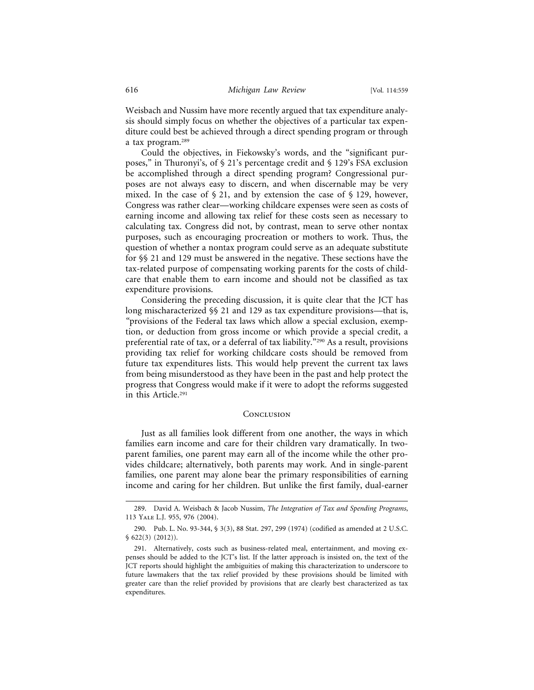Weisbach and Nussim have more recently argued that tax expenditure analysis should simply focus on whether the objectives of a particular tax expenditure could best be achieved through a direct spending program or through a tax program.289

Could the objectives, in Fiekowsky's words, and the "significant purposes," in Thuronyi's, of § 21's percentage credit and § 129's FSA exclusion be accomplished through a direct spending program? Congressional purposes are not always easy to discern, and when discernable may be very mixed. In the case of  $\S 21$ , and by extension the case of  $\S 129$ , however, Congress was rather clear—working childcare expenses were seen as costs of earning income and allowing tax relief for these costs seen as necessary to calculating tax. Congress did not, by contrast, mean to serve other nontax purposes, such as encouraging procreation or mothers to work. Thus, the question of whether a nontax program could serve as an adequate substitute for §§ 21 and 129 must be answered in the negative. These sections have the tax-related purpose of compensating working parents for the costs of childcare that enable them to earn income and should not be classified as tax expenditure provisions.

Considering the preceding discussion, it is quite clear that the JCT has long mischaracterized §§ 21 and 129 as tax expenditure provisions*—*that is, *"*provisions of the Federal tax laws which allow a special exclusion, exemption, or deduction from gross income or which provide a special credit, a preferential rate of tax, or a deferral of tax liability."290 As a result, provisions providing tax relief for working childcare costs should be removed from future tax expenditures lists. This would help prevent the current tax laws from being misunderstood as they have been in the past and help protect the progress that Congress would make if it were to adopt the reforms suggested in this Article.291

#### **CONCLUSION**

Just as all families look different from one another, the ways in which families earn income and care for their children vary dramatically. In twoparent families, one parent may earn all of the income while the other provides childcare; alternatively, both parents may work. And in single-parent families, one parent may alone bear the primary responsibilities of earning income and caring for her children. But unlike the first family, dual-earner

<sup>289.</sup> David A. Weisbach & Jacob Nussim, *The Integration of Tax and Spending Programs*, 113 Yale L.J. 955, 976 (2004).

<sup>290.</sup> Pub. L. No. 93-344, § 3(3), 88 Stat. 297, 299 (1974) (codified as amended at 2 U.S.C. § 622(3) (2012)).

<sup>291.</sup> Alternatively, costs such as business-related meal, entertainment, and moving expenses should be added to the JCT's list. If the latter approach is insisted on, the text of the JCT reports should highlight the ambiguities of making this characterization to underscore to future lawmakers that the tax relief provided by these provisions should be limited with greater care than the relief provided by provisions that are clearly best characterized as tax expenditures.